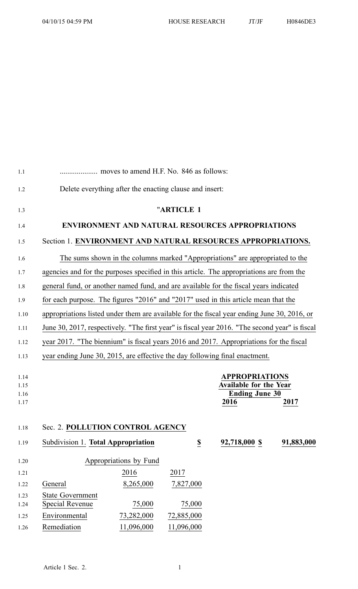| 1.1          |                                                                                                                                                                                          |                        |                          |                                                                               |            |
|--------------|------------------------------------------------------------------------------------------------------------------------------------------------------------------------------------------|------------------------|--------------------------|-------------------------------------------------------------------------------|------------|
| 1.2          | Delete everything after the enacting clause and insert:                                                                                                                                  |                        |                          |                                                                               |            |
| 1.3          |                                                                                                                                                                                          |                        | "ARTICLE 1               |                                                                               |            |
| 1.4          |                                                                                                                                                                                          |                        |                          | <b>ENVIRONMENT AND NATURAL RESOURCES APPROPRIATIONS</b>                       |            |
| 1.5          | Section 1. ENVIRONMENT AND NATURAL RESOURCES APPROPRIATIONS.                                                                                                                             |                        |                          |                                                                               |            |
| 1.6          |                                                                                                                                                                                          |                        |                          | The sums shown in the columns marked "Appropriations" are appropriated to the |            |
| 1.7          | agencies and for the purposes specified in this article. The appropriations are from the                                                                                                 |                        |                          |                                                                               |            |
| 1.8          | general fund, or another named fund, and are available for the fiscal years indicated                                                                                                    |                        |                          |                                                                               |            |
| 1.9          | for each purpose. The figures "2016" and "2017" used in this article mean that the                                                                                                       |                        |                          |                                                                               |            |
| 1.10         | appropriations listed under them are available for the fiscal year ending June 30, 2016, or                                                                                              |                        |                          |                                                                               |            |
| 1.11         |                                                                                                                                                                                          |                        |                          |                                                                               |            |
|              | June 30, 2017, respectively. "The first year" is fiscal year 2016. "The second year" is fiscal<br>year 2017. "The biennium" is fiscal years 2016 and 2017. Appropriations for the fiscal |                        |                          |                                                                               |            |
| 1.12         |                                                                                                                                                                                          |                        |                          |                                                                               |            |
| 1.13         | year ending June 30, 2015, are effective the day following final enactment.                                                                                                              |                        |                          |                                                                               |            |
| 1.14         |                                                                                                                                                                                          |                        |                          | <b>APPROPRIATIONS</b>                                                         |            |
| 1.15         | <b>Available for the Year</b>                                                                                                                                                            |                        |                          |                                                                               |            |
| 1.16<br>1.17 |                                                                                                                                                                                          |                        |                          | <b>Ending June 30</b><br>2016                                                 | 2017       |
|              |                                                                                                                                                                                          |                        |                          |                                                                               |            |
| 1.18         | Sec. 2. POLLUTION CONTROL AGENCY                                                                                                                                                         |                        |                          |                                                                               |            |
| 1.19         | Subdivision 1. Total Appropriation                                                                                                                                                       |                        | $\underline{\mathbb{S}}$ | 92,718,000 \$                                                                 | 91,883,000 |
|              |                                                                                                                                                                                          |                        |                          |                                                                               |            |
| 1.20         |                                                                                                                                                                                          | Appropriations by Fund |                          |                                                                               |            |
| 1.21         |                                                                                                                                                                                          | 2016                   | 2017                     |                                                                               |            |
| 1.22         | General                                                                                                                                                                                  | 8,265,000              | 7,827,000                |                                                                               |            |
| 1.23         | <b>State Government</b>                                                                                                                                                                  |                        |                          |                                                                               |            |
| 1.24         | <b>Special Revenue</b>                                                                                                                                                                   | 75,000                 | 75,000                   |                                                                               |            |
| 1.25         | Environmental                                                                                                                                                                            | 73,282,000             | 72,885,000               |                                                                               |            |
| 1.26         | Remediation                                                                                                                                                                              | 11,096,000             | 11,096,000               |                                                                               |            |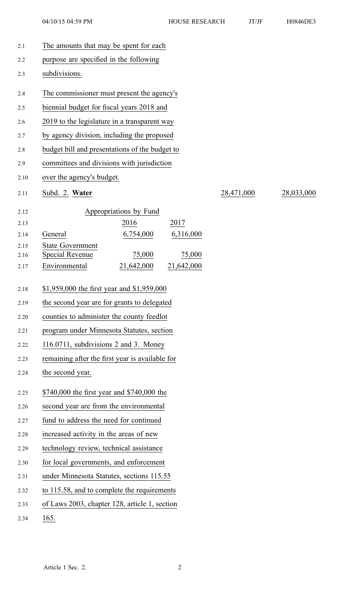04/10/15 04:59 PM HOUSE RESEARCH JT/JF H0846DE3

| 2.1          | The amounts that may be spent for each                         |            |            |  |  |
|--------------|----------------------------------------------------------------|------------|------------|--|--|
| 2.2          | purpose are specified in the following                         |            |            |  |  |
| 2.3          | subdivisions.                                                  |            |            |  |  |
| 2.4          | The commissioner must present the agency's                     |            |            |  |  |
| 2.5          | biennial budget for fiscal years 2018 and                      |            |            |  |  |
| 2.6          | 2019 to the legislature in a transparent way                   |            |            |  |  |
| 2.7          | by agency division, including the proposed                     |            |            |  |  |
| 2.8          | budget bill and presentations of the budget to                 |            |            |  |  |
| 2.9          | committees and divisions with jurisdiction                     |            |            |  |  |
| 2.10         | over the agency's budget.                                      |            |            |  |  |
| 2.11         | Subd. 2. Water                                                 | 28,471,000 | 28,033,000 |  |  |
| 2.12         | Appropriations by Fund                                         |            |            |  |  |
| 2.13         | 2016<br>2017                                                   |            |            |  |  |
| 2.14         | 6,754,000<br>6,316,000<br>General                              |            |            |  |  |
| 2.15<br>2.16 | <b>State Government</b><br>75,000<br>75,000<br>Special Revenue |            |            |  |  |
| 2.17         | 21,642,000<br>21,642,000<br>Environmental                      |            |            |  |  |
| 2.18         | \$1,959,000 the first year and \$1,959,000                     |            |            |  |  |
| 2.19         | the second year are for grants to delegated                    |            |            |  |  |
| 2.20         | counties to administer the county feedlot                      |            |            |  |  |
| 2.21         | program under Minnesota Statutes, section                      |            |            |  |  |
| 2.22         | 116.0711, subdivisions 2 and 3. Money                          |            |            |  |  |
| 2.23         | remaining after the first year is available for                |            |            |  |  |
| 2.24         | the second year.                                               |            |            |  |  |
| 2.25         | \$740,000 the first year and \$740,000 the                     |            |            |  |  |
| 2.26         | second year are from the environmental                         |            |            |  |  |
| 2.27         | fund to address the need for continued                         |            |            |  |  |
| 2.28         | increased activity in the areas of new                         |            |            |  |  |
| 2.29         | technology review, technical assistance                        |            |            |  |  |
| 2.30         | for local governments, and enforcement                         |            |            |  |  |
| 2.31         | under Minnesota Statutes, sections 115.55                      |            |            |  |  |
| 2.32         | to 115.58, and to complete the requirements                    |            |            |  |  |
| 2.33         | of Laws 2003, chapter 128, article 1, section                  |            |            |  |  |
| 2.34         | 165.                                                           |            |            |  |  |
|              |                                                                |            |            |  |  |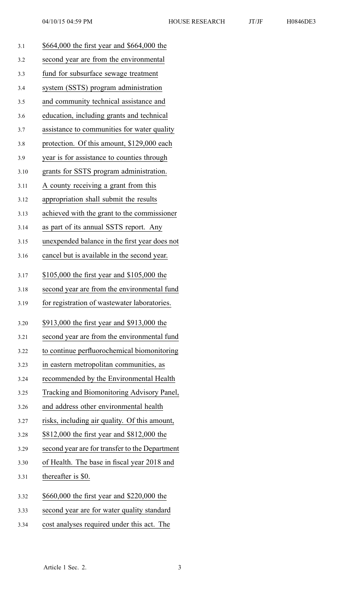| 3.1  | \$664,000 the first year and \$664,000 the     |
|------|------------------------------------------------|
| 3.2  | second year are from the environmental         |
| 3.3  | fund for subsurface sewage treatment           |
| 3.4  | system (SSTS) program administration           |
| 3.5  | and community technical assistance and         |
| 3.6  | education, including grants and technical      |
| 3.7  | assistance to communities for water quality    |
| 3.8  | protection. Of this amount, \$129,000 each     |
| 3.9  | year is for assistance to counties through     |
| 3.10 | grants for SSTS program administration.        |
| 3.11 | A county receiving a grant from this           |
| 3.12 | appropriation shall submit the results         |
| 3.13 | achieved with the grant to the commissioner    |
| 3.14 | as part of its annual SSTS report. Any         |
| 3.15 | unexpended balance in the first year does not  |
| 3.16 | cancel but is available in the second year.    |
| 3.17 | \$105,000 the first year and \$105,000 the     |
| 3.18 | second year are from the environmental fund    |
| 3.19 | for registration of wastewater laboratories.   |
| 3.20 | \$913,000 the first year and \$913,000 the     |
| 3.21 | second year are from the environmental fund    |
| 3.22 | to continue perfluorochemical biomonitoring    |
| 3.23 | in eastern metropolitan communities, as        |
| 3.24 | recommended by the Environmental Health        |
| 3.25 | Tracking and Biomonitoring Advisory Panel,     |
| 3.26 | and address other environmental health         |
| 3.27 | risks, including air quality. Of this amount,  |
| 3.28 | \$812,000 the first year and \$812,000 the     |
| 3.29 | second year are for transfer to the Department |
| 3.30 | of Health. The base in fiscal year 2018 and    |
| 3.31 | thereafter is \$0.                             |
| 3.32 | \$660,000 the first year and \$220,000 the     |
| 3.33 | second year are for water quality standard     |
| 3.34 | cost analyses required under this act. The     |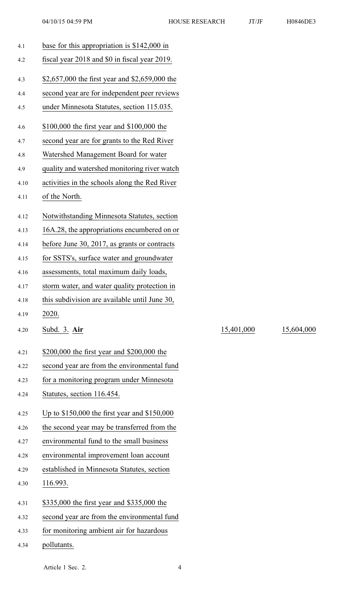| 4.1  | base for this appropriation is $$142,000$ in   |
|------|------------------------------------------------|
| 4.2  | fiscal year 2018 and \$0 in fiscal year 2019.  |
| 4.3  | \$2,657,000 the first year and \$2,659,000 the |
| 4.4  | second year are for independent peer reviews   |
| 4.5  | under Minnesota Statutes, section 115.035.     |
| 4.6  | \$100,000 the first year and \$100,000 the     |
| 4.7  | second year are for grants to the Red River    |
| 4.8  | Watershed Management Board for water           |
| 4.9  | quality and watershed monitoring river watch   |
| 4.10 | activities in the schools along the Red River  |
| 4.11 | of the North.                                  |
| 4.12 | Notwithstanding Minnesota Statutes, section    |
| 4.13 | 16A.28, the appropriations encumbered on or    |
| 4.14 | before June 30, 2017, as grants or contracts   |
| 4.15 | for SSTS's, surface water and groundwater      |
| 4.16 | assessments, total maximum daily loads,        |
| 4.17 | storm water, and water quality protection in   |
| 4.18 | this subdivision are available until June 30,  |
| 4.19 | 2020.                                          |
| 4.20 | Subd. 3. Air                                   |
| 4.21 | \$200,000 the first year and \$200,000 the     |
| 4.22 | second year are from the environmental fund    |
| 4.23 | for a monitoring program under Minnesota       |
| 4.24 | Statutes, section 116.454.                     |
| 4.25 | Up to \$150,000 the first year and \$150,000   |
| 4.26 | the second year may be transferred from the    |
| 4.27 | environmental fund to the small business       |
| 4.28 | environmental improvement loan account         |
| 4.29 | established in Minnesota Statutes, section     |
| 4.30 | 116.993.                                       |
| 4.31 | \$335,000 the first year and \$335,000 the     |
| 4.32 | second year are from the environmental fund    |
| 4.33 | for monitoring ambient air for hazardous       |
| 4.34 | pollutants.                                    |

15,401,000 15,604,000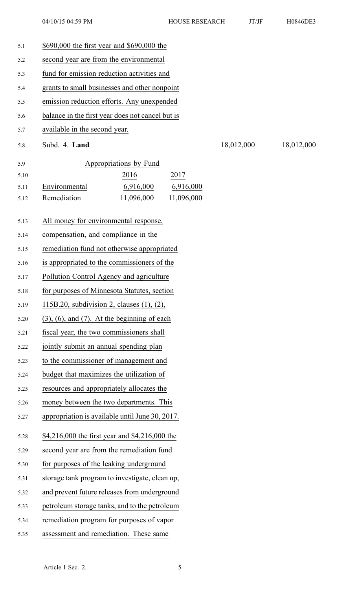| 5.1  | \$690,000 the first year and \$690,000 the           |            |            |  |
|------|------------------------------------------------------|------------|------------|--|
| 5.2  | second year are from the environmental               |            |            |  |
| 5.3  | fund for emission reduction activities and           |            |            |  |
| 5.4  | grants to small businesses and other nonpoint        |            |            |  |
| 5.5  | emission reduction efforts. Any unexpended           |            |            |  |
| 5.6  | balance in the first year does not cancel but is     |            |            |  |
| 5.7  | available in the second year.                        |            |            |  |
| 5.8  | Subd. 4. Land                                        | 18,012,000 | 18,012,000 |  |
| 5.9  | Appropriations by Fund                               |            |            |  |
| 5.10 | 2016<br>2017                                         |            |            |  |
| 5.11 | Environmental<br>6,916,000<br>6,916,000              |            |            |  |
| 5.12 | Remediation<br>11,096,000<br>11,096,000              |            |            |  |
| 5.13 | All money for environmental response,                |            |            |  |
| 5.14 | compensation, and compliance in the                  |            |            |  |
| 5.15 | remediation fund not otherwise appropriated          |            |            |  |
| 5.16 | is appropriated to the commissioners of the          |            |            |  |
| 5.17 | Pollution Control Agency and agriculture             |            |            |  |
| 5.18 | for purposes of Minnesota Statutes, section          |            |            |  |
| 5.19 | 115B.20, subdivision 2, clauses $(1)$ , $(2)$ ,      |            |            |  |
| 5.20 | $(3)$ , $(6)$ , and $(7)$ . At the beginning of each |            |            |  |
| 5.21 | fiscal year, the two commissioners shall             |            |            |  |
| 5.22 | jointly submit an annual spending plan               |            |            |  |
| 5.23 | to the commissioner of management and                |            |            |  |
| 5.24 | budget that maximizes the utilization of             |            |            |  |
| 5.25 | resources and appropriately allocates the            |            |            |  |
| 5.26 | money between the two departments. This              |            |            |  |
| 5.27 | appropriation is available until June 30, 2017.      |            |            |  |
| 5.28 | \$4,216,000 the first year and \$4,216,000 the       |            |            |  |
| 5.29 | second year are from the remediation fund            |            |            |  |
| 5.30 | for purposes of the leaking underground              |            |            |  |
| 5.31 | storage tank program to investigate, clean up,       |            |            |  |
| 5.32 | and prevent future releases from underground         |            |            |  |
| 5.33 | petroleum storage tanks, and to the petroleum        |            |            |  |
| 5.34 | remediation program for purposes of vapor            |            |            |  |
| 5.35 | assessment and remediation. These same               |            |            |  |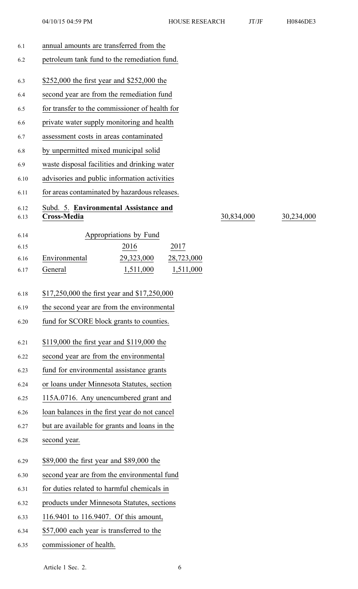| 6.1          | annual amounts are transferred from the              |            |            |
|--------------|------------------------------------------------------|------------|------------|
| 6.2          | petroleum tank fund to the remediation fund.         |            |            |
| 6.3          | \$252,000 the first year and \$252,000 the           |            |            |
| 6.4          | second year are from the remediation fund            |            |            |
| 6.5          | for transfer to the commissioner of health for       |            |            |
| 6.6          | private water supply monitoring and health           |            |            |
| 6.7          | assessment costs in areas contaminated               |            |            |
| 6.8          | by unpermitted mixed municipal solid                 |            |            |
| 6.9          | waste disposal facilities and drinking water         |            |            |
| 6.10         | advisories and public information activities         |            |            |
| 6.11         | for areas contaminated by hazardous releases.        |            |            |
| 6.12<br>6.13 | Subd. 5. Environmental Assistance and<br>Cross-Media | 30,834,000 | 30,234,000 |
| 6.14         | Appropriations by Fund                               |            |            |
| 6.15         | 2016<br>2017                                         |            |            |
| 6.16         | Environmental<br>29,323,000<br>28,723,000            |            |            |
| 6.17         | 1,511,000<br>General<br>1,511,000                    |            |            |
| 6.18         | \$17,250,000 the first year and \$17,250,000         |            |            |
| 6.19         | the second year are from the environmental           |            |            |
| 6.20         | fund for SCORE block grants to counties.             |            |            |
| 6.21         | \$119,000 the first year and \$119,000 the           |            |            |
| 6.22         | second year are from the environmental               |            |            |
| 6.23         | fund for environmental assistance grants             |            |            |
| 6.24         | or loans under Minnesota Statutes, section           |            |            |
| 6.25         | 115A.0716. Any unencumbered grant and                |            |            |
| 6.26         | loan balances in the first year do not cancel        |            |            |
| 6.27         | but are available for grants and loans in the        |            |            |
| 6.28         | second year.                                         |            |            |
| 6.29         | \$89,000 the first year and \$89,000 the             |            |            |
| 6.30         | second year are from the environmental fund          |            |            |
| 6.31         | for duties related to harmful chemicals in           |            |            |
| 6.32         | products under Minnesota Statutes, sections          |            |            |
| 6.33         | 116.9401 to 116.9407. Of this amount,                |            |            |
| 6.34         | \$57,000 each year is transferred to the             |            |            |
| 6.35         | commissioner of health.                              |            |            |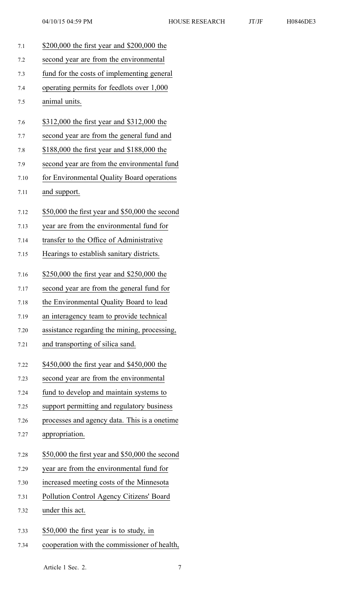7.1 \$200,000 the first year and \$200,000 the 7.2 second year are from the environmental 7.3 fund for the costs of implementing general 7.4 operating permits for feedlots over 1,000 7.5 animal units. 7.6 \$312,000 the first year and \$312,000 the 7.7 second year are from the general fund and 7.8 \$188,000 the first year and \$188,000 the 7.9 second year are from the environmental fund 7.10 for Environmental Quality Board operations 7.11 and support. 7.12 \$50,000 the first year and \$50,000 the second 7.13 year are from the environmental fund for 7.14 transfer to the Office of Administrative 7.15 Hearings to establish sanitary districts. 7.16 \$250,000 the first year and \$250,000 the 7.17 second year are from the general fund for 7.18 the Environmental Quality Board to lead 7.19 an interagency team to provide technical 7.20 assistance regarding the mining, processing, 7.21 and transporting of silica sand. 7.22 \$450,000 the first year and \$450,000 the 7.23 second year are from the environmental 7.24 fund to develop and maintain systems to 7.25 suppor<sup>t</sup> permitting and regulatory business 7.26 processes and agency data. This is <sup>a</sup> onetime 7.27 appropriation. 7.28 \$50,000 the first year and \$50,000 the second 7.29 year are from the environmental fund for 7.30 increased meeting costs of the Minnesota 7.31 Pollution Control Agency Citizens' Board 7.32 under this act. 7.33 \$50,000 the first year is to study, in 7.34 cooperation with the commissioner of health,

Article 1 Sec. 2. 7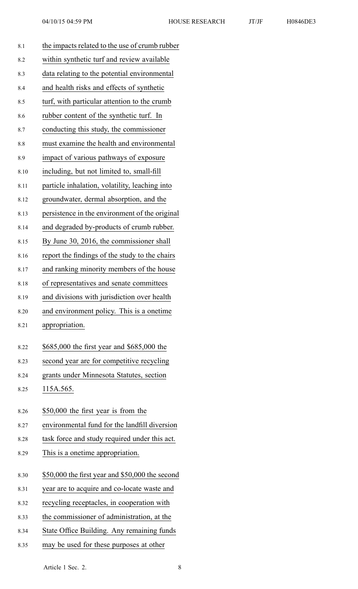| 8.1  | the impacts related to the use of crumb rubber    |
|------|---------------------------------------------------|
| 8.2  | within synthetic turf and review available        |
| 8.3  | data relating to the potential environmental      |
| 8.4  | and health risks and effects of synthetic         |
| 8.5  | turf, with particular attention to the crumb      |
| 8.6  | rubber content of the synthetic turf. In          |
| 8.7  | conducting this study, the commissioner           |
| 8.8  | must examine the health and environmental         |
| 8.9  | impact of various pathways of exposure            |
| 8.10 | including, but not limited to, small-fill         |
| 8.11 | particle inhalation, volatility, leaching into    |
| 8.12 | groundwater, dermal absorption, and the           |
| 8.13 | persistence in the environment of the original    |
| 8.14 | and degraded by-products of crumb rubber.         |
| 8.15 | By June 30, 2016, the commissioner shall          |
| 8.16 | report the findings of the study to the chairs    |
| 8.17 | and ranking minority members of the house         |
| 8.18 | of representatives and senate committees          |
| 8.19 | and divisions with jurisdiction over health       |
| 8.20 | and environment policy. This is a onetime         |
| 8.21 | appropriation.                                    |
| 8.22 | \$685,000 the first year and \$685,000 the        |
| 8.23 | second year are for competitive recycling         |
| 8.24 | grants under Minnesota Statutes, section          |
| 8.25 | 115A.565.                                         |
| 8.26 | \$50,000 the first year is from the               |
| 8.27 | environmental fund for the landfill diversion     |
| 8.28 | task force and study required under this act.     |
| 8.29 | This is a onetime appropriation.                  |
| 8.30 | \$50,000 the first year and \$50,000 the second   |
| 8.31 | year are to acquire and co-locate waste and       |
| 8.32 | recycling receptacles, in cooperation with        |
| 8.33 | the commissioner of administration, at the        |
| 8.34 | <b>State Office Building. Any remaining funds</b> |

8.35 may be used for these purposes at other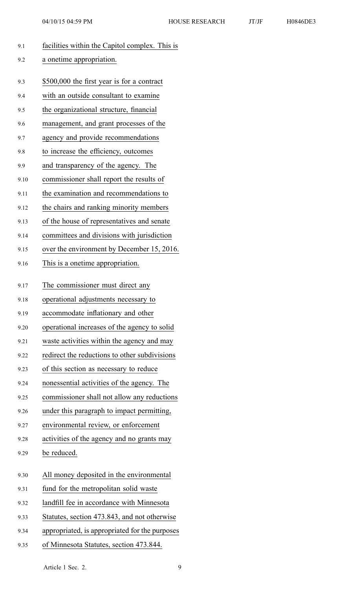| 9.1  | facilities within the Capitol complex. This is |
|------|------------------------------------------------|
| 9.2  | a onetime appropriation.                       |
|      |                                                |
| 9.3  | \$500,000 the first year is for a contract     |
| 9.4  | with an outside consultant to examine          |
| 9.5  | the organizational structure, financial        |
| 9.6  | management, and grant processes of the         |
| 9.7  | agency and provide recommendations             |
| 9.8  | to increase the efficiency, outcomes           |
| 9.9  | and transparency of the agency. The            |
| 9.10 | commissioner shall report the results of       |
| 9.11 | the examination and recommendations to         |
| 9.12 | the chairs and ranking minority members        |
| 9.13 | of the house of representatives and senate     |
| 9.14 | committees and divisions with jurisdiction     |
| 9.15 | over the environment by December 15, 2016.     |
| 9.16 | This is a onetime appropriation.               |
| 9.17 | The commissioner must direct any               |
| 9.18 | operational adjustments necessary to           |
| 9.19 | accommodate inflationary and other             |
| 9.20 | operational increases of the agency to solid   |
| 9.21 | waste activities within the agency and may     |
| 9.22 | redirect the reductions to other subdivisions  |
| 9.23 | of this section as necessary to reduce         |
| 9.24 | nonessential activities of the agency. The     |
| 9.25 | commissioner shall not allow any reductions    |
| 9.26 | under this paragraph to impact permitting,     |
| 9.27 | environmental review, or enforcement           |
| 9.28 | activities of the agency and no grants may     |
| 9.29 | be reduced.                                    |
| 9.30 | All money deposited in the environmental       |
| 9.31 | fund for the metropolitan solid waste          |
| 9.32 | landfill fee in accordance with Minnesota      |
| 9.33 | Statutes, section 473.843, and not otherwise   |
| 9.34 | appropriated, is appropriated for the purposes |

9.35 of Minnesota Statutes, section 473.844.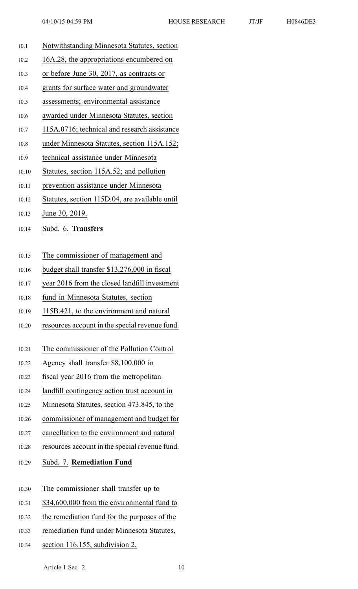- 10.1 Notwithstanding Minnesota Statutes, section
- 10.2 16A.28, the appropriations encumbered on
- 10.3 or before June 30, 2017, as contracts or
- 10.4 grants for surface water and groundwater
- 10.5 assessments; environmental assistance
- 10.6 awarded under Minnesota Statutes, section
- 10.7 115A.0716; technical and research assistance
- 10.8 under Minnesota Statutes, section 115A.152;
- 10.9 technical assistance under Minnesota
- 10.10 Statutes, section 115A.52; and pollution
- 10.11 prevention assistance under Minnesota
- 10.12 Statutes, section 115D.04, are available until
- 10.13 June 30, 2019.
- 10.14 Subd. 6. **Transfers**
- 10.15 The commissioner of managemen<sup>t</sup> and
- 10.16 budget shall transfer \$13,276,000 in fiscal
- 10.17 year 2016 from the closed landfill investment
- 10.18 fund in Minnesota Statutes, section
- 10.19 115B.421, to the environment and natural
- 10.20 resources account in the special revenue fund.
- 10.21 The commissioner of the Pollution Control
- 10.22 Agency shall transfer \$8,100,000 in
- 10.23 fiscal year 2016 from the metropolitan
- 10.24 landfill contingency action trust account in
- 10.25 Minnesota Statutes, section 473.845, to the
- 10.26 commissioner of managemen<sup>t</sup> and budget for
- 10.27 cancellation to the environment and natural
- 10.28 resources account in the special revenue fund.
- 10.29 Subd. 7. **Remediation Fund**
- 10.30 The commissioner shall transfer up to
- 10.31 \$34,600,000 from the environmental fund to
- 10.32 the remediation fund for the purposes of the
- 10.33 remediation fund under Minnesota Statutes,
- 10.34 section 116.155, subdivision 2.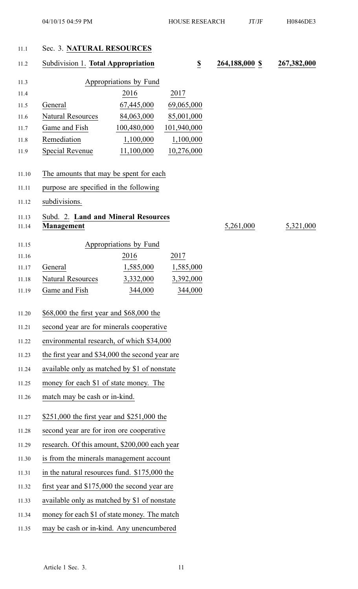### 11.1 Sec. 3. **NATURAL RESOURCES**

| 11.2           | Subdivision 1. Total Appropriation<br>$\underline{\underline{\$}}$ |                        | 264,188,000 \$ | 267,382,000 |           |
|----------------|--------------------------------------------------------------------|------------------------|----------------|-------------|-----------|
| 11.3           |                                                                    | Appropriations by Fund |                |             |           |
| 11.4           |                                                                    | 2016                   | 2017           |             |           |
| 11.5           | General                                                            | 67,445,000             | 69,065,000     |             |           |
| 11.6           | <b>Natural Resources</b>                                           | 84,063,000             | 85,001,000     |             |           |
| 11.7           | Game and Fish                                                      | 100,480,000            | 101,940,000    |             |           |
| 11.8           | Remediation                                                        | 1,100,000              | 1,100,000      |             |           |
| 11.9           | <b>Special Revenue</b>                                             | 11,100,000             | 10,276,000     |             |           |
| 11.10          | The amounts that may be spent for each                             |                        |                |             |           |
| 11.11          | purpose are specified in the following                             |                        |                |             |           |
| 11.12          | subdivisions.                                                      |                        |                |             |           |
| 11.13<br>11.14 | Subd. 2. Land and Mineral Resources<br><b>Management</b>           |                        |                | 5,261,000   | 5,321,000 |
| 11.15          |                                                                    | Appropriations by Fund |                |             |           |
| 11.16          |                                                                    | 2016                   | 2017           |             |           |
| 11.17          | General                                                            | 1,585,000              | 1,585,000      |             |           |
| 11.18          | <b>Natural Resources</b>                                           | 3,332,000              | 3,392,000      |             |           |
| 11.19          | Game and Fish                                                      | 344,000                | 344,000        |             |           |
| 11.20          | \$68,000 the first year and \$68,000 the                           |                        |                |             |           |
| 11.21          | second year are for minerals cooperative                           |                        |                |             |           |
| 11.22          | environmental research, of which \$34,000                          |                        |                |             |           |
| 11.23          | the first year and \$34,000 the second year are                    |                        |                |             |           |
| 11.24          | available only as matched by \$1 of nonstate                       |                        |                |             |           |
| 11.25          | money for each \$1 of state money. The                             |                        |                |             |           |
| 11.26          | match may be cash or in-kind.                                      |                        |                |             |           |
| 11.27          | \$251,000 the first year and \$251,000 the                         |                        |                |             |           |
| 11.28          | second year are for iron ore cooperative                           |                        |                |             |           |
| 11.29          | research. Of this amount, \$200,000 each year                      |                        |                |             |           |
| 11.30          | is from the minerals management account                            |                        |                |             |           |
| 11.31          | in the natural resources fund. \$175,000 the                       |                        |                |             |           |
| 11.32          | first year and \$175,000 the second year are                       |                        |                |             |           |
| 11.33          | available only as matched by \$1 of nonstate                       |                        |                |             |           |
| 11.34          | money for each \$1 of state money. The match                       |                        |                |             |           |
| 11.35          | may be cash or in-kind. Any unencumbered                           |                        |                |             |           |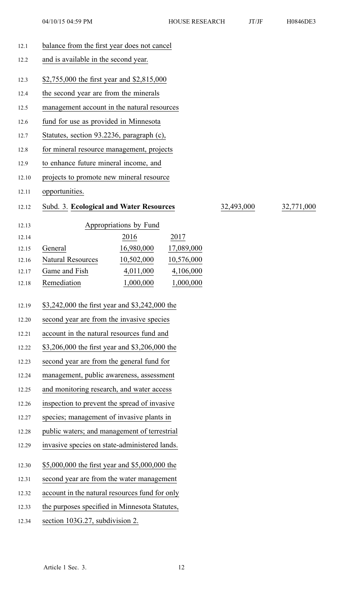| 12.1  | balance from the first year does not cancel                         |  |  |  |
|-------|---------------------------------------------------------------------|--|--|--|
| 12.2  | and is available in the second year.                                |  |  |  |
| 12.3  | \$2,755,000 the first year and \$2,815,000                          |  |  |  |
| 12.4  | the second year are from the minerals                               |  |  |  |
| 12.5  | management account in the natural resources                         |  |  |  |
| 12.6  | fund for use as provided in Minnesota                               |  |  |  |
| 12.7  | Statutes, section 93.2236, paragraph (c),                           |  |  |  |
| 12.8  | for mineral resource management, projects                           |  |  |  |
| 12.9  | to enhance future mineral income, and                               |  |  |  |
| 12.10 | projects to promote new mineral resource                            |  |  |  |
| 12.11 | opportunities.                                                      |  |  |  |
| 12.12 | Subd. 3. Ecological and Water Resources<br>32,493,000<br>32,771,000 |  |  |  |
| 12.13 | Appropriations by Fund                                              |  |  |  |
| 12.14 | 2016<br>2017                                                        |  |  |  |
| 12.15 | 16,980,000<br>General<br>17,089,000                                 |  |  |  |
| 12.16 | <b>Natural Resources</b><br>10,502,000<br>10,576,000                |  |  |  |
| 12.17 | Game and Fish<br>4,011,000<br>4,106,000                             |  |  |  |
| 12.18 | Remediation<br>1,000,000<br>1,000,000                               |  |  |  |
| 12.19 | \$3,242,000 the first year and \$3,242,000 the                      |  |  |  |
| 12.20 | second year are from the invasive species                           |  |  |  |
| 12.21 | account in the natural resources fund and                           |  |  |  |
| 12.22 | \$3,206,000 the first year and \$3,206,000 the                      |  |  |  |
| 12.23 | second year are from the general fund for                           |  |  |  |
| 12.24 | management, public awareness, assessment                            |  |  |  |
| 12.25 | and monitoring research, and water access                           |  |  |  |
| 12.26 | inspection to prevent the spread of invasive                        |  |  |  |
| 12.27 | species; management of invasive plants in                           |  |  |  |
| 12.28 | public waters; and management of terrestrial                        |  |  |  |
| 12.29 | invasive species on state-administered lands.                       |  |  |  |
| 12.30 | \$5,000,000 the first year and \$5,000,000 the                      |  |  |  |
| 12.31 | second year are from the water management                           |  |  |  |
| 12.32 | account in the natural resources fund for only                      |  |  |  |
| 12.33 | the purposes specified in Minnesota Statutes,                       |  |  |  |
| 12.34 | section 103G.27, subdivision 2.                                     |  |  |  |
|       |                                                                     |  |  |  |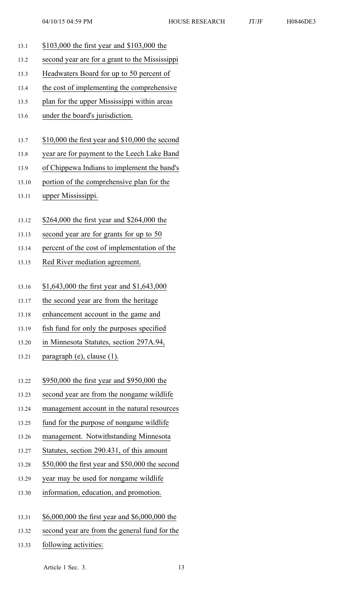- 13.1 \$103,000 the first year and \$103,000 the 13.2 second year are for <sup>a</sup> gran<sup>t</sup> to the Mississippi 13.3 Headwaters Board for up to 50 percen<sup>t</sup> of 13.4 the cost of implementing the comprehensive 13.5 plan for the upper Mississippi within areas 13.6 under the board's jurisdiction. 13.7 \$10,000 the first year and \$10,000 the second 13.8 year are for paymen<sup>t</sup> to the Leech Lake Band 13.9 of Chippewa Indians to implement the band's 13.10 portion of the comprehensive plan for the 13.11 upper Mississippi. 13.12 \$264,000 the first year and \$264,000 the 13.13 second year are for grants for up to 50 13.14 percen<sup>t</sup> of the cost of implementation of the 13.15 Red River mediation agreement. 13.16 \$1,643,000 the first year and \$1,643,000 13.17 the second year are from the heritage 13.18 enhancement account in the game and 13.19 fish fund for only the purposes specified 13.20 in Minnesota Statutes, section 297A.94, 13.21 paragraph (e), clause (1). 13.22 \$950,000 the first year and \$950,000 the 13.23 second year are from the nongame wildlife 13.24 managemen<sup>t</sup> account in the natural resources 13.25 fund for the purpose of nongame wildlife 13.26 management. Notwithstanding Minnesota 13.27 Statutes, section 290.431, of this amount 13.28 \$50,000 the first year and \$50,000 the second 13.29 year may be used for nongame wildlife 13.30 information, education, and promotion. 13.31 \$6,000,000 the first year and \$6,000,000 the 13.32 second year are from the general fund for the
- 13.33 following activities: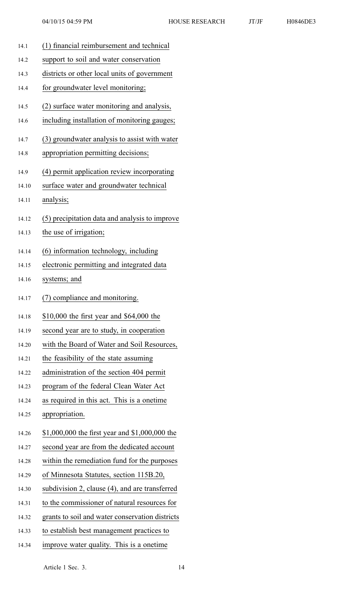14.1 (1) financial reimbursement and technical 14.2 suppor<sup>t</sup> to soil and water conservation 14.3 districts or other local units of governmen<sup>t</sup> 14.4 for groundwater level monitoring; 14.5 (2) surface water monitoring and analysis, 14.6 including installation of monitoring gauges; 14.7 (3) groundwater analysis to assist with water 14.8 appropriation permitting decisions; 14.9 (4) permit application review incorporating 14.10 surface water and groundwater technical 14.11 analysis; 14.12 (5) precipitation data and analysis to improve 14.13 the use of irrigation; 14.14 (6) information technology, including 14.15 electronic permitting and integrated data 14.16 systems; and 14.17 (7) compliance and monitoring. 14.18 \$10,000 the first year and \$64,000 the 14.19 second year are to study, in cooperation 14.20 with the Board of Water and Soil Resources, 14.21 the feasibility of the state assuming 14.22 administration of the section 404 permit 14.23 program of the federal Clean Water Act 14.24 as required in this act. This is <sup>a</sup> onetime 14.25 appropriation. 14.26 \$1,000,000 the first year and \$1,000,000 the 14.27 second year are from the dedicated account 14.28 within the remediation fund for the purposes 14.29 of Minnesota Statutes, section 115B.20, 14.30 subdivision 2, clause (4), and are transferred 14.31 to the commissioner of natural resources for 14.32 grants to soil and water conservation districts 14.33 to establish best managemen<sup>t</sup> practices to 14.34 improve water quality. This is <sup>a</sup> onetime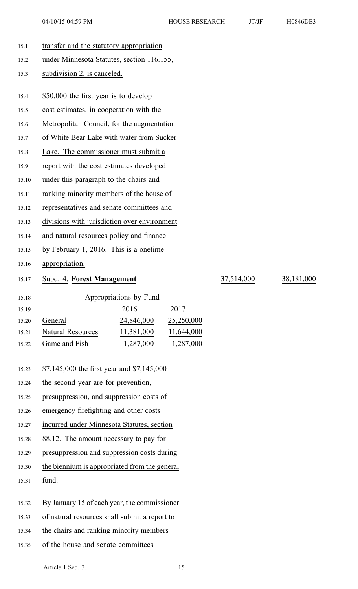| H0846DE3 |
|----------|
|          |

| 15.1  | transfer and the statutory appropriation             |            |            |  |  |
|-------|------------------------------------------------------|------------|------------|--|--|
| 15.2  | under Minnesota Statutes, section 116.155,           |            |            |  |  |
| 15.3  | subdivision 2, is canceled.                          |            |            |  |  |
| 15.4  | \$50,000 the first year is to develop                |            |            |  |  |
| 15.5  | cost estimates, in cooperation with the              |            |            |  |  |
| 15.6  | Metropolitan Council, for the augmentation           |            |            |  |  |
| 15.7  | of White Bear Lake with water from Sucker            |            |            |  |  |
| 15.8  | Lake. The commissioner must submit a                 |            |            |  |  |
| 15.9  | report with the cost estimates developed             |            |            |  |  |
| 15.10 | under this paragraph to the chairs and               |            |            |  |  |
| 15.11 | ranking minority members of the house of             |            |            |  |  |
| 15.12 | representatives and senate committees and            |            |            |  |  |
| 15.13 | divisions with jurisdiction over environment         |            |            |  |  |
| 15.14 | and natural resources policy and finance             |            |            |  |  |
| 15.15 | by February 1, 2016. This is a onetime               |            |            |  |  |
| 15.16 | appropriation.                                       |            |            |  |  |
| 15.17 | Subd. 4. Forest Management                           | 37,514,000 | 38,181,000 |  |  |
| 15.18 | Appropriations by Fund                               |            |            |  |  |
| 15.19 | 2016<br>2017                                         |            |            |  |  |
| 15.20 | 24,846,000<br>General<br>25,250,000                  |            |            |  |  |
| 15.21 | <b>Natural Resources</b><br>11,381,000<br>11,644,000 |            |            |  |  |
| 15.22 | 1,287,000<br>Game and Fish<br>1,287,000              |            |            |  |  |
| 15.23 | \$7,145,000 the first year and \$7,145,000           |            |            |  |  |
| 15.24 | the second year are for prevention,                  |            |            |  |  |
| 15.25 | presuppression, and suppression costs of             |            |            |  |  |
| 15.26 | emergency firefighting and other costs               |            |            |  |  |
| 15.27 | incurred under Minnesota Statutes, section           |            |            |  |  |
| 15.28 | 88.12. The amount necessary to pay for               |            |            |  |  |
| 15.29 | presuppression and suppression costs during          |            |            |  |  |
| 15.30 | the biennium is appropriated from the general        |            |            |  |  |
| 15.31 | fund.                                                |            |            |  |  |
| 15.32 | By January 15 of each year, the commissioner         |            |            |  |  |

- 15.33 of natural resources shall submit <sup>a</sup> repor<sup>t</sup> to
- 15.34 the chairs and ranking minority members
- 15.35 of the house and senate committees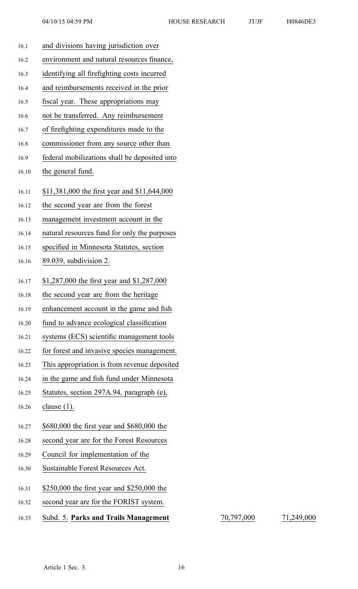| 16.1  | and divisions having jurisdiction over        |
|-------|-----------------------------------------------|
| 16.2  | environment and natural resources finance,    |
| 16.3  | identifying all firefighting costs incurred   |
| 16.4  | and reimbursements received in the prior      |
| 16.5  | fiscal year. These appropriations may         |
| 16.6  | not be transferred. Any reimbursement         |
| 16.7  | of firefighting expenditures made to the      |
| 16.8  | commissioner from any source other than       |
| 16.9  | federal mobilizations shall be deposited into |
| 16.10 | the general fund.                             |
| 16.11 | \$11,381,000 the first year and \$11,644,000  |
| 16.12 | the second year are from the forest           |
| 16.13 | management investment account in the          |
| 16.14 | natural resources fund for only the purposes  |
| 16.15 | specified in Minnesota Statutes, section      |
| 16.16 | 89.039, subdivision 2.                        |
| 16.17 | \$1,287,000 the first year and \$1,287,000    |
| 16.18 | the second year are from the heritage         |
| 16.19 | enhancement account in the game and fish      |
| 16.20 | fund to advance ecological classification     |
| 16.21 | systems (ECS) scientific management tools     |
| 16.22 | for forest and invasive species management.   |
| 16.23 | This appropriation is from revenue deposited  |
| 16.24 | in the game and fish fund under Minnesota     |
| 16.25 | Statutes, section 297A.94, paragraph (e),     |
| 16.26 | clause $(1)$ .                                |
| 16.27 | \$680,000 the first year and \$680,000 the    |
| 16.28 | second year are for the Forest Resources      |
| 16.29 | Council for implementation of the             |
| 16.30 | Sustainable Forest Resources Act.             |
| 16.31 | \$250,000 the first year and \$250,000 the    |
| 16.32 | second year are for the FORIST system.        |
| 16.33 | Subd. 5. Parks and Trails Management          |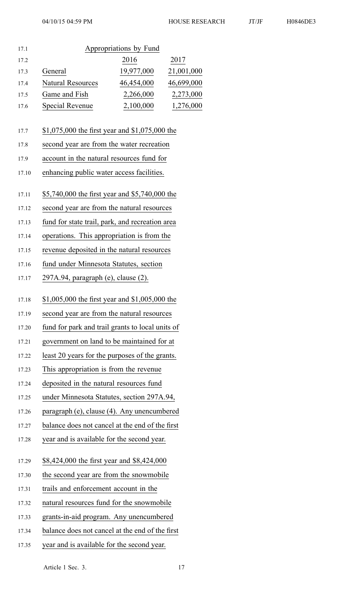| 17.1 |                          | Appropriations by Fund |            |
|------|--------------------------|------------------------|------------|
| 17.2 |                          | 2016                   | 2017       |
| 17.3 | General                  | 19,977,000             | 21,001,000 |
| 17.4 | <b>Natural Resources</b> | 46,454,000             | 46,699,000 |
| 17.5 | Game and Fish            | 2,266,000              | 2,273,000  |
| 17.6 | Special Revenue          | 2,100,000              | 1,276,000  |

#### 17.7 \$1,075,000 the first year and \$1,075,000 the

- 17.8 second year are from the water recreation
- 17.9 account in the natural resources fund for
- 17.10 enhancing public water access facilities.
- 17.11 \$5,740,000 the first year and \$5,740,000 the
- 17.12 second year are from the natural resources
- 17.13 fund for state trail, park, and recreation area
- 17.14 operations. This appropriation is from the
- 17.15 revenue deposited in the natural resources
- 17.16 fund under Minnesota Statutes, section
- 17.17 297A.94, paragraph (e), clause (2).
- 17.18 \$1,005,000 the first year and \$1,005,000 the
- 17.19 second year are from the natural resources
- 17.20 fund for park and trail grants to local units of
- 17.21 governmen<sup>t</sup> on land to be maintained for at
- 17.22 least 20 years for the purposes of the grants.
- 17.23 This appropriation is from the revenue
- 17.24 deposited in the natural resources fund
- 17.25 under Minnesota Statutes, section 297A.94,
- 17.26 paragraph (e), clause (4). Any unencumbered
- 17.27 balance does not cancel at the end of the first
- 17.28 year and is available for the second year.
- 17.29 \$8,424,000 the first year and \$8,424,000
- 17.30 the second year are from the snowmobile
- 17.31 trails and enforcement account in the
- 17.32 natural resources fund for the snowmobile
- 17.33 grants-in-aid program. Any unencumbered
- 17.34 balance does not cancel at the end of the first
- 17.35 year and is available for the second year.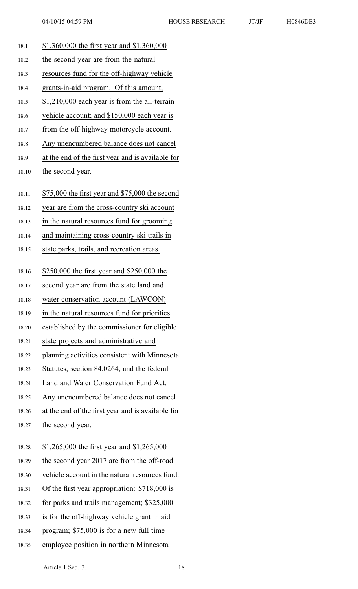| 18.1  | \$1,360,000 the first year and \$1,360,000        |
|-------|---------------------------------------------------|
| 18.2  | the second year are from the natural              |
| 18.3  | resources fund for the off-highway vehicle        |
| 18.4  | grants-in-aid program. Of this amount,            |
| 18.5  | \$1,210,000 each year is from the all-terrain     |
| 18.6  | vehicle account; and \$150,000 each year is       |
| 18.7  | from the off-highway motorcycle account.          |
| 18.8  | Any unencumbered balance does not cancel          |
| 18.9  | at the end of the first year and is available for |
| 18.10 | the second year.                                  |
|       |                                                   |
| 18.11 | \$75,000 the first year and \$75,000 the second   |
| 18.12 | year are from the cross-country ski account       |
| 18.13 | in the natural resources fund for grooming        |
| 18.14 | and maintaining cross-country ski trails in       |
| 18.15 | state parks, trails, and recreation areas.        |
| 18.16 | \$250,000 the first year and \$250,000 the        |
| 18.17 | second year are from the state land and           |
| 18.18 | water conservation account (LAWCON)               |
| 18.19 | in the natural resources fund for priorities      |
| 18.20 | established by the commissioner for eligible      |
| 18.21 | state projects and administrative and             |
| 18.22 | planning activities consistent with Minnesota     |
| 18.23 | Statutes, section 84.0264, and the federal        |
| 18.24 | Land and Water Conservation Fund Act.             |
| 18.25 | Any unencumbered balance does not cancel          |
| 18.26 | at the end of the first year and is available for |
| 18.27 | the second year.                                  |
|       |                                                   |
| 18.28 | \$1,265,000 the first year and \$1,265,000        |
| 18.29 | the second year 2017 are from the off-road        |
| 18.30 | vehicle account in the natural resources fund.    |
| 18.31 | Of the first year appropriation: \$718,000 is     |
| 18.32 | for parks and trails management; \$325,000        |
| 18.33 | is for the off-highway vehicle grant in aid       |
| 18.34 | program; \$75,000 is for a new full time          |
| 18.35 | employee position in northern Minnesota           |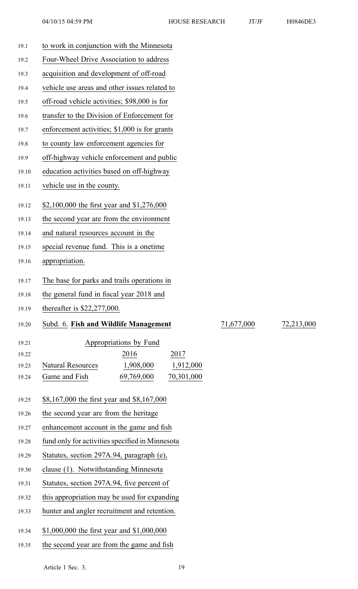| 19.1  | to work in conjunction with the Minnesota          |            |            |
|-------|----------------------------------------------------|------------|------------|
| 19.2  | Four-Wheel Drive Association to address            |            |            |
| 19.3  | acquisition and development of off-road            |            |            |
| 19.4  | vehicle use areas and other issues related to      |            |            |
| 19.5  | off-road vehicle activities; \$98,000 is for       |            |            |
| 19.6  | transfer to the Division of Enforcement for        |            |            |
| 19.7  | enforcement activities; \$1,000 is for grants      |            |            |
| 19.8  | to county law enforcement agencies for             |            |            |
| 19.9  | off-highway vehicle enforcement and public         |            |            |
| 19.10 | education activities based on off-highway          |            |            |
| 19.11 | vehicle use in the county.                         |            |            |
| 19.12 | \$2,100,000 the first year and \$1,276,000         |            |            |
| 19.13 | the second year are from the environment           |            |            |
| 19.14 | and natural resources account in the               |            |            |
| 19.15 | special revenue fund. This is a onetime            |            |            |
| 19.16 | appropriation.                                     |            |            |
|       |                                                    |            |            |
| 19.17 | The base for parks and trails operations in        |            |            |
| 19.18 | the general fund in fiscal year 2018 and           |            |            |
| 19.19 | thereafter is $$22,277,000$ .                      |            |            |
| 19.20 | Subd. 6. Fish and Wildlife Management              | 71,677,000 | 72,213,000 |
| 19.21 | Appropriations by Fund                             |            |            |
| 19.22 | 2016<br>2017                                       |            |            |
| 19.23 | 1,908,000<br><b>Natural Resources</b><br>1,912,000 |            |            |
| 19.24 | Game and Fish<br>70,301,000<br>69,769,000          |            |            |
| 19.25 | \$8,167,000 the first year and \$8,167,000         |            |            |
| 19.26 | the second year are from the heritage              |            |            |
| 19.27 | enhancement account in the game and fish           |            |            |
| 19.28 | fund only for activities specified in Minnesota    |            |            |
| 19.29 | Statutes, section 297A.94, paragraph (e),          |            |            |
| 19.30 | clause (1). Notwithstanding Minnesota              |            |            |
| 19.31 | Statutes, section 297A.94, five percent of         |            |            |
| 19.32 | this appropriation may be used for expanding       |            |            |
|       |                                                    |            |            |

- 19.33 hunter and angler recruitment and retention.
- 19.34 \$1,000,000 the first year and \$1,000,000
- 19.35 the second year are from the game and fish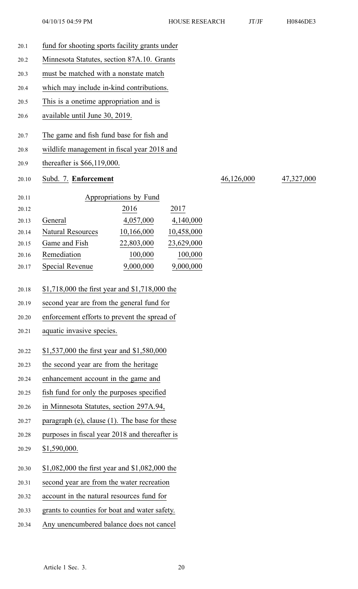20.1 fund for shooting sports facility grants under 20.2 Minnesota Statutes, section 87A.10. Grants 20.3 must be matched with <sup>a</sup> nonstate match 20.4 which may include in-kind contributions. 20.5 This is <sup>a</sup> onetime appropriation and is 20.6 available until June 30, 2019. 20.7 The game and fish fund base for fish and 20.8 wildlife managemen<sup>t</sup> in fiscal year 2018 and 20.9 thereafter is \$66,119,000. 20.10 Subd. 7. **Enforcement** 46,126,000 47,327,000 20.11 Appropriations by Fund 20.12 2016 2017 20.13 General 4,057,000 4,140,000 20.14 Natural Resources 10,166,000 10,458,000 20.15 Game and Fish 22,803,000 23,629,000 20.16 Remediation 100,000 100,000 20.17 Special Revenue 9,000,000 9,000,000 20.18 \$1,718,000 the first year and \$1,718,000 the 20.19 second year are from the general fund for 20.20 enforcement efforts to preven<sup>t</sup> the spread of 20.21 aquatic invasive species. 20.22 \$1,537,000 the first year and \$1,580,000 20.23 the second year are from the heritage 20.24 enhancement account in the game and 20.25 fish fund for only the purposes specified 20.26 in Minnesota Statutes, section 297A.94, 20.27 paragraph (e), clause (1). The base for these 20.28 purposes in fiscal year 2018 and thereafter is 20.29 \$1,590,000. 20.30 \$1,082,000 the first year and \$1,082,000 the 20.31 second year are from the water recreation 20.32 account in the natural resources fund for 20.33 grants to counties for boat and water safety. 20.34 Any unencumbered balance does not cancel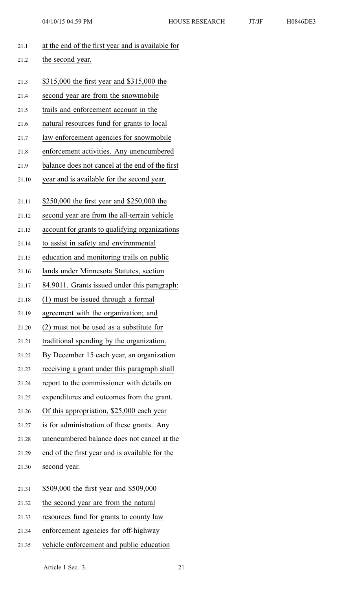| 21.1  | at the end of the first year and is available for |
|-------|---------------------------------------------------|
| 21.2  | the second year.                                  |
|       |                                                   |
| 21.3  | \$315,000 the first year and \$315,000 the        |
| 21.4  | second year are from the snowmobile               |
| 21.5  | trails and enforcement account in the             |
| 21.6  | natural resources fund for grants to local        |
| 21.7  | law enforcement agencies for snowmobile           |
| 21.8  | enforcement activities. Any unencumbered          |
| 21.9  | balance does not cancel at the end of the first   |
| 21.10 | year and is available for the second year.        |
| 21.11 | \$250,000 the first year and \$250,000 the        |
| 21.12 | second year are from the all-terrain vehicle      |
| 21.13 | account for grants to qualifying organizations    |
| 21.14 | to assist in safety and environmental             |
| 21.15 | education and monitoring trails on public         |
| 21.16 | lands under Minnesota Statutes, section           |
| 21.17 | 84.9011. Grants issued under this paragraph:      |
| 21.18 | (1) must be issued through a formal               |
| 21.19 | agreement with the organization; and              |
| 21.20 | (2) must not be used as a substitute for          |
| 21.21 | traditional spending by the organization.         |
| 21.22 | By December 15 each year, an organization         |
| 21.23 | receiving a grant under this paragraph shall      |
| 21.24 | report to the commissioner with details on        |
| 21.25 | expenditures and outcomes from the grant.         |
| 21.26 | Of this appropriation, \$25,000 each year         |
| 21.27 | is for administration of these grants. Any        |
| 21.28 | unencumbered balance does not cancel at the       |
| 21.29 | end of the first year and is available for the    |
| 21.30 | second year.                                      |
|       |                                                   |
| 21.31 | \$509,000 the first year and \$509,000            |
| 21.32 | the second year are from the natural              |
| 21.33 | resources fund for grants to county law           |
| 21.34 | enforcement agencies for off-highway              |

21.35 vehicle enforcement and public education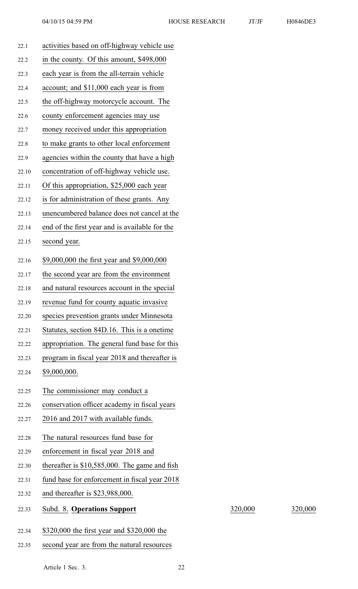| 22.1  | activities based on off-highway vehicle use     |         |         |
|-------|-------------------------------------------------|---------|---------|
| 22.2  | in the county. Of this amount, \$498,000        |         |         |
| 22.3  | each year is from the all-terrain vehicle       |         |         |
| 22.4  | account; and \$11,000 each year is from         |         |         |
| 22.5  | the off-highway motorcycle account. The         |         |         |
| 22.6  | county enforcement agencies may use             |         |         |
| 22.7  | money received under this appropriation         |         |         |
| 22.8  | to make grants to other local enforcement       |         |         |
| 22.9  | agencies within the county that have a high     |         |         |
| 22.10 | concentration of off-highway vehicle use.       |         |         |
| 22.11 | Of this appropriation, \$25,000 each year       |         |         |
| 22.12 | is for administration of these grants. Any      |         |         |
| 22.13 | unencumbered balance does not cancel at the     |         |         |
| 22.14 | end of the first year and is available for the  |         |         |
| 22.15 | second year.                                    |         |         |
| 22.16 | \$9,000,000 the first year and \$9,000,000      |         |         |
| 22.17 | the second year are from the environment        |         |         |
| 22.18 | and natural resources account in the special    |         |         |
| 22.19 | revenue fund for county aquatic invasive        |         |         |
| 22.20 | species prevention grants under Minnesota       |         |         |
| 22.21 | Statutes, section 84D.16. This is a onetime     |         |         |
| 22.22 | appropriation. The general fund base for this   |         |         |
| 22.23 | program in fiscal year 2018 and thereafter is   |         |         |
| 22.24 | \$9,000,000.                                    |         |         |
| 22.25 | The commissioner may conduct a                  |         |         |
| 22.26 | conservation officer academy in fiscal years    |         |         |
| 22.27 | 2016 and 2017 with available funds.             |         |         |
| 22.28 | The natural resources fund base for             |         |         |
| 22.29 | enforcement in fiscal year 2018 and             |         |         |
| 22.30 | thereafter is $$10,585,000$ . The game and fish |         |         |
| 22.31 | fund base for enforcement in fiscal year 2018   |         |         |
| 22.32 | and thereafter is $$23,988,000$ .               |         |         |
| 22.33 | Subd. 8. Operations Support                     | 320,000 | 320,000 |
| 22.34 | \$320,000 the first year and \$320,000 the      |         |         |
|       |                                                 |         |         |

22.35 second year are from the natural resources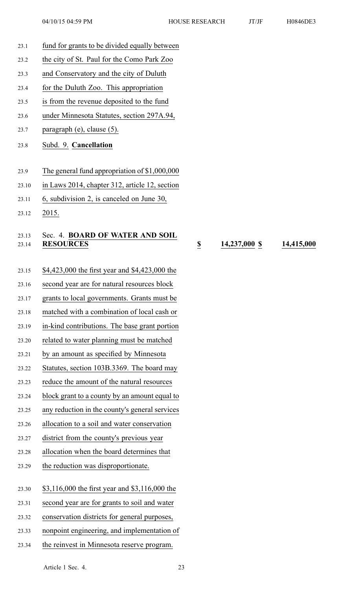- 23.1 fund for grants to be divided equally between
- 23.2 the city of St. Paul for the Como Park Zoo
- 23.3 and Conservatory and the city of Duluth
- 23.4 for the Duluth Zoo. This appropriation
- 23.5 is from the revenue deposited to the fund
- 23.6 under Minnesota Statutes, section 297A.94,
- 23.7 paragraph (e), clause (5).
- 23.8 Subd. 9. **Cancellation**
- 23.9 The general fund appropriation of \$1,000,000
- 23.10 in Laws 2014, chapter 312, article 12, section
- 23.11 6, subdivision 2, is canceled on June 30,
- 23.12 2015.

### 23.13 Sec. 4. **BOARD OF WATER AND SOIL** 23.14 **RESOURCES \$ 14,237,000 \$ 14,415,000**

- 23.15 \$4,423,000 the first year and \$4,423,000 the
- 23.16 second year are for natural resources block
- 23.17 grants to local governments. Grants must be
- 23.18 matched with <sup>a</sup> combination of local cash or
- 23.19 in-kind contributions. The base gran<sup>t</sup> portion
- 23.20 related to water planning must be matched
- 23.21 by an amount as specified by Minnesota
- 23.22 Statutes, section 103B.3369. The board may
- 23.23 reduce the amount of the natural resources
- 23.24 block gran<sup>t</sup> to <sup>a</sup> county by an amount equal to
- 23.25 any reduction in the county's general services
- 23.26 allocation to <sup>a</sup> soil and water conservation
- 23.27 district from the county's previous year
- 23.28 allocation when the board determines that
- 23.29 the reduction was disproportionate.
- 23.30 \$3,116,000 the first year and \$3,116,000 the
- 23.31 second year are for grants to soil and water
- 23.32 conservation districts for general purposes,
- 23.33 nonpoint engineering, and implementation of
- 23.34 the reinvest in Minnesota reserve program.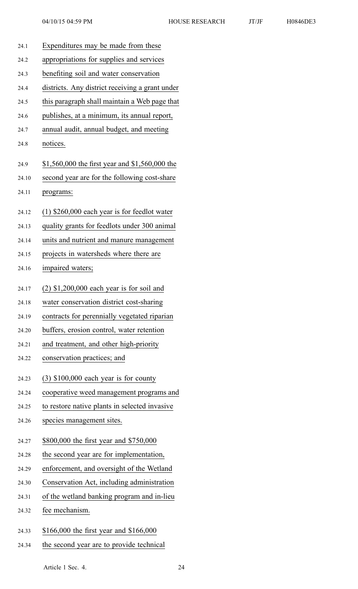| 24.1  | Expenditures may be made from these             |
|-------|-------------------------------------------------|
| 24.2  | appropriations for supplies and services        |
| 24.3  | benefiting soil and water conservation          |
| 24.4  | districts. Any district receiving a grant under |
| 24.5  | this paragraph shall maintain a Web page that   |
| 24.6  | publishes, at a minimum, its annual report,     |
| 24.7  | annual audit, annual budget, and meeting        |
| 24.8  | notices.                                        |
| 24.9  | \$1,560,000 the first year and \$1,560,000 the  |
| 24.10 | second year are for the following cost-share    |
| 24.11 | programs:                                       |
|       |                                                 |
| 24.12 | $(1)$ \$260,000 each year is for feedlot water  |
| 24.13 | quality grants for feedlots under 300 animal    |
| 24.14 | units and nutrient and manure management        |
| 24.15 | projects in watersheds where there are          |
| 24.16 | impaired waters;                                |
| 24.17 | $(2)$ \$1,200,000 each year is for soil and     |
| 24.18 | water conservation district cost-sharing        |
| 24.19 | contracts for perennially vegetated riparian    |
| 24.20 | buffers, erosion control, water retention       |
| 24.21 | and treatment, and other high-priority          |
| 24.22 | conservation practices; and                     |
| 24.23 | $(3)$ \$100,000 each year is for county         |
| 24.24 | cooperative weed management programs and        |
| 24.25 | to restore native plants in selected invasive   |
| 24.26 | species management sites.                       |
| 24.27 | \$800,000 the first year and \$750,000          |
| 24.28 | the second year are for implementation,         |
| 24.29 | enforcement, and oversight of the Wetland       |
| 24.30 | Conservation Act, including administration      |
| 24.31 | of the wetland banking program and in-lieu      |
| 24.32 | fee mechanism.                                  |
|       |                                                 |
| 24.33 | \$166,000 the first year and \$166,000          |
| 24.34 | the second year are to provide technical        |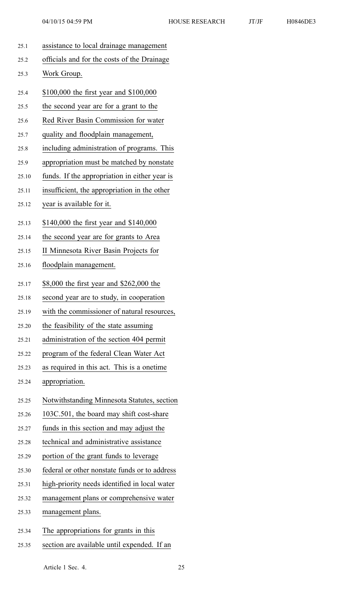| 25.1  | assistance to local drainage management       |
|-------|-----------------------------------------------|
| 25.2  | officials and for the costs of the Drainage   |
| 25.3  | Work Group.                                   |
| 25.4  | \$100,000 the first year and \$100,000        |
| 25.5  | the second year are for a grant to the        |
| 25.6  | Red River Basin Commission for water          |
| 25.7  | quality and floodplain management,            |
| 25.8  | including administration of programs. This    |
| 25.9  | appropriation must be matched by nonstate     |
| 25.10 | funds. If the appropriation in either year is |
| 25.11 | insufficient, the appropriation in the other  |
| 25.12 | year is available for it.                     |
| 25.13 | \$140,000 the first year and \$140,000        |
| 25.14 | the second year are for grants to Area        |
| 25.15 | II Minnesota River Basin Projects for         |
| 25.16 | floodplain management.                        |
| 25.17 | \$8,000 the first year and \$262,000 the      |
| 25.18 | second year are to study, in cooperation      |
| 25.19 | with the commissioner of natural resources,   |
| 25.20 | the feasibility of the state assuming         |
| 25.21 | administration of the section 404 permit      |
| 25.22 | program of the federal Clean Water Act        |
| 25.23 | as required in this act. This is a onetime    |
| 25.24 | appropriation.                                |
| 25.25 | Notwithstanding Minnesota Statutes, section   |
| 25.26 | 103C.501, the board may shift cost-share      |
| 25.27 | funds in this section and may adjust the      |
| 25.28 | technical and administrative assistance       |
| 25.29 | portion of the grant funds to leverage        |
| 25.30 | federal or other nonstate funds or to address |
| 25.31 | high-priority needs identified in local water |
| 25.32 | management plans or comprehensive water       |
| 25.33 | management plans.                             |
| 25.34 | The appropriations for grants in this         |
| 25.35 | section are available until expended. If an   |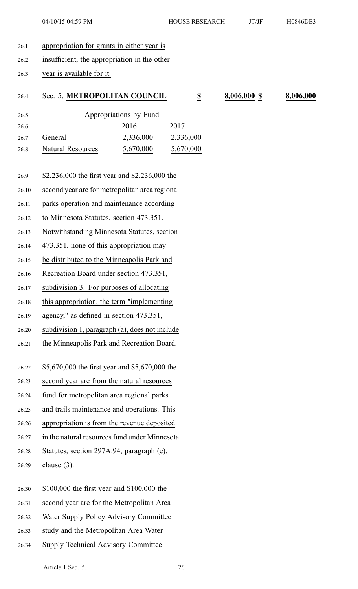- 26.1 appropriation for grants in either year is
- 26.2 insufficient, the appropriation in the other
- 26.3 year is available for it.

### 26.4 Sec. 5. **METROPOLITAN COUNCIL \$ 8,006,000 \$ 8,006,000**

| 26.5 |                          | Appropriations by Fund |           |
|------|--------------------------|------------------------|-----------|
| 26.6 |                          | 2016                   | 2017      |
| 26.7 | General                  | 2,336,000              | 2,336,000 |
| 26.8 | <b>Natural Resources</b> | 5,670,000              | 5,670,000 |

- 26.9 \$2,236,000 the first year and \$2,236,000 the
- 26.10 second year are for metropolitan area regional
- 26.11 parks operation and maintenance according
- 26.12 to Minnesota Statutes, section 473.351.
- 26.13 Notwithstanding Minnesota Statutes, section
- 26.14 473.351, none of this appropriation may
- 26.15 be distributed to the Minneapolis Park and
- 26.16 Recreation Board under section 473.351,
- 26.17 subdivision 3. For purposes of allocating
- 26.18 this appropriation, the term "implementing
- 26.19 agency," as defined in section 473.351,
- 26.20 subdivision 1, paragraph (a), does not include
- 26.21 the Minneapolis Park and Recreation Board.
- 26.22 \$5,670,000 the first year and \$5,670,000 the
- 26.23 second year are from the natural resources
- 26.24 fund for metropolitan area regional parks
- 26.25 and trails maintenance and operations. This
- 26.26 appropriation is from the revenue deposited
- 26.27 in the natural resources fund under Minnesota
- 26.28 Statutes, section 297A.94, paragraph (e),
- 26.29 clause (3).
- 26.30 \$100,000 the first year and \$100,000 the
- 26.31 second year are for the Metropolitan Area
- 26.32 Water Supply Policy Advisory Committee
- 26.33 study and the Metropolitan Area Water
- 26.34 Supply Technical Advisory Committee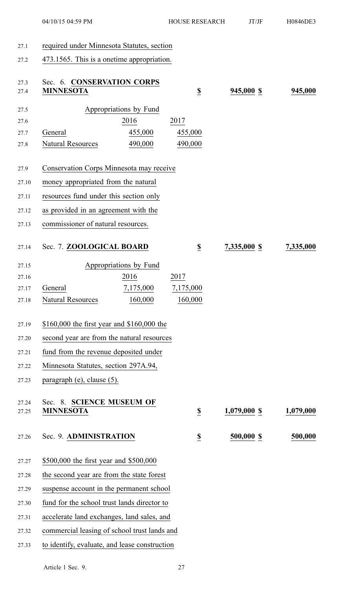## 27.1 required under Minnesota Statutes, section

27.2 473.1565. This is <sup>a</sup> onetime appropriation.

| 27.3<br>27.4   | Sec. 6. CONSERVATION CORPS<br><b>MINNESOTA</b>  |           | $\underline{\$}$             | 945,000 \$     | 945,000   |
|----------------|-------------------------------------------------|-----------|------------------------------|----------------|-----------|
| 27.5           | Appropriations by Fund                          |           |                              |                |           |
| 27.6           | 2016                                            |           | 2017                         |                |           |
| 27.7           | General                                         | 455,000   | 455,000                      |                |           |
| 27.8           | <b>Natural Resources</b>                        | 490,000   | 490,000                      |                |           |
| 27.9           | <b>Conservation Corps Minnesota may receive</b> |           |                              |                |           |
| 27.10          | money appropriated from the natural             |           |                              |                |           |
| 27.11          | resources fund under this section only          |           |                              |                |           |
| 27.12          | as provided in an agreement with the            |           |                              |                |           |
| 27.13          | commissioner of natural resources.              |           |                              |                |           |
| 27.14          | Sec. 7. ZOOLOGICAL BOARD                        |           | $\underline{\mathbb{S}}$     | 7,335,000 \$   | 7,335,000 |
| 27.15          | Appropriations by Fund                          |           |                              |                |           |
| 27.16          | 2016                                            |           | 2017                         |                |           |
| 27.17          | General                                         | 7,175,000 | 7,175,000                    |                |           |
| 27.18          | <b>Natural Resources</b>                        | 160,000   | 160,000                      |                |           |
| 27.19          | \$160,000 the first year and \$160,000 the      |           |                              |                |           |
| 27.20          | second year are from the natural resources      |           |                              |                |           |
| 27.21          | fund from the revenue deposited under           |           |                              |                |           |
| 27.22          | Minnesota Statutes, section 297A.94,            |           |                              |                |           |
| 27.23          | paragraph $(e)$ , clause $(5)$ .                |           |                              |                |           |
| 27.24<br>27.25 | Sec. 8. SCIENCE MUSEUM OF<br><b>MINNESOTA</b>   |           | $\underline{\underline{\$}}$ | $1,079,000$ \$ | 1,079,000 |
| 27.26          | Sec. 9. ADMINISTRATION                          |           | $\underline{\underline{\$}}$ | 500,000 \$     | 500,000   |
| 27.27          | \$500,000 the first year and \$500,000          |           |                              |                |           |
| 27.28          | the second year are from the state forest       |           |                              |                |           |
| 27.29          | suspense account in the permanent school        |           |                              |                |           |
| 27.30          | fund for the school trust lands director to     |           |                              |                |           |
| 27.31          | accelerate land exchanges, land sales, and      |           |                              |                |           |
| 27.32          | commercial leasing of school trust lands and    |           |                              |                |           |
| 27.33          | to identify, evaluate, and lease construction   |           |                              |                |           |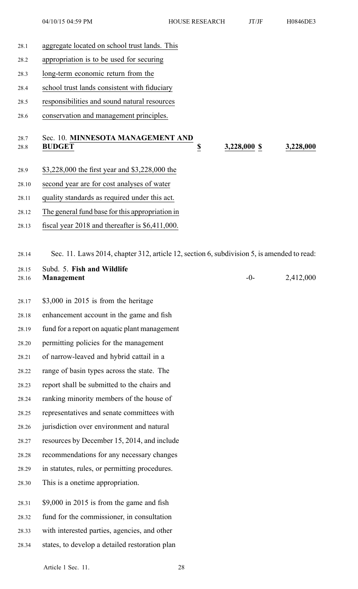04/10/15 04:59 PM HOUSE RESEARCH JT/JF H0846DE3

- 28.1 aggregate located on school trust lands. This 28.2 appropriation is to be used for securing 28.3 long-term economic return from the 28.4 school trust lands consistent with fiduciary 28.5 responsibilities and sound natural resources 28.6 conservation and managemen<sup>t</sup> principles. 28.7 Sec. 10. **MINNESOTA MANAGEMENT AND** 28.8 **BUDGET \$ 3,228,000 \$ 3,228,000** 28.9 \$3,228,000 the first year and \$3,228,000 the 28.10 second year are for cost analyses of water 28.11 quality standards as required under this act. 28.12 The general fund base for this appropriation in 28.13 fiscal year 2018 and thereafter is \$6,411,000. 28.14 Sec. 11. Laws 2014, chapter 312, article 12, section 6, subdivision 5, is amended to read: 28.15 Subd. 5. **Fish and Wildlife** 28.16 **Management** -0- 2,412,000 28.17 \$3,000 in 2015 is from the heritage 28.18 enhancement account in the game and fish 28.19 fund for <sup>a</sup> repor<sup>t</sup> on aquatic plant managemen<sup>t</sup> 28.20 permitting policies for the managemen<sup>t</sup> 28.21 of narrow-leaved and hybrid cattail in <sup>a</sup> 28.22 range of basin types across the state. The 28.23 repor<sup>t</sup> shall be submitted to the chairs and 28.24 ranking minority members of the house of 28.25 representatives and senate committees with 28.26 jurisdiction over environment and natural 28.27 resources by December 15, 2014, and include 28.28 recommendations for any necessary changes 28.29 in statutes, rules, or permitting procedures. 28.30 This is <sup>a</sup> onetime appropriation. 28.31 \$9,000 in 2015 is from the game and fish 28.32 fund for the commissioner, in consultation
- 28.33 with interested parties, agencies, and other
- 28.34 states, to develop <sup>a</sup> detailed restoration plan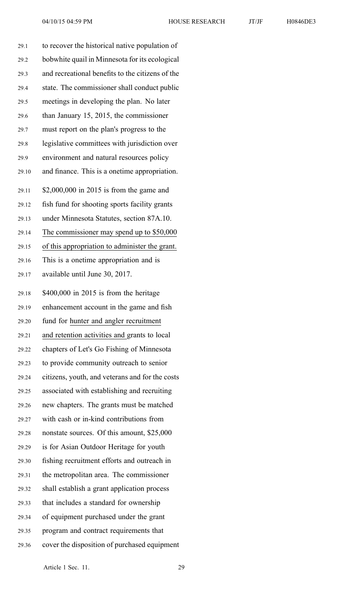| 29.1  | to recover the historical native population of   |
|-------|--------------------------------------------------|
| 29.2  | bobwhite quail in Minnesota for its ecological   |
| 29.3  | and recreational benefits to the citizens of the |
| 29.4  | state. The commissioner shall conduct public     |
| 29.5  | meetings in developing the plan. No later        |
| 29.6  | than January 15, 2015, the commissioner          |
| 29.7  | must report on the plan's progress to the        |
| 29.8  | legislative committees with jurisdiction over    |
| 29.9  | environment and natural resources policy         |
| 29.10 | and finance. This is a onetime appropriation.    |
| 29.11 | $$2,000,000$ in 2015 is from the game and        |
| 29.12 | fish fund for shooting sports facility grants    |
| 29.13 | under Minnesota Statutes, section 87A.10.        |
| 29.14 | The commissioner may spend up to \$50,000        |
| 29.15 | of this appropriation to administer the grant.   |
| 29.16 | This is a onetime appropriation and is           |
| 29.17 | available until June 30, 2017.                   |
| 29.18 | $$400,000$ in 2015 is from the heritage          |
| 29.19 | enhancement account in the game and fish         |
| 29.20 | fund for hunter and angler recruitment           |
| 29.21 | and retention activities and grants to local     |
| 29.22 | chapters of Let's Go Fishing of Minnesota        |
| 29.23 | to provide community outreach to senior          |
| 29.24 | citizens, youth, and veterans and for the costs  |
| 29.25 | associated with establishing and recruiting      |
| 29.26 | new chapters. The grants must be matched         |
| 29.27 | with cash or in-kind contributions from          |
| 29.28 | nonstate sources. Of this amount, \$25,000       |
| 29.29 | is for Asian Outdoor Heritage for youth          |
| 29.30 | fishing recruitment efforts and outreach in      |
| 29.31 | the metropolitan area. The commissioner          |
| 29.32 | shall establish a grant application process      |
| 29.33 | that includes a standard for ownership           |
| 29.34 | of equipment purchased under the grant           |
| 29.35 | program and contract requirements that           |
| 29.36 | cover the disposition of purchased equipment     |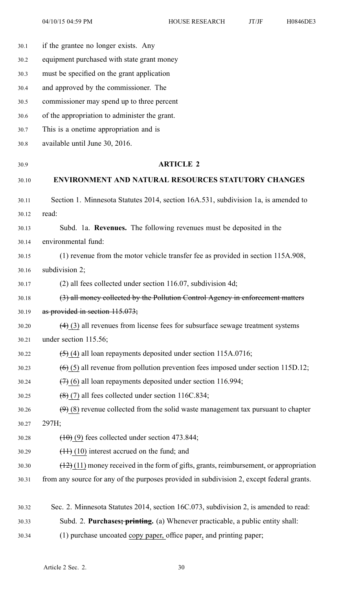04/10/15 04:59 PM HOUSE RESEARCH JT/JF H0846DE3

30.1 if the grantee no longer exists. Any 30.2 equipment purchased with state gran<sup>t</sup> money 30.3 must be specified on the gran<sup>t</sup> application 30.4 and approved by the commissioner. The 30.5 commissioner may spend up to three percen<sup>t</sup> 30.6 of the appropriation to administer the grant. 30.7 This is <sup>a</sup> onetime appropriation and is 30.8 available until June 30, 2016. 30.9 **ARTICLE 2** 30.10 **ENVIRONMENT AND NATURAL RESOURCES STATUTORY CHANGES** 30.11 Section 1. Minnesota Statutes 2014, section 16A.531, subdivision 1a, is amended to 30.12 read: 30.13 Subd. 1a. **Revenues.** The following revenues must be deposited in the 30.14 environmental fund: 30.15 (1) revenue from the motor vehicle transfer fee as provided in section 115A.908, 30.16 subdivision 2; 30.17 (2) all fees collected under section 116.07, subdivision 4d; 30.18 (3) all money collected by the Pollution Control Agency in enforcement matters 30.19 as provided in section  $115.073$ ; 30.20 (4) (3) all revenues from license fees for subsurface sewage treatment systems 30.21 under section 115.56;  $30.22$   $(5)$  (4) all loan repayments deposited under section 115A.0716; 30.23 (6) (5) all revenue from pollution prevention fees imposed under section 115D.12; 30.24  $(7)$  (6) all loan repayments deposited under section 116.994; 30.25 (8) (7) all fees collected under section 116C.834; 30.26  $(9)$  (8) revenue collected from the solid waste management tax pursuant to chapter 30.27 297H;  $30.28$  (10) (9) fees collected under section 473.844;  $30.29$   $(11)$  (10) interest accrued on the fund; and  $30.30$  (12) (11) money received in the form of gifts, grants, reimbursement, or appropriation 30.31 from any source for any of the purposes provided in subdivision 2, excep<sup>t</sup> federal grants. 30.32 Sec. 2. Minnesota Statutes 2014, section 16C.073, subdivision 2, is amended to read:

30.33 Subd. 2. **Purchases; printing.** (a) Whenever practicable, <sup>a</sup> public entity shall:

30.34 (1) purchase uncoated copy paper, office paper, and printing paper;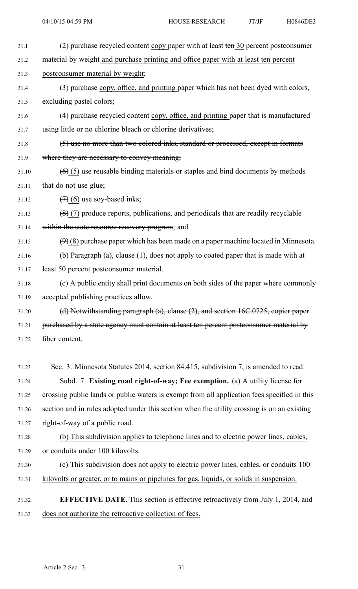- 31.1 (2) purchase recycled content copy paper with at least ten 30 percen<sup>t</sup> postconsumer 31.2 material by weight and purchase printing and office paper with at least ten percen<sup>t</sup> 31.3 postconsumer material by weight; 31.4 (3) purchase copy, office, and printing paper which has not been dyed with colors, 31.5 excluding pastel colors; 31.6 (4) purchase recycled content copy, office, and printing paper that is manufactured 31.7 using little or no chlorine bleach or chlorine derivatives; 31.8 (5) use no more than two colored inks, standard or processed, excep<sup>t</sup> in formats 31.9 where they are necessary to convey meaning; 31.10  $(6)$  (5) use reusable binding materials or staples and bind documents by methods 31.11 that do not use glue;  $31.12$   $(7)(6)$  use soy-based inks; 31.13  $(8)(7)$  produce reports, publications, and periodicals that are readily recyclable 31.14 within the state resource recovery program; and 31.15  $(9)$  (8) purchase paper which has been made on a paper machine located in Minnesota. 31.16 (b) Paragraph (a), clause (1), does not apply to coated paper that is made with at 31.17 least 50 percen<sup>t</sup> postconsumer material. 31.18 (c) A public entity shall print documents on both sides of the paper where commonly 31.19 accepted publishing practices allow. 31.20 (d) Notwithstanding paragraph (a), clause (2), and section 16C.0725, copier paper 31.21 purchased by a state agency must contain at least ten percent postconsumer material by 31.22 fiber content. 31.23 Sec. 3. Minnesota Statutes 2014, section 84.415, subdivision 7, is amended to read: 31.24 Subd. 7. **Existing road right-of-way; Fee exemption.** (a) A utility license for 31.25 crossing public lands or public waters is exemp<sup>t</sup> from all application fees specified in this 31.26 section and in rules adopted under this section when the utility crossing is on an existing 31.27 right-of-way of a public road. 31.28 (b) This subdivision applies to telephone lines and to electric power lines, cables, 31.29 or conduits under 100 kilovolts. 31.30 (c) This subdivision does not apply to electric power lines, cables, or conduits 100 31.31 kilovolts or greater, or to mains or pipelines for gas, liquids, or solids in suspension. 31.32 **EFFECTIVE DATE.** This section is effective retroactively from July 1, 2014, and
- 31.33 does not authorize the retroactive collection of fees.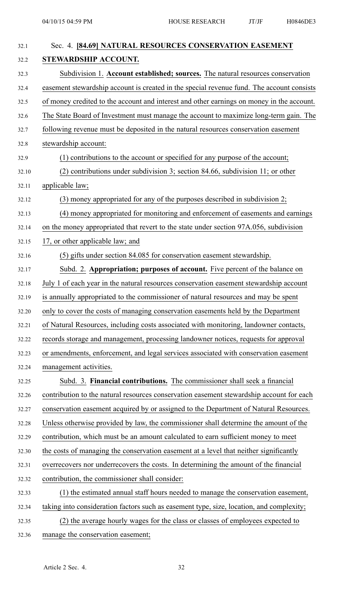| 32.1  | Sec. 4. [84.69] NATURAL RESOURCES CONSERVATION EASEMENT                                   |
|-------|-------------------------------------------------------------------------------------------|
| 32.2  | STEWARDSHIP ACCOUNT.                                                                      |
| 32.3  | Subdivision 1. Account established; sources. The natural resources conservation           |
| 32.4  | easement stewardship account is created in the special revenue fund. The account consists |
| 32.5  | of money credited to the account and interest and other earnings on money in the account. |
| 32.6  | The State Board of Investment must manage the account to maximize long-term gain. The     |
| 32.7  | following revenue must be deposited in the natural resources conservation easement        |
| 32.8  | stewardship account:                                                                      |
| 32.9  | (1) contributions to the account or specified for any purpose of the account;             |
| 32.10 | $(2)$ contributions under subdivision 3; section 84.66, subdivision 11; or other          |
| 32.11 | applicable law;                                                                           |
| 32.12 | $(3)$ money appropriated for any of the purposes described in subdivision 2;              |
| 32.13 | (4) money appropriated for monitoring and enforcement of easements and earnings           |
| 32.14 | on the money appropriated that revert to the state under section 97A.056, subdivision     |
| 32.15 | 17, or other applicable law; and                                                          |
| 32.16 | (5) gifts under section 84.085 for conservation easement stewardship.                     |
| 32.17 | Subd. 2. Appropriation; purposes of account. Five percent of the balance on               |
| 32.18 | July 1 of each year in the natural resources conservation easement stewardship account    |
| 32.19 | is annually appropriated to the commissioner of natural resources and may be spent        |
| 32.20 | only to cover the costs of managing conservation easements held by the Department         |
| 32.21 | of Natural Resources, including costs associated with monitoring, landowner contacts,     |
| 32.22 | records storage and management, processing landowner notices, requests for approval       |
| 32.23 | or amendments, enforcement, and legal services associated with conservation easement      |
| 32.24 | management activities.                                                                    |
| 32.25 | Subd. 3. Financial contributions. The commissioner shall seek a financial                 |
| 32.26 | contribution to the natural resources conservation easement stewardship account for each  |
| 32.27 | conservation easement acquired by or assigned to the Department of Natural Resources.     |
| 32.28 | Unless otherwise provided by law, the commissioner shall determine the amount of the      |
| 32.29 | contribution, which must be an amount calculated to earn sufficient money to meet         |
| 32.30 | the costs of managing the conservation easement at a level that neither significantly     |
| 32.31 | overrecovers nor underrecovers the costs. In determining the amount of the financial      |
| 32.32 | contribution, the commissioner shall consider:                                            |
| 32.33 | (1) the estimated annual staff hours needed to manage the conservation easement,          |
| 32.34 | taking into consideration factors such as easement type, size, location, and complexity;  |
| 32.35 | (2) the average hourly wages for the class or classes of employees expected to            |
| 32.36 | manage the conservation easement;                                                         |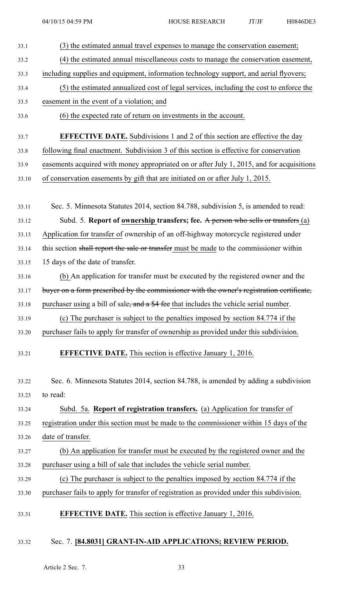| 33.1  | (3) the estimated annual travel expenses to manage the conservation easement;             |
|-------|-------------------------------------------------------------------------------------------|
| 33.2  | (4) the estimated annual miscellaneous costs to manage the conservation easement,         |
| 33.3  | including supplies and equipment, information technology support, and aerial flyovers;    |
| 33.4  | (5) the estimated annualized cost of legal services, including the cost to enforce the    |
| 33.5  | easement in the event of a violation; and                                                 |
| 33.6  | (6) the expected rate of return on investments in the account.                            |
| 33.7  | <b>EFFECTIVE DATE.</b> Subdivisions 1 and 2 of this section are effective the day         |
| 33.8  | following final enactment. Subdivision 3 of this section is effective for conservation    |
| 33.9  | easements acquired with money appropriated on or after July 1, 2015, and for acquisitions |
| 33.10 | of conservation easements by gift that are initiated on or after July 1, 2015.            |
|       |                                                                                           |
| 33.11 | Sec. 5. Minnesota Statutes 2014, section 84.788, subdivision 5, is amended to read:       |
| 33.12 | Subd. 5. Report of ownership transfers; fee. A person who sells or transfers (a)          |
| 33.13 | Application for transfer of ownership of an off-highway motorcycle registered under       |
| 33.14 | this section shall report the sale or transfer must be made to the commissioner within    |
| 33.15 | 15 days of the date of transfer.                                                          |
| 33.16 | (b) An application for transfer must be executed by the registered owner and the          |
| 33.17 | buyer on a form prescribed by the commissioner with the owner's registration certificate, |
| 33.18 | purchaser using a bill of sale, and a \$4 fee that includes the vehicle serial number.    |
| 33.19 | (c) The purchaser is subject to the penalties imposed by section 84.774 if the            |
| 33.20 | purchaser fails to apply for transfer of ownership as provided under this subdivision.    |
| 33.21 | <b>EFFECTIVE DATE.</b> This section is effective January 1, 2016.                         |
| 33.22 | Sec. 6. Minnesota Statutes 2014, section 84.788, is amended by adding a subdivision       |
| 33.23 | to read:                                                                                  |
| 33.24 | Subd. 5a. Report of registration transfers. (a) Application for transfer of               |
| 33.25 | registration under this section must be made to the commissioner within 15 days of the    |
| 33.26 | date of transfer.                                                                         |
| 33.27 | (b) An application for transfer must be executed by the registered owner and the          |
| 33.28 | purchaser using a bill of sale that includes the vehicle serial number.                   |
| 33.29 | (c) The purchaser is subject to the penalties imposed by section 84.774 if the            |
| 33.30 | purchaser fails to apply for transfer of registration as provided under this subdivision. |
| 33.31 | <b>EFFECTIVE DATE.</b> This section is effective January 1, 2016.                         |
|       |                                                                                           |

# 33.32 Sec. 7. **[84.8031] GRANT-IN-AID APPLICATIONS; REVIEW PERIOD.**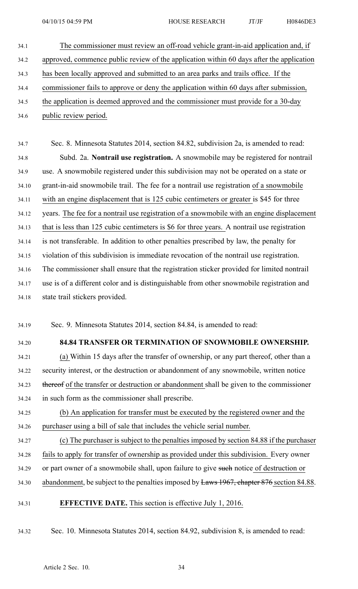34.1 The commissioner must review an off-road vehicle grant-in-aid application and, if 34.2 approved, commence public review of the application within 60 days after the application 34.3 has been locally approved and submitted to an area parks and trails office. If the 34.4 commissioner fails to approve or deny the application within 60 days after submission, 34.5 the application is deemed approved and the commissioner must provide for <sup>a</sup> 30-day 34.6 public review period.

34.7 Sec. 8. Minnesota Statutes 2014, section 84.82, subdivision 2a, is amended to read: 34.8 Subd. 2a. **Nontrail use registration.** A snowmobile may be registered for nontrail 34.9 use. A snowmobile registered under this subdivision may not be operated on <sup>a</sup> state or 34.10 grant-in-aid snowmobile trail. The fee for <sup>a</sup> nontrail use registration of <sup>a</sup> snowmobile 34.11 with an engine displacement that is 125 cubic centimeters or greater is \$45 for three 34.12 years. The fee for <sup>a</sup> nontrail use registration of <sup>a</sup> snowmobile with an engine displacement 34.13 that is less than 125 cubic centimeters is \$6 for three years. A nontrail use registration 34.14 is not transferable. In addition to other penalties prescribed by law, the penalty for 34.15 violation of this subdivision is immediate revocation of the nontrail use registration. 34.16 The commissioner shall ensure that the registration sticker provided for limited nontrail 34.17 use is of <sup>a</sup> different color and is distinguishable from other snowmobile registration and 34.18 state trail stickers provided.

34.19 Sec. 9. Minnesota Statutes 2014, section 84.84, is amended to read:

## 34.20 **84.84 TRANSFER OR TERMINATION OF SNOWMOBILE OWNERSHIP.**

34.21 (a) Within 15 days after the transfer of ownership, or any par<sup>t</sup> thereof, other than <sup>a</sup> 34.22 security interest, or the destruction or abandonment of any snowmobile, written notice 34.23 thereof of the transfer or destruction or abandonment shall be given to the commissioner 34.24 in such form as the commissioner shall prescribe.

34.25 (b) An application for transfer must be executed by the registered owner and the 34.26 purchaser using <sup>a</sup> bill of sale that includes the vehicle serial number.

34.27 (c) The purchaser is subject to the penalties imposed by section 84.88 if the purchaser 34.28 fails to apply for transfer of ownership as provided under this subdivision. Every owner 34.29 or par<sup>t</sup> owner of <sup>a</sup> snowmobile shall, upon failure to give such notice of destruction or 34.30 abandonment, be subject to the penalties imposed by Laws 1967, chapter 876 section 84.88.

### 34.31 **EFFECTIVE DATE.** This section is effective July 1, 2016.

34.32 Sec. 10. Minnesota Statutes 2014, section 84.92, subdivision 8, is amended to read: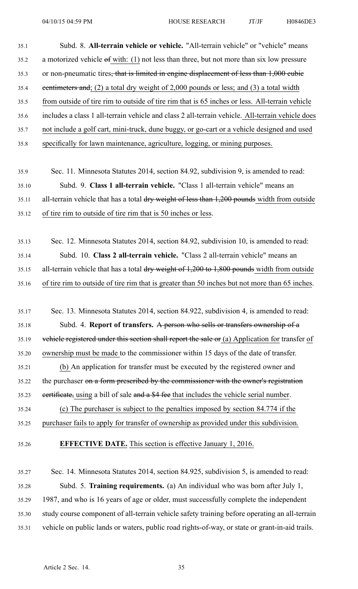| 35.1  | Subd. 8. All-terrain vehicle or vehicle. "All-terrain vehicle" or "vehicle" means                       |
|-------|---------------------------------------------------------------------------------------------------------|
| 35.2  | a motorized vehicle of with: $(1)$ not less than three, but not more than six low pressure              |
| 35.3  | or non-pneumatic tires, that is limited in engine displacement of less than 1,000 eubie                 |
| 35.4  | eentimeters and; (2) a total dry weight of 2,000 pounds or less; and (3) a total width                  |
| 35.5  | from outside of tire rim to outside of tire rim that is 65 inches or less. All-terrain vehicle          |
| 35.6  | includes a class 1 all-terrain vehicle and class 2 all-terrain vehicle. All-terrain vehicle does        |
| 35.7  | not include a golf cart, mini-truck, dune buggy, or go-cart or a vehicle designed and used              |
| 35.8  | specifically for lawn maintenance, agriculture, logging, or mining purposes.                            |
|       |                                                                                                         |
| 35.9  | Sec. 11. Minnesota Statutes 2014, section 84.92, subdivision 9, is amended to read:                     |
| 35.10 | Subd. 9. Class 1 all-terrain vehicle. "Class 1 all-terrain vehicle" means an                            |
| 35.11 | all-terrain vehicle that has a total dry weight of less than 1,200 pounds width from outside            |
| 35.12 | of tire rim to outside of tire rim that is 50 inches or less.                                           |
|       |                                                                                                         |
| 35.13 | Sec. 12. Minnesota Statutes 2014, section 84.92, subdivision 10, is amended to read:                    |
| 35.14 | Subd. 10. Class 2 all-terrain vehicle. "Class 2 all-terrain vehicle" means an                           |
| 35.15 | all-terrain vehicle that has a total $\frac{dry}{w}$ weight of 1,200 to 1,800 pounds width from outside |
| 35.16 | of tire rim to outside of tire rim that is greater than 50 inches but not more than 65 inches.          |
|       |                                                                                                         |
| 35.17 | Sec. 13. Minnesota Statutes 2014, section 84.922, subdivision 4, is amended to read:                    |
| 35.18 | Subd. 4. Report of transfers. A person who sells or transfers ownership of a                            |
| 35.19 | vehicle registered under this section shall report the sale or (a) Application for transfer of          |
| 35.20 | ownership must be made to the commissioner within 15 days of the date of transfer.                      |
| 35.21 | (b) An application for transfer must be executed by the registered owner and                            |
| 35.22 | the purchaser on a form prescribed by the commissioner with the owner's registration                    |
| 35.23 | eertificate, using a bill of sale and a \$4 fee that includes the vehicle serial number.                |
| 35.24 | (c) The purchaser is subject to the penalties imposed by section 84.774 if the                          |
| 35.25 | purchaser fails to apply for transfer of ownership as provided under this subdivision.                  |
| 35.26 | <b>EFFECTIVE DATE.</b> This section is effective January 1, 2016.                                       |
|       |                                                                                                         |
| 35.27 | Sec. 14. Minnesota Statutes 2014, section 84.925, subdivision 5, is amended to read:                    |
| 35.28 | Subd. 5. Training requirements. (a) An individual who was born after July 1,                            |
| 35.29 | 1987, and who is 16 years of age or older, must successfully complete the independent                   |
| 35.30 | study course component of all-terrain vehicle safety training before operating an all-terrain           |
| 35.31 | vehicle on public lands or waters, public road rights-of-way, or state or grant-in-aid trails.          |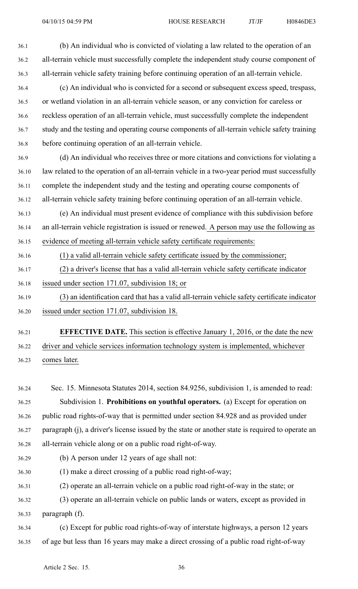36.1 (b) An individual who is convicted of violating <sup>a</sup> law related to the operation of an 36.2 all-terrain vehicle must successfully complete the independent study course componen<sup>t</sup> of 36.3 all-terrain vehicle safety training before continuing operation of an all-terrain vehicle. 36.4 (c) An individual who is convicted for <sup>a</sup> second or subsequent excess speed, trespass, 36.5 or wetland violation in an all-terrain vehicle season, or any conviction for careless or 36.6 reckless operation of an all-terrain vehicle, must successfully complete the independent 36.7 study and the testing and operating course components of all-terrain vehicle safety training 36.8 before continuing operation of an all-terrain vehicle. 36.9 (d) An individual who receives three or more citations and convictions for violating <sup>a</sup> 36.10 law related to the operation of an all-terrain vehicle in <sup>a</sup> two-year period must successfully 36.11 complete the independent study and the testing and operating course components of 36.12 all-terrain vehicle safety training before continuing operation of an all-terrain vehicle. 36.13 (e) An individual must presen<sup>t</sup> evidence of compliance with this subdivision before 36.14 an all-terrain vehicle registration is issued or renewed. A person may use the following as 36.15 evidence of meeting all-terrain vehicle safety certificate requirements: 36.16 (1) <sup>a</sup> valid all-terrain vehicle safety certificate issued by the commissioner; 36.17 (2) <sup>a</sup> driver's license that has <sup>a</sup> valid all-terrain vehicle safety certificate indicator 36.18 issued under section 171.07, subdivision 18; or 36.19 (3) an identification card that has <sup>a</sup> valid all-terrain vehicle safety certificate indicator 36.20 issued under section 171.07, subdivision 18.

36.21 **EFFECTIVE DATE.** This section is effective January 1, 2016, or the date the new 36.22 driver and vehicle services information technology system is implemented, whichever 36.23 comes later.

36.24 Sec. 15. Minnesota Statutes 2014, section 84.9256, subdivision 1, is amended to read: 36.25 Subdivision 1. **Prohibitions on youthful operators.** (a) Except for operation on 36.26 public road rights-of-way that is permitted under section 84.928 and as provided under 36.27 paragraph (j), <sup>a</sup> driver's license issued by the state or another state is required to operate an 36.28 all-terrain vehicle along or on <sup>a</sup> public road right-of-way.

- 36.29 (b) A person under 12 years of age shall not:
- 36.30 (1) make <sup>a</sup> direct crossing of <sup>a</sup> public road right-of-way;
- 36.31 (2) operate an all-terrain vehicle on <sup>a</sup> public road right-of-way in the state; or
- 36.32 (3) operate an all-terrain vehicle on public lands or waters, excep<sup>t</sup> as provided in 36.33 paragraph (f).

36.34 (c) Except for public road rights-of-way of interstate highways, <sup>a</sup> person 12 years 36.35 of age but less than 16 years may make <sup>a</sup> direct crossing of <sup>a</sup> public road right-of-way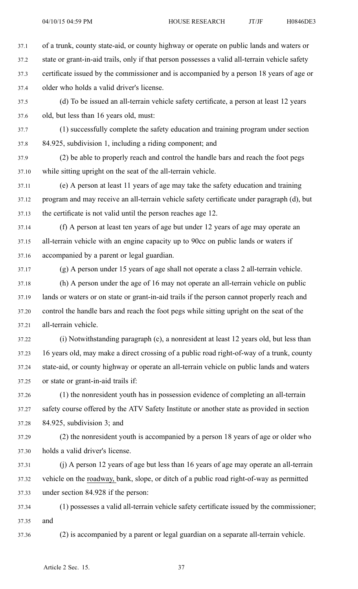37.1 of <sup>a</sup> trunk, county state-aid, or county highway or operate on public lands and waters or

- 37.2 state or grant-in-aid trails, only if that person possesses <sup>a</sup> valid all-terrain vehicle safety
- 37.3 certificate issued by the commissioner and is accompanied by <sup>a</sup> person 18 years of age or 37.4 older who holds <sup>a</sup> valid driver's license.
- 37.5 (d) To be issued an all-terrain vehicle safety certificate, <sup>a</sup> person at least 12 years 37.6 old, but less than 16 years old, must:
- 37.7 (1) successfully complete the safety education and training program under section 37.8 84.925, subdivision 1, including <sup>a</sup> riding component; and
- 37.9 (2) be able to properly reach and control the handle bars and reach the foot pegs 37.10 while sitting upright on the seat of the all-terrain vehicle.
- 37.11 (e) A person at least 11 years of age may take the safety education and training 37.12 program and may receive an all-terrain vehicle safety certificate under paragraph (d), but 37.13 the certificate is not valid until the person reaches age 12.
- 37.14 (f) A person at least ten years of age but under 12 years of age may operate an 37.15 all-terrain vehicle with an engine capacity up to 90cc on public lands or waters if 37.16 accompanied by <sup>a</sup> paren<sup>t</sup> or legal guardian.
	-

37.17 (g) A person under 15 years of age shall not operate <sup>a</sup> class 2 all-terrain vehicle.

- 37.18 (h) A person under the age of 16 may not operate an all-terrain vehicle on public 37.19 lands or waters or on state or grant-in-aid trails if the person cannot properly reach and 37.20 control the handle bars and reach the foot pegs while sitting upright on the seat of the 37.21 all-terrain vehicle.
- 37.22 (i) Notwithstanding paragraph (c), <sup>a</sup> nonresident at least 12 years old, but less than 37.23 16 years old, may make <sup>a</sup> direct crossing of <sup>a</sup> public road right-of-way of <sup>a</sup> trunk, county 37.24 state-aid, or county highway or operate an all-terrain vehicle on public lands and waters 37.25 or state or grant-in-aid trails if:
- 37.26 (1) the nonresident youth has in possession evidence of completing an all-terrain 37.27 safety course offered by the ATV Safety Institute or another state as provided in section 37.28 84.925, subdivision 3; and
- 37.29 (2) the nonresident youth is accompanied by <sup>a</sup> person 18 years of age or older who 37.30 holds <sup>a</sup> valid driver's license.
- 37.31 (j) A person 12 years of age but less than 16 years of age may operate an all-terrain 37.32 vehicle on the roadway, bank, slope, or ditch of <sup>a</sup> public road right-of-way as permitted 37.33 under section 84.928 if the person:
- 37.34 (1) possesses <sup>a</sup> valid all-terrain vehicle safety certificate issued by the commissioner; 37.35 and
- 37.36 (2) is accompanied by <sup>a</sup> paren<sup>t</sup> or legal guardian on <sup>a</sup> separate all-terrain vehicle.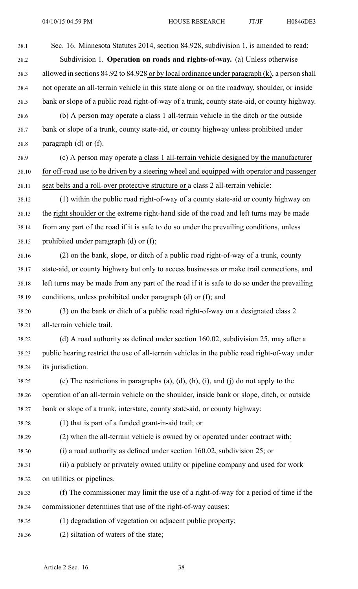38.1 Sec. 16. Minnesota Statutes 2014, section 84.928, subdivision 1, is amended to read: 38.2 Subdivision 1. **Operation on roads and rights-of-way.** (a) Unless otherwise 38.3 allowed in sections 84.92 to 84.928 or by local ordinance under paragraph (k), <sup>a</sup> person shall 38.4 not operate an all-terrain vehicle in this state along or on the roadway, shoulder, or inside 38.5 bank or slope of <sup>a</sup> public road right-of-way of <sup>a</sup> trunk, county state-aid, or county highway. 38.6 (b) A person may operate <sup>a</sup> class 1 all-terrain vehicle in the ditch or the outside 38.7 bank or slope of <sup>a</sup> trunk, county state-aid, or county highway unless prohibited under 38.8 paragraph (d) or (f). 38.9 (c) A person may operate <sup>a</sup> class 1 all-terrain vehicle designed by the manufacturer 38.10 for off-road use to be driven by <sup>a</sup> steering wheel and equipped with operator and passenger 38.11 seat belts and <sup>a</sup> roll-over protective structure or <sup>a</sup> class 2 all-terrain vehicle: 38.12 (1) within the public road right-of-way of <sup>a</sup> county state-aid or county highway on 38.13 the right shoulder or the extreme right-hand side of the road and left turns may be made 38.14 from any par<sup>t</sup> of the road if it is safe to do so under the prevailing conditions, unless 38.15 prohibited under paragraph (d) or (f); 38.16 (2) on the bank, slope, or ditch of <sup>a</sup> public road right-of-way of <sup>a</sup> trunk, county 38.17 state-aid, or county highway but only to access businesses or make trail connections, and 38.18 left turns may be made from any par<sup>t</sup> of the road if it is safe to do so under the prevailing 38.19 conditions, unless prohibited under paragraph (d) or (f); and 38.20 (3) on the bank or ditch of <sup>a</sup> public road right-of-way on <sup>a</sup> designated class 2 38.21 all-terrain vehicle trail. 38.22 (d) A road authority as defined under section 160.02, subdivision 25, may after <sup>a</sup> 38.23 public hearing restrict the use of all-terrain vehicles in the public road right-of-way under 38.24 its jurisdiction. 38.25 (e) The restrictions in paragraphs (a), (d), (h), (i), and (j) do not apply to the 38.26 operation of an all-terrain vehicle on the shoulder, inside bank or slope, ditch, or outside 38.27 bank or slope of <sup>a</sup> trunk, interstate, county state-aid, or county highway: 38.28 (1) that is par<sup>t</sup> of <sup>a</sup> funded grant-in-aid trail; or 38.29 (2) when the all-terrain vehicle is owned by or operated under contract with: 38.30 (i) <sup>a</sup> road authority as defined under section 160.02, subdivision 25; or 38.31 (ii) <sup>a</sup> publicly or privately owned utility or pipeline company and used for work 38.32 on utilities or pipelines. 38.33 (f) The commissioner may limit the use of <sup>a</sup> right-of-way for <sup>a</sup> period of time if the 38.34 commissioner determines that use of the right-of-way causes: 38.35 (1) degradation of vegetation on adjacent public property; 38.36 (2) siltation of waters of the state;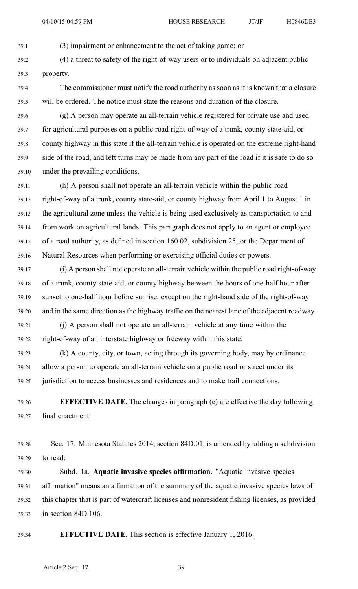39.1 (3) impairment or enhancement to the act of taking game; or

39.2 (4) <sup>a</sup> threat to safety of the right-of-way users or to individuals on adjacent public 39.3 property.

39.4 The commissioner must notify the road authority as soon as it is known that <sup>a</sup> closure 39.5 will be ordered. The notice must state the reasons and duration of the closure.

39.6 (g) A person may operate an all-terrain vehicle registered for private use and used 39.7 for agricultural purposes on <sup>a</sup> public road right-of-way of <sup>a</sup> trunk, county state-aid, or 39.8 county highway in this state if the all-terrain vehicle is operated on the extreme right-hand 39.9 side of the road, and left turns may be made from any par<sup>t</sup> of the road if it is safe to do so 39.10 under the prevailing conditions.

39.11 (h) A person shall not operate an all-terrain vehicle within the public road 39.12 right-of-way of <sup>a</sup> trunk, county state-aid, or county highway from April 1 to August 1 in 39.13 the agricultural zone unless the vehicle is being used exclusively as transportation to and 39.14 from work on agricultural lands. This paragraph does not apply to an agen<sup>t</sup> or employee 39.15 of <sup>a</sup> road authority, as defined in section 160.02, subdivision 25, or the Department of 39.16 Natural Resources when performing or exercising official duties or powers.

39.17 (i) A person shall not operate an all-terrain vehicle within the public road right-of-way 39.18 of <sup>a</sup> trunk, county state-aid, or county highway between the hours of one-half hour after 39.19 sunset to one-half hour before sunrise, excep<sup>t</sup> on the right-hand side of the right-of-way 39.20 and in the same direction as the highway traffic on the nearest lane of the adjacent roadway.

39.21 (j) A person shall not operate an all-terrain vehicle at any time within the 39.22 right-of-way of an interstate highway or freeway within this state.

39.23 (k) A county, city, or town, acting through its governing body, may by ordinance

39.24 allow <sup>a</sup> person to operate an all-terrain vehicle on <sup>a</sup> public road or street under its

39.25 jurisdiction to access businesses and residences and to make trail connections.

39.26 **EFFECTIVE DATE.** The changes in paragraph (e) are effective the day following 39.27 final enactment.

- 39.28 Sec. 17. Minnesota Statutes 2014, section 84D.01, is amended by adding <sup>a</sup> subdivision 39.29 to read:
- 

39.30 Subd. 1a. **Aquatic invasive species affirmation.** "Aquatic invasive species

39.31 affirmation" means an affirmation of the summary of the aquatic invasive species laws of

39.32 this chapter that is par<sup>t</sup> of watercraft licenses and nonresident fishing licenses, as provided 39.33 in section 84D.106.

#### 39.34 **EFFECTIVE DATE.** This section is effective January 1, 2016.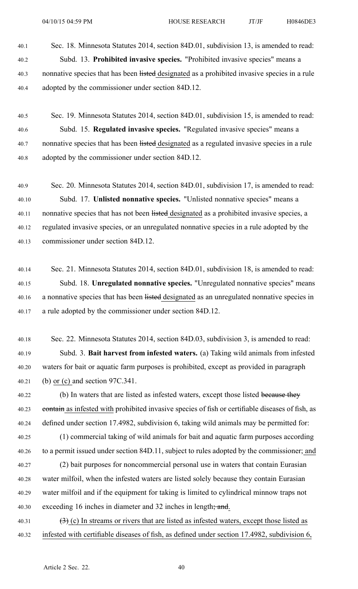- 40.1 Sec. 18. Minnesota Statutes 2014, section 84D.01, subdivision 13, is amended to read: 40.2 Subd. 13. **Prohibited invasive species.** "Prohibited invasive species" means <sup>a</sup> 40.3 nonnative species that has been listed designated as a prohibited invasive species in a rule 40.4 adopted by the commissioner under section 84D.12.
- 40.5 Sec. 19. Minnesota Statutes 2014, section 84D.01, subdivision 15, is amended to read: 40.6 Subd. 15. **Regulated invasive species.** "Regulated invasive species" means <sup>a</sup> 40.7 nonnative species that has been listed designated as a regulated invasive species in a rule 40.8 adopted by the commissioner under section 84D.12.

40.9 Sec. 20. Minnesota Statutes 2014, section 84D.01, subdivision 17, is amended to read: 40.10 Subd. 17. **Unlisted nonnative species.** "Unlisted nonnative species" means <sup>a</sup> 40.11 nonnative species that has not been listed designated as a prohibited invasive species, a 40.12 regulated invasive species, or an unregulated nonnative species in <sup>a</sup> rule adopted by the 40.13 commissioner under section 84D.12.

- 40.14 Sec. 21. Minnesota Statutes 2014, section 84D.01, subdivision 18, is amended to read: 40.15 Subd. 18. **Unregulated nonnative species.** "Unregulated nonnative species" means 40.16 a nonnative species that has been listed designated as an unregulated nonnative species in 40.17 <sup>a</sup> rule adopted by the commissioner under section 84D.12.
- 40.18 Sec. 22. Minnesota Statutes 2014, section 84D.03, subdivision 3, is amended to read: 40.19 Subd. 3. **Bait harvest from infested waters.** (a) Taking wild animals from infested 40.20 waters for bait or aquatic farm purposes is prohibited, excep<sup>t</sup> as provided in paragraph 40.21 (b) or (c) and section 97C.341.
- 40.22 (b) In waters that are listed as infested waters, except those listed because they 40.23 contain as infested with prohibited invasive species of fish or certifiable diseases of fish, as 40.24 defined under section 17.4982, subdivision 6, taking wild animals may be permitted for:
- 40.25 (1) commercial taking of wild animals for bait and aquatic farm purposes according 40.26 to <sup>a</sup> permit issued under section 84D.11, subject to rules adopted by the commissioner; and 40.27 (2) bait purposes for noncommercial personal use in waters that contain Eurasian 40.28 water milfoil, when the infested waters are listed solely because they contain Eurasian 40.29 water milfoil and if the equipment for taking is limited to cylindrical minnow traps not 40.30 exceeding 16 inches in diameter and 32 inches in length; and.
- 40.31  $(3)$  (c) In streams or rivers that are listed as infested waters, except those listed as 40.32 infested with certifiable diseases of fish, as defined under section 17.4982, subdivision 6,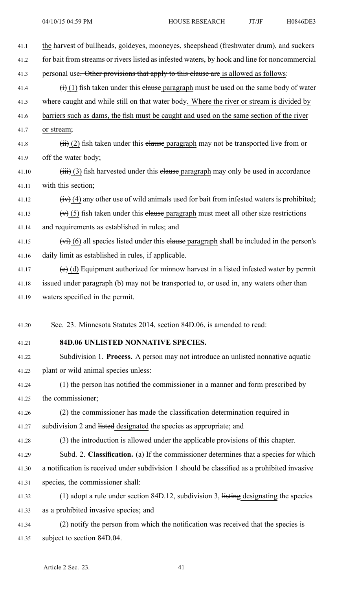| 41.1  | the harvest of bullheads, goldeyes, mooneyes, sheepshead (freshwater drum), and suckers                  |
|-------|----------------------------------------------------------------------------------------------------------|
| 41.2  | for bait from streams or rivers listed as infested waters, by hook and line for noncommercial            |
| 41.3  | personal use. Other provisions that apply to this clause are is allowed as follows:                      |
| 41.4  | $\overrightarrow{(i)}$ (1) fish taken under this elause paragraph must be used on the same body of water |
| 41.5  | where caught and while still on that water body. Where the river or stream is divided by                 |
| 41.6  | barriers such as dams, the fish must be caught and used on the same section of the river                 |
| 41.7  | or stream;                                                                                               |
| 41.8  | $\overrightarrow{H}$ (2) fish taken under this elause paragraph may not be transported live from or      |
| 41.9  | off the water body;                                                                                      |
| 41.10 | $(iii)$ (3) fish harvested under this elause paragraph may only be used in accordance                    |
| 41.11 | with this section;                                                                                       |
| 41.12 | $(iv)$ (4) any other use of wild animals used for bait from infested waters is prohibited;               |
| 41.13 | $(v)$ (5) fish taken under this elause paragraph must meet all other size restrictions                   |
| 41.14 | and requirements as established in rules; and                                                            |
| 41.15 | $(vi)$ (6) all species listed under this elause paragraph shall be included in the person's              |
| 41.16 | daily limit as established in rules, if applicable.                                                      |
| 41.17 | $(e)$ (d) Equipment authorized for minnow harvest in a listed infested water by permit                   |
| 41.18 | issued under paragraph (b) may not be transported to, or used in, any waters other than                  |
| 41.19 | waters specified in the permit.                                                                          |
|       |                                                                                                          |
| 41.20 | Sec. 23. Minnesota Statutes 2014, section 84D.06, is amended to read:                                    |
| 41.21 | 84D.06 UNLISTED NONNATIVE SPECIES.                                                                       |
| 41.22 | Subdivision 1. Process. A person may not introduce an unlisted nonnative aquatic                         |
| 41.23 | plant or wild animal species unless:                                                                     |
| 41.24 | (1) the person has notified the commissioner in a manner and form prescribed by                          |
| 41.25 | the commissioner;                                                                                        |
| 41.26 | (2) the commissioner has made the classification determination required in                               |
| 41.27 | subdivision 2 and listed designated the species as appropriate; and                                      |
| 41.28 | (3) the introduction is allowed under the applicable provisions of this chapter.                         |
| 41.29 | Subd. 2. Classification. (a) If the commissioner determines that a species for which                     |
| 41.30 | a notification is received under subdivision 1 should be classified as a prohibited invasive             |
| 41.31 | species, the commissioner shall:                                                                         |
| 41.32 | (1) adopt a rule under section 84D.12, subdivision 3, $\frac{1}{1}$ is designating the species           |
| 41.33 | as a prohibited invasive species; and                                                                    |
| 41.34 | (2) notify the person from which the notification was received that the species is                       |
| 41.35 | subject to section 84D.04.                                                                               |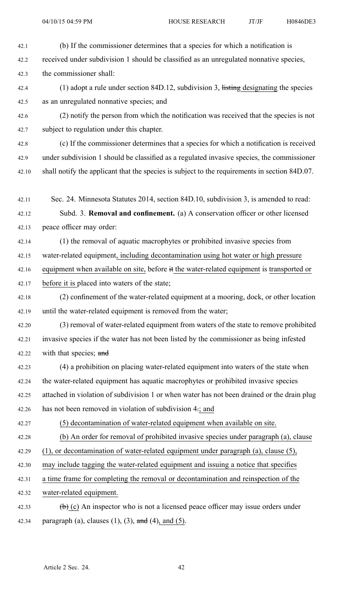42.1 (b) If the commissioner determines that <sup>a</sup> species for which <sup>a</sup> notification is

42.2 received under subdivision 1 should be classified as an unregulated nonnative species,

42.3 the commissioner shall:

- 42.4 (1) adopt a rule under section 84D.12, subdivision 3, listing designating the species 42.5 as an unregulated nonnative species; and
- 42.6 (2) notify the person from which the notification was received that the species is not 42.7 subject to regulation under this chapter.
- 42.8 (c) If the commissioner determines that <sup>a</sup> species for which <sup>a</sup> notification is received 42.9 under subdivision 1 should be classified as <sup>a</sup> regulated invasive species, the commissioner 42.10 shall notify the applicant that the species is subject to the requirements in section 84D.07.
- 42.11 Sec. 24. Minnesota Statutes 2014, section 84D.10, subdivision 3, is amended to read:
- 42.12 Subd. 3. **Removal and confinement.** (a) A conservation officer or other licensed 42.13 peace officer may order:
- 42.14 (1) the removal of aquatic macrophytes or prohibited invasive species from 42.15 water-related equipment, including decontamination using hot water or high pressure
- 42.16 equipment when available on site, before it the water-related equipment is transported or
- 42.17 before it is placed into waters of the state;
- 42.18 (2) confinement of the water-related equipment at <sup>a</sup> mooring, dock, or other location 42.19 until the water-related equipment is removed from the water;
- 42.20 (3) removal of water-related equipment from waters of the state to remove prohibited 42.21 invasive species if the water has not been listed by the commissioner as being infested 42.22 with that species; and
- 42.23 (4) <sup>a</sup> prohibition on placing water-related equipment into waters of the state when 42.24 the water-related equipment has aquatic macrophytes or prohibited invasive species 42.25 attached in violation of subdivision 1 or when water has not been drained or the drain plug 42.26 has not been removed in violation of subdivision 4-; and
- 

42.27 (5) decontamination of water-related equipment when available on site.

- 42.28 (b) An order for removal of prohibited invasive species under paragraph (a), clause
- 42.29 (1), or decontamination of water-related equipment under paragraph (a), clause (5),
- 42.30 may include tagging the water-related equipment and issuing <sup>a</sup> notice that specifies
- 42.31 <sup>a</sup> time frame for completing the removal or decontamination and reinspection of the
- 42.32 water-related equipment.
- 42.33 (b) (c) An inspector who is not a licensed peace officer may issue orders under 42.34 paragraph (a), clauses  $(1)$ ,  $(3)$ , and  $(4)$ , and  $(5)$ .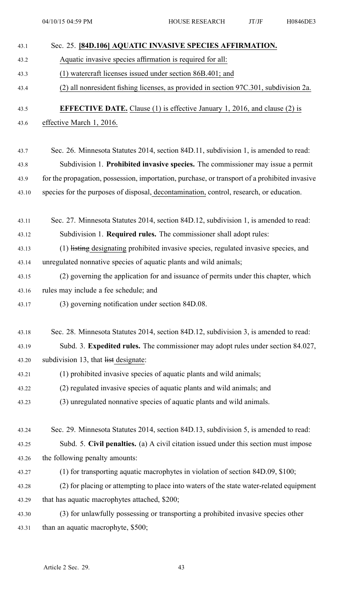| 43.1  | Sec. 25. [84D.106] AQUATIC INVASIVE SPECIES AFFIRMATION.                                      |
|-------|-----------------------------------------------------------------------------------------------|
| 43.2  | Aquatic invasive species affirmation is required for all:                                     |
| 43.3  | (1) watercraft licenses issued under section 86B.401; and                                     |
| 43.4  | (2) all nonresident fishing licenses, as provided in section 97C.301, subdivision 2a.         |
| 43.5  | <b>EFFECTIVE DATE.</b> Clause (1) is effective January 1, 2016, and clause (2) is             |
| 43.6  | effective March 1, 2016.                                                                      |
|       |                                                                                               |
| 43.7  | Sec. 26. Minnesota Statutes 2014, section 84D.11, subdivision 1, is amended to read:          |
| 43.8  | Subdivision 1. Prohibited invasive species. The commissioner may issue a permit               |
| 43.9  | for the propagation, possession, importation, purchase, or transport of a prohibited invasive |
| 43.10 | species for the purposes of disposal, decontamination, control, research, or education.       |
| 43.11 | Sec. 27. Minnesota Statutes 2014, section 84D.12, subdivision 1, is amended to read:          |
| 43.12 | Subdivision 1. Required rules. The commissioner shall adopt rules:                            |
| 43.13 | (1) listing designating prohibited invasive species, regulated invasive species, and          |
| 43.14 | unregulated nonnative species of aquatic plants and wild animals;                             |
| 43.15 | (2) governing the application for and issuance of permits under this chapter, which           |
| 43.16 | rules may include a fee schedule; and                                                         |
| 43.17 | (3) governing notification under section 84D.08.                                              |
| 43.18 | Sec. 28. Minnesota Statutes 2014, section 84D.12, subdivision 3, is amended to read:          |
| 43.19 | Subd. 3. Expedited rules. The commissioner may adopt rules under section 84.027,              |
| 43.20 | subdivision 13, that list designate:                                                          |
| 43.21 | (1) prohibited invasive species of aquatic plants and wild animals;                           |
| 43.22 | (2) regulated invasive species of aquatic plants and wild animals; and                        |
| 43.23 | (3) unregulated nonnative species of aquatic plants and wild animals.                         |
|       |                                                                                               |
| 43.24 | Sec. 29. Minnesota Statutes 2014, section 84D.13, subdivision 5, is amended to read:          |
| 43.25 | Subd. 5. Civil penalties. (a) A civil citation issued under this section must impose          |
| 43.26 | the following penalty amounts:                                                                |
| 43.27 | (1) for transporting aquatic macrophytes in violation of section 84D.09, \$100;               |
| 43.28 | (2) for placing or attempting to place into waters of the state water-related equipment       |
| 43.29 | that has aquatic macrophytes attached, \$200;                                                 |
| 43.30 | (3) for unlawfully possessing or transporting a prohibited invasive species other             |
| 43.31 | than an aquatic macrophyte, \$500;                                                            |
|       |                                                                                               |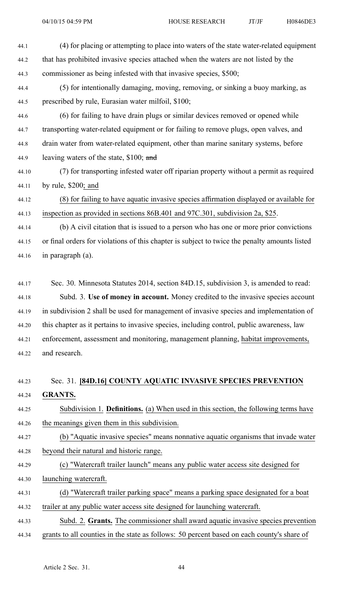| 44.1  | (4) for placing or attempting to place into waters of the state water-related equipment       |
|-------|-----------------------------------------------------------------------------------------------|
| 44.2  | that has prohibited invasive species attached when the waters are not listed by the           |
| 44.3  | commissioner as being infested with that invasive species, \$500;                             |
| 44.4  | (5) for intentionally damaging, moving, removing, or sinking a buoy marking, as               |
| 44.5  | prescribed by rule, Eurasian water milfoil, \$100;                                            |
| 44.6  | (6) for failing to have drain plugs or similar devices removed or opened while                |
| 44.7  | transporting water-related equipment or for failing to remove plugs, open valves, and         |
| 44.8  | drain water from water-related equipment, other than marine sanitary systems, before          |
| 44.9  | leaving waters of the state, \$100; and                                                       |
| 44.10 | (7) for transporting infested water off riparian property without a permit as required        |
| 44.11 | by rule, $$200$ ; and                                                                         |
| 44.12 | (8) for failing to have aquatic invasive species affirmation displayed or available for       |
| 44.13 | inspection as provided in sections 86B.401 and 97C.301, subdivision 2a, \$25.                 |
| 44.14 | (b) A civil citation that is issued to a person who has one or more prior convictions         |
| 44.15 | or final orders for violations of this chapter is subject to twice the penalty amounts listed |
| 44.16 | in paragraph (a).                                                                             |
|       |                                                                                               |

44.17 Sec. 30. Minnesota Statutes 2014, section 84D.15, subdivision 3, is amended to read: 44.18 Subd. 3. **Use of money in account.** Money credited to the invasive species account 44.19 in subdivision 2 shall be used for managemen<sup>t</sup> of invasive species and implementation of 44.20 this chapter as it pertains to invasive species, including control, public awareness, law 44.21 enforcement, assessment and monitoring, managemen<sup>t</sup> planning, habitat improvements, 44.22 and research.

# 44.23 Sec. 31. **[84D.16] COUNTY AQUATIC INVASIVE SPECIES PREVENTION** 44.24 **GRANTS.**

44.25 Subdivision 1. **Definitions.** (a) When used in this section, the following terms have 44.26 the meanings given them in this subdivision.

44.27 (b) "Aquatic invasive species" means nonnative aquatic organisms that invade water 44.28 beyond their natural and historic range.

44.29 (c) "Watercraft trailer launch" means any public water access site designed for

44.30 launching watercraft.

| 44.31 |  |  |  |  | (d) "Watercraft trailer parking space" means a parking space designated for a boat |  |
|-------|--|--|--|--|------------------------------------------------------------------------------------|--|
|       |  |  |  |  |                                                                                    |  |

44.32 trailer at any public water access site designed for launching watercraft.

44.33 Subd. 2. **Grants.** The commissioner shall award aquatic invasive species prevention 44.34 grants to all counties in the state as follows: 50 percen<sup>t</sup> based on each county's share of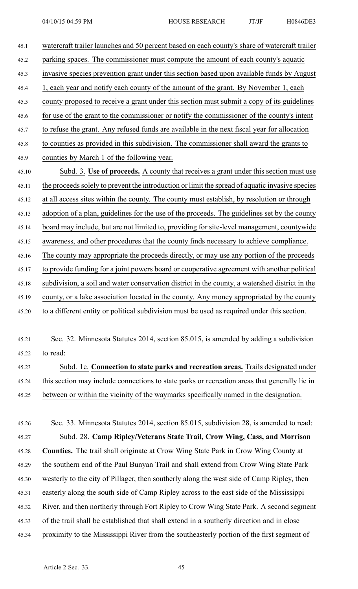| 45.1  | watercraft trailer launches and 50 percent based on each county's share of watercraft trailer   |
|-------|-------------------------------------------------------------------------------------------------|
| 45.2  | parking spaces. The commissioner must compute the amount of each county's aquatic               |
| 45.3  | invasive species prevention grant under this section based upon available funds by August       |
| 45.4  | 1, each year and notify each county of the amount of the grant. By November 1, each             |
| 45.5  | county proposed to receive a grant under this section must submit a copy of its guidelines      |
| 45.6  | for use of the grant to the commissioner or notify the commissioner of the county's intent      |
| 45.7  | to refuse the grant. Any refused funds are available in the next fiscal year for allocation     |
| 45.8  | to counties as provided in this subdivision. The commissioner shall award the grants to         |
| 45.9  | counties by March 1 of the following year.                                                      |
| 45.10 | Subd. 3. Use of proceeds. A county that receives a grant under this section must use            |
| 45.11 | the proceeds solely to prevent the introduction or limit the spread of aquatic invasive species |
| 45.12 | at all access sites within the county. The county must establish, by resolution or through      |
| 45.13 | adoption of a plan, guidelines for the use of the proceeds. The guidelines set by the county    |
| 45.14 | board may include, but are not limited to, providing for site-level management, countywide      |
| 45.15 | awareness, and other procedures that the county finds necessary to achieve compliance.          |
| 45.16 | The county may appropriate the proceeds directly, or may use any portion of the proceeds        |
| 45.17 | to provide funding for a joint powers board or cooperative agreement with another political     |
| 45.18 | subdivision, a soil and water conservation district in the county, a watershed district in the  |
| 45.19 | county, or a lake association located in the county. Any money appropriated by the county       |
| 45.20 | to a different entity or political subdivision must be used as required under this section.     |
|       |                                                                                                 |
| 45.21 | Sec. 32. Minnesota Statutes 2014, section 85.015, is amended by adding a subdivision            |
| 45.22 | to read:                                                                                        |
| 45.23 | Subd. 1e. Connection to state parks and recreation areas. Trails designated under               |
| 45.24 | this section may include connections to state parks or recreation areas that generally lie in   |
| 45.25 | between or within the vicinity of the waymarks specifically named in the designation.           |
|       |                                                                                                 |
| 45.26 | Sec. 33. Minnesota Statutes 2014, section 85.015, subdivision 28, is amended to read:           |
| 45.27 | Subd. 28. Camp Ripley/Veterans State Trail, Crow Wing, Cass, and Morrison                       |
| 45.28 | <b>Counties.</b> The trail shall originate at Crow Wing State Park in Crow Wing County at       |
| 45.29 | the southern end of the Paul Bunyan Trail and shall extend from Crow Wing State Park            |
| 45.30 | westerly to the city of Pillager, then southerly along the west side of Camp Ripley, then       |
| 45.31 | easterly along the south side of Camp Ripley across to the east side of the Mississippi         |
| 45.32 | River, and then northerly through Fort Ripley to Crow Wing State Park. A second segment         |
| 45.33 | of the trail shall be established that shall extend in a southerly direction and in close       |
| 45.34 | proximity to the Mississippi River from the southeasterly portion of the first segment of       |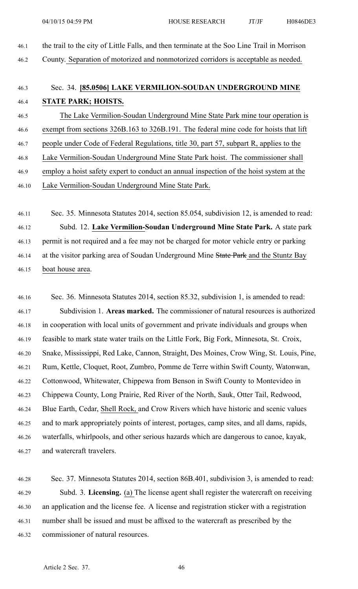46.1 the trail to the city of Little Falls, and then terminate at the Soo Line Trail in Morrison 46.2 County. Separation of motorized and nonmotorized corridors is acceptable as needed.

## 46.3 Sec. 34. **[85.0506] LAKE VERMILION-SOUDAN UNDERGROUND MINE** 46.4 **STATE PARK; HOISTS.**

46.5 The Lake Vermilion-Soudan Underground Mine State Park mine tour operation is 46.6 exemp<sup>t</sup> from sections 326B.163 to 326B.191. The federal mine code for hoists that lift 46.7 people under Code of Federal Regulations, title 30, par<sup>t</sup> 57, subpart R, applies to the 46.8 Lake Vermilion-Soudan Underground Mine State Park hoist. The commissioner shall 46.9 employ <sup>a</sup> hoist safety exper<sup>t</sup> to conduct an annual inspection of the hoist system at the 46.10 Lake Vermilion-Soudan Underground Mine State Park.

46.11 Sec. 35. Minnesota Statutes 2014, section 85.054, subdivision 12, is amended to read: 46.12 Subd. 12. **Lake Vermilion-Soudan Underground Mine State Park.** A state park 46.13 permit is not required and <sup>a</sup> fee may not be charged for motor vehicle entry or parking 46.14 at the visitor parking area of Soudan Underground Mine State Park and the Stuntz Bay 46.15 boat house area.

46.16 Sec. 36. Minnesota Statutes 2014, section 85.32, subdivision 1, is amended to read: 46.17 Subdivision 1. **Areas marked.** The commissioner of natural resources is authorized 46.18 in cooperation with local units of governmen<sup>t</sup> and private individuals and groups when 46.19 feasible to mark state water trails on the Little Fork, Big Fork, Minnesota, St. Croix, 46.20 Snake, Mississippi, Red Lake, Cannon, Straight, Des Moines, Crow Wing, St. Louis, Pine, 46.21 Rum, Kettle, Cloquet, Root, Zumbro, Pomme de Terre within Swift County, Watonwan, 46.22 Cottonwood, Whitewater, Chippewa from Benson in Swift County to Montevideo in 46.23 Chippewa County, Long Prairie, Red River of the North, Sauk, Otter Tail, Redwood, 46.24 Blue Earth, Cedar, Shell Rock, and Crow Rivers which have historic and scenic values 46.25 and to mark appropriately points of interest, portages, camp sites, and all dams, rapids, 46.26 waterfalls, whirlpools, and other serious hazards which are dangerous to canoe, kayak, 46.27 and watercraft travelers.

46.28 Sec. 37. Minnesota Statutes 2014, section 86B.401, subdivision 3, is amended to read: 46.29 Subd. 3. **Licensing.** (a) The license agen<sup>t</sup> shall register the watercraft on receiving 46.30 an application and the license fee. A license and registration sticker with <sup>a</sup> registration 46.31 number shall be issued and must be affixed to the watercraft as prescribed by the 46.32 commissioner of natural resources.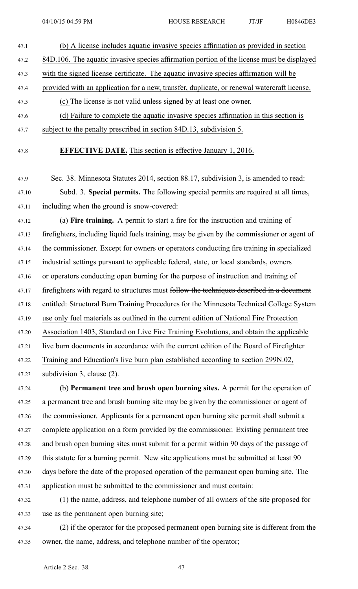- 47.1 (b) A license includes aquatic invasive species affirmation as provided in section 47.2 84D.106. The aquatic invasive species affirmation portion of the license must be displayed 47.3 with the signed license certificate. The aquatic invasive species affirmation will be
- 47.4 provided with an application for <sup>a</sup> new, transfer, duplicate, or renewal watercraft license.
- 47.5 (c) The license is not valid unless signed by at least one owner.
- 47.6 (d) Failure to complete the aquatic invasive species affirmation in this section is 47.7 subject to the penalty prescribed in section 84D.13, subdivision 5.
- 47.8 **EFFECTIVE DATE.** This section is effective January 1, 2016.
- 47.9 Sec. 38. Minnesota Statutes 2014, section 88.17, subdivision 3, is amended to read: 47.10 Subd. 3. **Special permits.** The following special permits are required at all times, 47.11 including when the ground is snow-covered:

47.12 (a) **Fire training.** A permit to start <sup>a</sup> fire for the instruction and training of 47.13 firefighters, including liquid fuels training, may be given by the commissioner or agen<sup>t</sup> of 47.14 the commissioner. Except for owners or operators conducting fire training in specialized 47.15 industrial settings pursuan<sup>t</sup> to applicable federal, state, or local standards, owners 47.16 or operators conducting open burning for the purpose of instruction and training of 47.17 firefighters with regard to structures must follow the techniques described in a document 47.18 entitled: Structural Burn Training Procedures for the Minnesota Technical College System 47.19 use only fuel materials as outlined in the current edition of National Fire Protection 47.20 Association 1403, Standard on Live Fire Training Evolutions, and obtain the applicable 47.21 live burn documents in accordance with the current edition of the Board of Firefighter 47.22 Training and Education's live burn plan established according to section 299N.02, 47.23 subdivision 3, clause (2).

47.24 (b) **Permanent tree and brush open burning sites.** A permit for the operation of 47.25 <sup>a</sup> permanen<sup>t</sup> tree and brush burning site may be given by the commissioner or agen<sup>t</sup> of 47.26 the commissioner. Applicants for <sup>a</sup> permanen<sup>t</sup> open burning site permit shall submit <sup>a</sup> 47.27 complete application on <sup>a</sup> form provided by the commissioner. Existing permanen<sup>t</sup> tree 47.28 and brush open burning sites must submit for <sup>a</sup> permit within 90 days of the passage of 47.29 this statute for <sup>a</sup> burning permit. New site applications must be submitted at least 90 47.30 days before the date of the proposed operation of the permanen<sup>t</sup> open burning site. The 47.31 application must be submitted to the commissioner and must contain:

47.32 (1) the name, address, and telephone number of all owners of the site proposed for 47.33 use as the permanen<sup>t</sup> open burning site;

47.34 (2) if the operator for the proposed permanen<sup>t</sup> open burning site is different from the 47.35 owner, the name, address, and telephone number of the operator;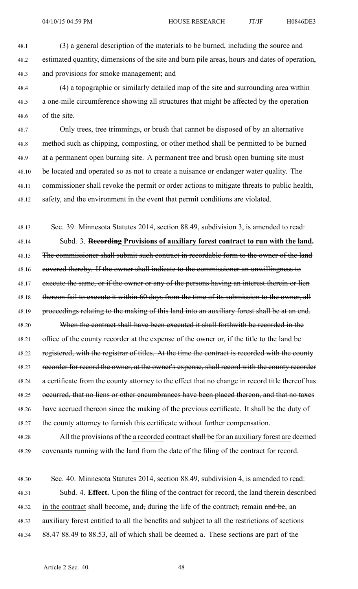48.1 (3) <sup>a</sup> general description of the materials to be burned, including the source and 48.2 estimated quantity, dimensions of the site and burn pile areas, hours and dates of operation, 48.3 and provisions for smoke management; and

48.4 (4) <sup>a</sup> topographic or similarly detailed map of the site and surrounding area within 48.5 <sup>a</sup> one-mile circumference showing all structures that might be affected by the operation 48.6 of the site.

48.7 Only trees, tree trimmings, or brush that cannot be disposed of by an alternative 48.8 method such as chipping, composting, or other method shall be permitted to be burned 48.9 at <sup>a</sup> permanen<sup>t</sup> open burning site. A permanen<sup>t</sup> tree and brush open burning site must 48.10 be located and operated so as not to create <sup>a</sup> nuisance or endanger water quality. The 48.11 commissioner shall revoke the permit or order actions to mitigate threats to public health, 48.12 safety, and the environment in the event that permit conditions are violated.

48.13 Sec. 39. Minnesota Statutes 2014, section 88.49, subdivision 3, is amended to read: 48.14 Subd. 3. **Recording Provisions of auxiliary forest contract to run with the land.** 48.15 The commissioner shall submit such contract in recordable form to the owner of the land 48.16 covered thereby. If the owner shall indicate to the commissioner an unwillingness to 48.17 execute the same, or if the owner or any of the persons having an interest therein or lien 48.18 thereon fail to execute it within 60 days from the time of its submission to the owner, all 48.19 proceedings relating to the making of this land into an auxiliary forest shall be at an end. 48.20 When the contract shall have been executed it shall forthwith be recorded in the 48.21 office of the county recorder at the expense of the owner or, if the title to the land be 48.22 registered, with the registrar of titles. At the time the contract is recorded with the county 48.23 recorder for record the owner, at the owner's expense, shall record with the county recorder 48.24 a certificate from the county attorney to the effect that no change in record title thereof has 48.25 occurred, that no liens or other encumbrances have been placed thereon, and that no taxes 48.26 have accrued thereon since the making of the previous certificate. It shall be the duty of 48.27 the county attorney to furnish this certificate without further compensation.

48.28 All the provisions of the a recorded contract shall be for an auxiliary forest are deemed 48.29 covenants running with the land from the date of the filing of the contract for record.

48.30 Sec. 40. Minnesota Statutes 2014, section 88.49, subdivision 4, is amended to read: 48.31 Subd. 4. **Effect.** Upon the filing of the contract for record, the land therein described 48.32 in the contract shall become, and, during the life of the contract, remain and be, an 48.33 auxiliary forest entitled to all the benefits and subject to all the restrictions of sections 48.34 88.47 88.49 to 88.53, all of which shall be deemed a. These sections are part of the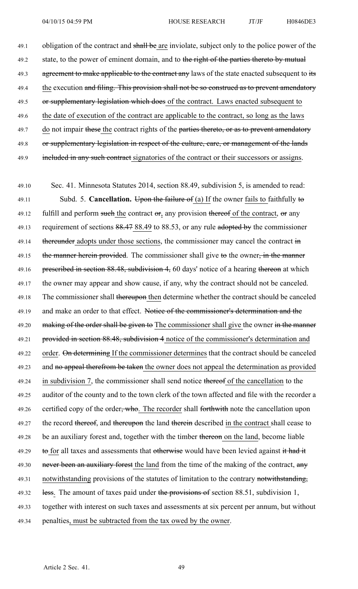49.1 obligation of the contract and shall be are inviolate, subject only to the police power of the 49.2 state, to the power of eminent domain, and to the right of the parties thereto by mutual 49.3 agreement to make applicable to the contract any laws of the state enacted subsequent to its 49.4 the execution and filing. This provision shall not be so construed as to prevent amendatory 49.5 or supplementary legislation which does of the contract. Laws enacted subsequent to 49.6 the date of execution of the contract are applicable to the contract, so long as the laws 49.7 do not impair these the contract rights of the parties thereto, or as to prevent amendatory 49.8 or supplementary legislation in respect of the culture, care, or management of the lands 49.9 included in any such contract signatories of the contract or their successors or assigns.

49.10 Sec. 41. Minnesota Statutes 2014, section 88.49, subdivision 5, is amended to read: 49.11 Subd. 5. **Cancellation.** Upon the failure of (a) If the owner fails to faithfully to 49.12 fulfill and perform such the contract  $\sigma$ , any provision thereof of the contract,  $\sigma$  any 49.13 requirement of sections 88.47 88.49 to 88.53, or any rule adopted by the commissioner 49.14 thereunder adopts under those sections, the commissioner may cancel the contract in 49.15 the manner herein provided. The commissioner shall give to the owner, in the manner 49.16 prescribed in section 88.48, subdivision 4, 60 days' notice of a hearing thereon at which 49.17 the owner may appear and show cause, if any, why the contract should not be canceled. 49.18 The commissioner shall thereupon then determine whether the contract should be canceled 49.19 and make an order to that effect. Notice of the commissioner's determination and the 49.20 making of the order shall be given to The commissioner shall give the owner in the manner 49.21 provided in section 88.48, subdivision 4 notice of the commissioner's determination and 49.22 order. On determining If the commissioner determines that the contract should be canceled 49.23 and no appeal therefrom be taken the owner does not appeal the determination as provided 49.24 in subdivision 7, the commissioner shall send notice thereof of the cancellation to the 49.25 auditor of the county and to the town clerk of the town affected and file with the recorder <sup>a</sup> 49.26 certified copy of the order, who. The recorder shall forthwith note the cancellation upon 49.27 the record thereof, and thereupon the land therein described in the contract shall cease to 49.28 be an auxiliary forest and, together with the timber thereon on the land, become liable 49.29 to for all taxes and assessments that otherwise would have been levied against it had it 49.30 never been an auxiliary forest the land from the time of the making of the contract, any 49.31 notwithstanding provisions of the statutes of limitation to the contrary notwithstanding, 49.32 less. The amount of taxes paid under the provisions of section 88.51, subdivision 1, 49.33 together with interest on such taxes and assessments at six percen<sup>t</sup> per annum, but without 49.34 penalties, must be subtracted from the tax owed by the owner.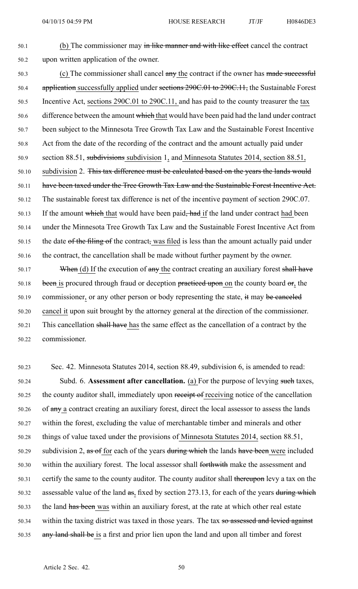50.1 (b) The commissioner may in like manner and with like effect cancel the contract 50.2 upon written application of the owner.

50.3 (c) The commissioner shall cancel any the contract if the owner has made successful 50.4 application successfully applied under sections 290C.01 to 290C.11, the Sustainable Forest 50.5 Incentive Act, sections 290C.01 to 290C.11, and has paid to the county treasurer the tax 50.6 difference between the amount which that would have been paid had the land under contract 50.7 been subject to the Minnesota Tree Growth Tax Law and the Sustainable Forest Incentive 50.8 Act from the date of the recording of the contract and the amount actually paid under 50.9 section 88.51, subdivisions subdivision 1, and Minnesota Statutes 2014, section 88.51, 50.10 subdivision 2. This tax difference must be calculated based on the years the lands would 50.11 have been taxed under the Tree Growth Tax Law and the Sustainable Forest Incentive Act. 50.12 The sustainable forest tax difference is net of the incentive paymen<sup>t</sup> of section 290C.07. 50.13 If the amount which that would have been paid, had if the land under contract had been 50.14 under the Minnesota Tree Growth Tax Law and the Sustainable Forest Incentive Act from 50.15 the date of the filing of the contract, was filed is less than the amount actually paid under 50.16 the contract, the cancellation shall be made without further paymen<sup>t</sup> by the owner.

50.17 When (d) If the execution of any the contract creating an auxiliary forest shall have 50.18 been is procured through fraud or deception practiced upon on the county board or, the 50.19 commissioner, or any other person or body representing the state, it may be canceled 50.20 cancel it upon suit brought by the attorney general at the direction of the commissioner. 50.21 This cancellation shall have has the same effect as the cancellation of <sup>a</sup> contract by the 50.22 commissioner.

50.23 Sec. 42. Minnesota Statutes 2014, section 88.49, subdivision 6, is amended to read: 50.24 Subd. 6. **Assessment after cancellation.** (a) For the purpose of levying such taxes, 50.25 the county auditor shall, immediately upon receipt of receiving notice of the cancellation 50.26 of any <sup>a</sup> contract creating an auxiliary forest, direct the local assessor to assess the lands 50.27 within the forest, excluding the value of merchantable timber and minerals and other 50.28 things of value taxed under the provisions of Minnesota Statutes 2014, section 88.51, 50.29 subdivision 2,  $\text{as }$  of for each of the years during which the lands have been were included 50.30 within the auxiliary forest. The local assessor shall forthwith make the assessment and 50.31 certify the same to the county auditor. The county auditor shall thereupon levy <sup>a</sup> tax on the 50.32 assessable value of the land as, fixed by section 273.13, for each of the years during which 50.33 the land has been was within an auxiliary forest, at the rate at which other real estate 50.34 within the taxing district was taxed in those years. The tax so assessed and levied against 50.35 any land shall be is <sup>a</sup> first and prior lien upon the land and upon all timber and forest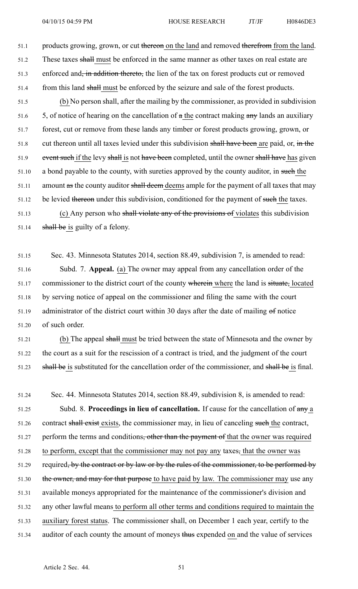51.1 products growing, grown, or cut thereon on the land and removed therefrom from the land. 51.2 These taxes shall must be enforced in the same manner as other taxes on real estate are 51.3 enforced and, in addition thereto, the lien of the tax on forest products cut or removed 51.4 from this land shall must be enforced by the seizure and sale of the forest products.

51.5 (b) No person shall, after the mailing by the commissioner, as provided in subdivision 51.6  $\frac{5}{5}$ , of notice of hearing on the cancellation of  $\alpha$  the contract making  $\alpha$ ny lands an auxiliary 51.7 forest, cut or remove from these lands any timber or forest products growing, grown, or 51.8 cut thereon until all taxes levied under this subdivision shall have been are paid, or, in the 51.9 event such if the levy shall is not have been completed, until the owner shall have has given 51.10 a bond payable to the county, with sureties approved by the county auditor, in such the 51.11 amount as the county auditor shall deem deems ample for the payment of all taxes that may 51.12 be levied thereon under this subdivision, conditioned for the payment of such the taxes. 51.13 (c) Any person who shall violate any of the provisions of violates this subdivision 51.14 **shall be** is guilty of a felony.

51.15 Sec. 43. Minnesota Statutes 2014, section 88.49, subdivision 7, is amended to read: 51.16 Subd. 7. **Appeal.** (a) The owner may appeal from any cancellation order of the 51.17 commissioner to the district court of the county wherein where the land is situate, located 51.18 by serving notice of appeal on the commissioner and filing the same with the court 51.19 administrator of the district court within 30 days after the date of mailing of notice 51.20 of such order.

51.21 (b) The appeal shall must be tried between the state of Minnesota and the owner by 51.22 the court as <sup>a</sup> suit for the rescission of <sup>a</sup> contract is tried, and the judgment of the court 51.23 shall be is substituted for the cancellation order of the commissioner, and shall be is final.

51.24 Sec. 44. Minnesota Statutes 2014, section 88.49, subdivision 8, is amended to read: 51.25 Subd. 8. **Proceedings in lieu of cancellation.** If cause for the cancellation of any <sup>a</sup> 51.26 contract shall exist exists, the commissioner may, in lieu of canceling such the contract, 51.27 perform the terms and conditions<del>, other than the payment of</del> that the owner was required 51.28 to perform, excep<sup>t</sup> that the commissioner may not pay any taxes, that the owner was 51.29 required<del>, by the contract or by law or by the rules of the commissioner, to be performed by</del> 51.30 the owner, and may for that purpose to have paid by law. The commissioner may use any 51.31 available moneys appropriated for the maintenance of the commissioner's division and 51.32 any other lawful means to perform all other terms and conditions required to maintain the 51.33 auxiliary forest status. The commissioner shall, on December 1 each year, certify to the 51.34 auditor of each county the amount of moneys thus expended on and the value of services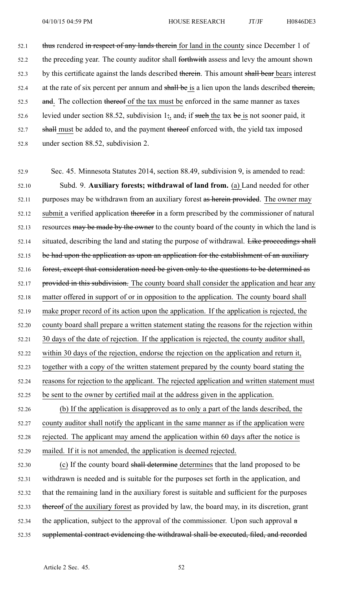52.1 thus rendered in respect of any lands therein for land in the county since December 1 of 52.2 the preceding year. The county auditor shall forthwith assess and levy the amount shown 52.3 by this certificate against the lands described therein. This amount shall bear bears interest 52.4 at the rate of six percent per annum and shall be is a lien upon the lands described therein, 52.5 and. The collection thereof of the tax must be enforced in the same manner as taxes 52.6 levied under section 88.52, subdivision  $1\frac{1}{2}$ , and, if such the tax be is not sooner paid, it 52.7 shall must be added to, and the payment thereof enforced with, the yield tax imposed

52.8 under section 88.52, subdivision 2.

52.9 Sec. 45. Minnesota Statutes 2014, section 88.49, subdivision 9, is amended to read: 52.10 Subd. 9. **Auxiliary forests; withdrawal of land from.** (a) Land needed for other 52.11 purposes may be withdrawn from an auxiliary forest as herein provided. The owner may 52.12 submit a verified application thereform in a form prescribed by the commissioner of natural 52.13 resources may be made by the owner to the county board of the county in which the land is 52.14 situated, describing the land and stating the purpose of withdrawal. Like proceedings shall 52.15 be had upon the application as upon an application for the establishment of an auxiliary 52.16 forest, except that consideration need be given only to the questions to be determined as 52.17 provided in this subdivision. The county board shall consider the application and hear any 52.18 matter offered in suppor<sup>t</sup> of or in opposition to the application. The county board shall 52.19 make proper record of its action upon the application. If the application is rejected, the 52.20 county board shall prepare <sup>a</sup> written statement stating the reasons for the rejection within 52.21 30 days of the date of rejection. If the application is rejected, the county auditor shall, 52.22 within 30 days of the rejection, endorse the rejection on the application and return it, 52.23 together with <sup>a</sup> copy of the written statement prepared by the county board stating the 52.24 reasons for rejection to the applicant. The rejected application and written statement must 52.25 be sent to the owner by certified mail at the address given in the application. 52.26 (b) If the application is disapproved as to only <sup>a</sup> par<sup>t</sup> of the lands described, the

52.27 county auditor shall notify the applicant in the same manner as if the application were 52.28 rejected. The applicant may amend the application within 60 days after the notice is 52.29 mailed. If it is not amended, the application is deemed rejected.

52.30 (c) If the county board shall determine determines that the land proposed to be 52.31 withdrawn is needed and is suitable for the purposes set forth in the application, and 52.32 that the remaining land in the auxiliary forest is suitable and sufficient for the purposes 52.33 thereof of the auxiliary forest as provided by law, the board may, in its discretion, gran<sup>t</sup> 52.34 the application, subject to the approval of the commissioner. Upon such approval  $\alpha$ 52.35 supplemental contract evidencing the withdrawal shall be executed, filed, and recorded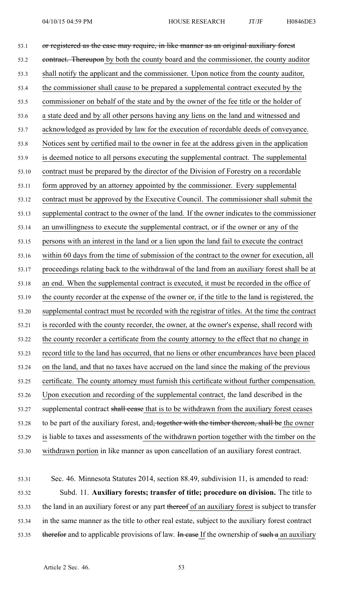53.1 or registered as the case may require, in like manner as an original auxiliary forest 53.2 contract. Thereupon by both the county board and the commissioner, the county auditor 53.3 shall notify the applicant and the commissioner. Upon notice from the county auditor, 53.4 the commissioner shall cause to be prepared <sup>a</sup> supplemental contract executed by the 53.5 commissioner on behalf of the state and by the owner of the fee title or the holder of 53.6 <sup>a</sup> state deed and by all other persons having any liens on the land and witnessed and 53.7 acknowledged as provided by law for the execution of recordable deeds of conveyance. 53.8 Notices sent by certified mail to the owner in fee at the address given in the application 53.9 is deemed notice to all persons executing the supplemental contract. The supplemental 53.10 contract must be prepared by the director of the Division of Forestry on <sup>a</sup> recordable 53.11 form approved by an attorney appointed by the commissioner. Every supplemental 53.12 contract must be approved by the Executive Council. The commissioner shall submit the 53.13 supplemental contract to the owner of the land. If the owner indicates to the commissioner 53.14 an unwillingness to execute the supplemental contract, or if the owner or any of the 53.15 persons with an interest in the land or <sup>a</sup> lien upon the land fail to execute the contract 53.16 within 60 days from the time of submission of the contract to the owner for execution, all 53.17 proceedings relating back to the withdrawal of the land from an auxiliary forest shall be at 53.18 an end. When the supplemental contract is executed, it must be recorded in the office of 53.19 the county recorder at the expense of the owner or, if the title to the land is registered, the 53.20 supplemental contract must be recorded with the registrar of titles. At the time the contract 53.21 is recorded with the county recorder, the owner, at the owner's expense, shall record with 53.22 the county recorder <sup>a</sup> certificate from the county attorney to the effect that no change in 53.23 record title to the land has occurred, that no liens or other encumbrances have been placed 53.24 on the land, and that no taxes have accrued on the land since the making of the previous 53.25 certificate. The county attorney must furnish this certificate without further compensation. 53.26 Upon execution and recording of the supplemental contract, the land described in the 53.27 supplemental contract shall cease that is to be withdrawn from the auxiliary forest ceases 53.28 to be part of the auxiliary forest, and<del>, together with the timber thereon, shall be</del> the owner 53.29 is liable to taxes and assessments of the withdrawn portion together with the timber on the 53.30 withdrawn portion in like manner as upon cancellation of an auxiliary forest contract.

53.31 Sec. 46. Minnesota Statutes 2014, section 88.49, subdivision 11, is amended to read: 53.32 Subd. 11. **Auxiliary forests; transfer of title; procedure on division.** The title to 53.33 the land in an auxiliary forest or any part thereof of an auxiliary forest is subject to transfer 53.34 in the same manner as the title to other real estate, subject to the auxiliary forest contract 53.35 therefor and to applicable provisions of law. In case If the ownership of such a an auxiliary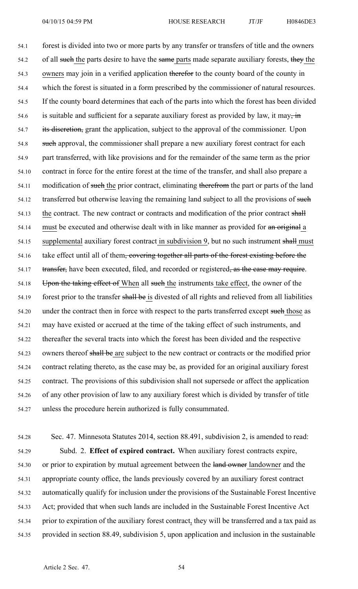54.1 forest is divided into two or more parts by any transfer or transfers of title and the owners 54.2 of all such the parts desire to have the same parts made separate auxiliary forests, they the 54.3 owners may join in <sup>a</sup> verified application therefor to the county board of the county in 54.4 which the forest is situated in <sup>a</sup> form prescribed by the commissioner of natural resources. 54.5 If the county board determines that each of the parts into which the forest has been divided 54.6 is suitable and sufficient for a separate auxiliary forest as provided by law, it may, in 54.7 its discretion, grant the application, subject to the approval of the commissioner. Upon 54.8 such approval, the commissioner shall prepare a new auxiliary forest contract for each 54.9 par<sup>t</sup> transferred, with like provisions and for the remainder of the same term as the prior 54.10 contract in force for the entire forest at the time of the transfer, and shall also prepare <sup>a</sup> 54.11 modification of such the prior contract, eliminating therefrom the part or parts of the land 54.12 transferred but otherwise leaving the remaining land subject to all the provisions of such 54.13 the contract. The new contract or contracts and modification of the prior contract shall 54.14 must be executed and otherwise dealt with in like manner as provided for an original a 54.15 supplemental auxiliary forest contract in subdivision 9, but no such instrument shall must 54.16 take effect until all of them, covering together all parts of the forest existing before the 54.17 transfer, have been executed, filed, and recorded or registered, as the case may require. 54.18 Upon the taking effect of When all such the instruments take effect, the owner of the 54.19 forest prior to the transfer shall be is divested of all rights and relieved from all liabilities 54.20 under the contract then in force with respect to the parts transferred except such those as 54.21 may have existed or accrued at the time of the taking effect of such instruments, and 54.22 thereafter the several tracts into which the forest has been divided and the respective 54.23 owners thereof shall be are subject to the new contract or contracts or the modified prior 54.24 contract relating thereto, as the case may be, as provided for an original auxiliary forest 54.25 contract. The provisions of this subdivision shall not supersede or affect the application 54.26 of any other provision of law to any auxiliary forest which is divided by transfer of title 54.27 unless the procedure herein authorized is fully consummated.

54.28 Sec. 47. Minnesota Statutes 2014, section 88.491, subdivision 2, is amended to read: 54.29 Subd. 2. **Effect of expired contract.** When auxiliary forest contracts expire, 54.30 or prior to expiration by mutual agreement between the land owner landowner and the

54.31 appropriate county office, the lands previously covered by an auxiliary forest contract 54.32 automatically qualify for inclusion under the provisions of the Sustainable Forest Incentive 54.33 Act; provided that when such lands are included in the Sustainable Forest Incentive Act 54.34 prior to expiration of the auxiliary forest contract, they will be transferred and <sup>a</sup> tax paid as 54.35 provided in section 88.49, subdivision 5, upon application and inclusion in the sustainable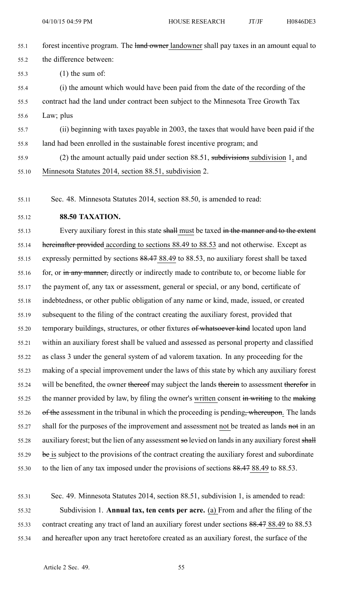- 55.1 forest incentive program. The land owner landowner shall pay taxes in an amount equal to 55.2 the difference between: 55.3 (1) the sum of: 55.4 (i) the amount which would have been paid from the date of the recording of the 55.5 contract had the land under contract been subject to the Minnesota Tree Growth Tax 55.6 Law; plus 55.7 (ii) beginning with taxes payable in 2003, the taxes that would have been paid if the 55.8 land had been enrolled in the sustainable forest incentive program; and
- 55.9 (2) the amount actually paid under section 88.51, subdivisions subdivision 1, and 55.10 Minnesota Statutes 2014, section 88.51, subdivision 2.

55.11 Sec. 48. Minnesota Statutes 2014, section 88.50, is amended to read:

55.12 **88.50 TAXATION.**

55.13 Every auxiliary forest in this state shall must be taxed in the manner and to the extent 55.14 hereinafter provided according to sections 88.49 to 88.53 and not otherwise. Except as 55.15 expressly permitted by sections 88.47 88.49 to 88.53, no auxiliary forest shall be taxed 55.16 for, or in any manner, directly or indirectly made to contribute to, or become liable for 55.17 the paymen<sup>t</sup> of, any tax or assessment, general or special, or any bond, certificate of 55.18 indebtedness, or other public obligation of any name or kind, made, issued, or created 55.19 subsequent to the filing of the contract creating the auxiliary forest, provided that 55.20 temporary buildings, structures, or other fixtures of whatsoever kind located upon land 55.21 within an auxiliary forest shall be valued and assessed as personal property and classified 55.22 as class 3 under the general system of ad valorem taxation. In any proceeding for the 55.23 making of <sup>a</sup> special improvement under the laws of this state by which any auxiliary forest 55.24 will be benefited, the owner thereof may subject the lands therein to assessment therefor in 55.25 the manner provided by law, by filing the owner's written consent in writing to the making 55.26 of the assessment in the tribunal in which the proceeding is pending, whereupon. The lands 55.27 shall for the purposes of the improvement and assessment not be treated as lands not in an 55.28 auxiliary forest; but the lien of any assessment so levied on lands in any auxiliary forest shall 55.29 be is subject to the provisions of the contract creating the auxiliary forest and subordinate 55.30 to the lien of any tax imposed under the provisions of sections 88.47 88.49 to 88.53.

55.31 Sec. 49. Minnesota Statutes 2014, section 88.51, subdivision 1, is amended to read: 55.32 Subdivision 1. **Annual tax, ten cents per acre.** (a) From and after the filing of the 55.33 contract creating any tract of land an auxiliary forest under sections 88.47 88.49 to 88.53 55.34 and hereafter upon any tract heretofore created as an auxiliary forest, the surface of the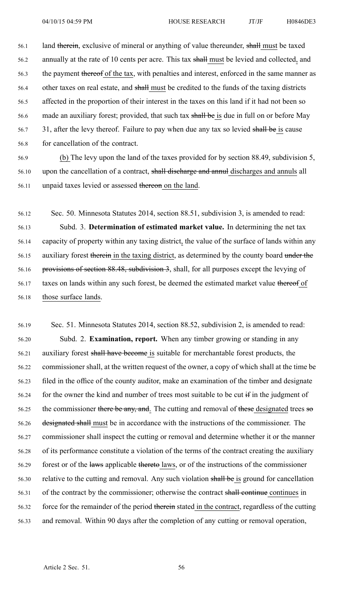56.1 land therein, exclusive of mineral or anything of value thereunder, shall must be taxed 56.2 annually at the rate of 10 cents per acre. This tax shall must be levied and collected, and 56.3 the paymen<sup>t</sup> thereof of the tax, with penalties and interest, enforced in the same manner as 56.4 other taxes on real estate, and shall must be credited to the funds of the taxing districts 56.5 affected in the proportion of their interest in the taxes on this land if it had not been so 56.6 made an auxiliary forest; provided, that such tax shall be is due in full on or before May 56.7 31, after the levy thereof. Failure to pay when due any tax so levied shall be is cause 56.8 for cancellation of the contract.

56.9 (b) The levy upon the land of the taxes provided for by section 88.49, subdivision 5, 56.10 upon the cancellation of a contract, shall discharge and annul discharges and annuls all 56.11 unpaid taxes levied or assessed thereon on the land.

56.12 Sec. 50. Minnesota Statutes 2014, section 88.51, subdivision 3, is amended to read: 56.13 Subd. 3. **Determination of estimated market value.** In determining the net tax 56.14 capacity of property within any taxing district, the value of the surface of lands within any 56.15 auxiliary forest therein in the taxing district, as determined by the county board under the 56.16 provisions of section 88.48, subdivision 3, shall, for all purposes excep<sup>t</sup> the levying of 56.17 taxes on lands within any such forest, be deemed the estimated market value thereof of 56.18 those surface lands.

56.19 Sec. 51. Minnesota Statutes 2014, section 88.52, subdivision 2, is amended to read: 56.20 Subd. 2. **Examination, report.** When any timber growing or standing in any 56.21 auxiliary forest shall have become is suitable for merchantable forest products, the 56.22 commissioner shall, at the written reques<sup>t</sup> of the owner, <sup>a</sup> copy of which shall at the time be 56.23 filed in the office of the county auditor, make an examination of the timber and designate 56.24 for the owner the kind and number of trees most suitable to be cut if in the judgment of 56.25 the commissioner there be any, and. The cutting and removal of these designated trees so 56.26 designated shall must be in accordance with the instructions of the commissioner. The 56.27 commissioner shall inspect the cutting or removal and determine whether it or the manner 56.28 of its performance constitute <sup>a</sup> violation of the terms of the contract creating the auxiliary 56.29 forest or of the laws applicable thereto laws, or of the instructions of the commissioner 56.30 relative to the cutting and removal. Any such violation shall be is ground for cancellation 56.31 of the contract by the commissioner; otherwise the contract shall continue continues in 56.32 force for the remainder of the period therein stated in the contract, regardless of the cutting 56.33 and removal. Within 90 days after the completion of any cutting or removal operation,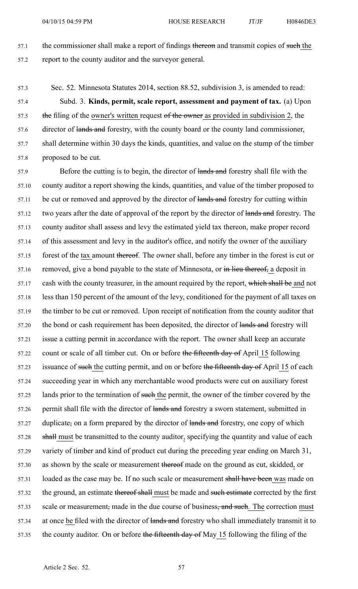57.1 the commissioner shall make a report of findings thereon and transmit copies of such the 57.2 repor<sup>t</sup> to the county auditor and the surveyor general.

57.3 Sec. 52. Minnesota Statutes 2014, section 88.52, subdivision 3, is amended to read:

57.4 Subd. 3. **Kinds, permit, scale report, assessment and paymen<sup>t</sup> of tax.** (a) Upon 57.5 the filing of the owner's written request of the owner as provided in subdivision 2, the 57.6 director of lands and forestry, with the county board or the county land commissioner, 57.7 shall determine within 30 days the kinds, quantities, and value on the stump of the timber 57.8 proposed to be cut.

57.9 Before the cutting is to begin, the director of lands and forestry shall file with the 57.10 county auditor <sup>a</sup> repor<sup>t</sup> showing the kinds, quantities, and value of the timber proposed to 57.11 be cut or removed and approved by the director of lands and forestry for cutting within 57.12 two years after the date of approval of the report by the director of lands and forestry. The 57.13 county auditor shall assess and levy the estimated yield tax thereon, make proper record 57.14 of this assessment and levy in the auditor's office, and notify the owner of the auxiliary 57.15 forest of the tax amount thereof. The owner shall, before any timber in the forest is cut or 57.16 removed, give a bond payable to the state of Minnesota, or in lieu thereof, a deposit in 57.17 cash with the county treasurer, in the amount required by the report, which shall be and not 57.18 less than 150 percen<sup>t</sup> of the amount of the levy, conditioned for the paymen<sup>t</sup> of all taxes on 57.19 the timber to be cut or removed. Upon receipt of notification from the county auditor that 57.20 the bond or cash requirement has been deposited, the director of lands and forestry will 57.21 issue <sup>a</sup> cutting permit in accordance with the report. The owner shall keep an accurate 57.22 count or scale of all timber cut. On or before the fifteenth day of April 15 following 57.23 issuance of such the cutting permit, and on or before the fifteenth day of April 15 of each 57.24 succeeding year in which any merchantable wood products were cut on auxiliary forest 57.25 lands prior to the termination of such the permit, the owner of the timber covered by the 57.26 permit shall file with the director of lands and forestry a sworn statement, submitted in 57.27 duplicate, on a form prepared by the director of lands and forestry, one copy of which 57.28 shall must be transmitted to the county auditor, specifying the quantity and value of each 57.29 variety of timber and kind of product cut during the preceding year ending on March 31, 57.30 as shown by the scale or measurement thereof made on the ground as cut, skidded, or 57.31 loaded as the case may be. If no such scale or measurement shall have been was made on 57.32 the ground, an estimate thereof shall must be made and such estimate corrected by the first 57.33 scale or measurement, made in the due course of business, and such. The correction must 57.34 at once be filed with the director of lands and forestry who shall immediately transmit it to 57.35 the county auditor. On or before the fifteenth day of May 15 following the filing of the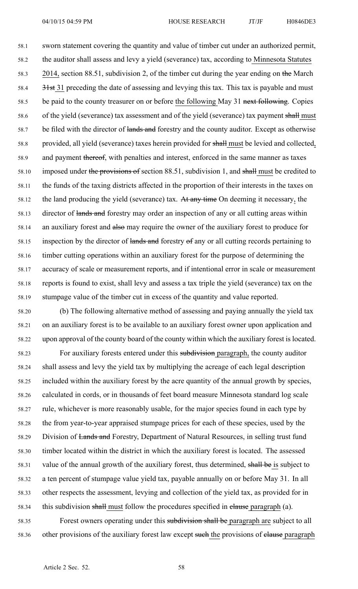58.1 sworn statement covering the quantity and value of timber cut under an authorized permit, 58.2 the auditor shall assess and levy <sup>a</sup> yield (severance) tax, according to Minnesota Statutes 58.3 2014, section 88.51, subdivision 2, of the timber cut during the year ending on the March 58.4 31st 31 preceding the date of assessing and levying this tax. This tax is payable and must 58.5 be paid to the county treasurer on or before the following May 31 next following. Copies 58.6 of the yield (severance) tax assessment and of the yield (severance) tax payment shall must 58.7 be filed with the director of lands and forestry and the county auditor. Except as otherwise 58.8 provided, all yield (severance) taxes herein provided for shall must be levied and collected, 58.9 and paymen<sup>t</sup> thereof, with penalties and interest, enforced in the same manner as taxes 58.10 imposed under the provisions of section 88.51, subdivision 1, and shall must be credited to 58.11 the funds of the taxing districts affected in the proportion of their interests in the taxes on 58.12 the land producing the yield (severance) tax. At any time On deeming it necessary, the 58.13 director of lands and forestry may order an inspection of any or all cutting areas within 58.14 an auxiliary forest and also may require the owner of the auxiliary forest to produce for 58.15 inspection by the director of lands and forestry of any or all cutting records pertaining to 58.16 timber cutting operations within an auxiliary forest for the purpose of determining the 58.17 accuracy of scale or measurement reports, and if intentional error in scale or measurement 58.18 reports is found to exist, shall levy and assess <sup>a</sup> tax triple the yield (severance) tax on the 58.19 stumpage value of the timber cut in excess of the quantity and value reported.

58.20 (b) The following alternative method of assessing and paying annually the yield tax 58.21 on an auxiliary forest is to be available to an auxiliary forest owner upon application and 58.22 upon approval of the county board of the county within which the auxiliary forest is located.

58.23 For auxiliary forests entered under this subdivision paragraph, the county auditor 58.24 shall assess and levy the yield tax by multiplying the acreage of each legal description 58.25 included within the auxiliary forest by the acre quantity of the annual growth by species, 58.26 calculated in cords, or in thousands of feet board measure Minnesota standard log scale 58.27 rule, whichever is more reasonably usable, for the major species found in each type by 58.28 the from year-to-year appraised stumpage prices for each of these species, used by the 58.29 Division of Lands and Forestry, Department of Natural Resources, in selling trust fund 58.30 timber located within the district in which the auxiliary forest is located. The assessed 58.31 value of the annual growth of the auxiliary forest, thus determined, shall be is subject to 58.32 <sup>a</sup> ten percen<sup>t</sup> of stumpage value yield tax, payable annually on or before May 31. In all 58.33 other respects the assessment, levying and collection of the yield tax, as provided for in 58.34 this subdivision shall must follow the procedures specified in elause paragraph (a).

58.35 Forest owners operating under this subdivision shall be paragraph are subject to all 58.36 other provisions of the auxiliary forest law except such the provisions of clause paragraph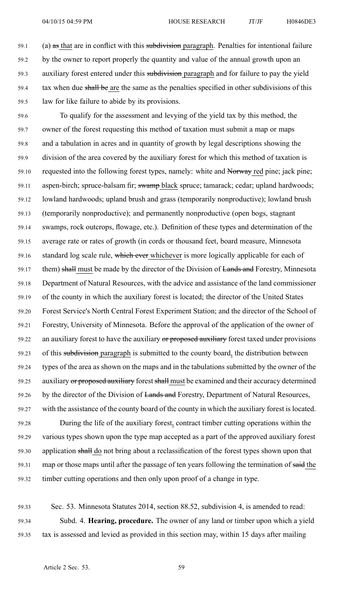59.1 (a) as that are in conflict with this subdivision paragraph. Penalties for intentional failure 59.2 by the owner to repor<sup>t</sup> properly the quantity and value of the annual growth upon an 59.3 auxiliary forest entered under this subdivision paragraph and for failure to pay the yield 59.4 tax when due shall be are the same as the penalties specified in other subdivisions of this 59.5 law for like failure to abide by its provisions.

59.6 To qualify for the assessment and levying of the yield tax by this method, the 59.7 owner of the forest requesting this method of taxation must submit <sup>a</sup> map or maps 59.8 and <sup>a</sup> tabulation in acres and in quantity of growth by legal descriptions showing the 59.9 division of the area covered by the auxiliary forest for which this method of taxation is 59.10 requested into the following forest types, namely: white and Norway red pine; jack pine; 59.11 aspen-birch; spruce-balsam fir; swamp black spruce; tamarack; cedar; upland hardwoods; 59.12 lowland hardwoods; upland brush and grass (temporarily nonproductive); lowland brush 59.13 (temporarily nonproductive); and permanently nonproductive (open bogs, stagnant 59.14 swamps, rock outcrops, flowage, etc.). Definition of these types and determination of the 59.15 average rate or rates of growth (in cords or thousand feet, board measure, Minnesota 59.16 standard log scale rule, which ever which ever is more logically applicable for each of 59.17 them) shall must be made by the director of the Division of Lands and Forestry, Minnesota 59.18 Department of Natural Resources, with the advice and assistance of the land commissioner 59.19 of the county in which the auxiliary forest is located; the director of the United States 59.20 Forest Service's North Central Forest Experiment Station; and the director of the School of 59.21 Forestry, University of Minnesota. Before the approval of the application of the owner of 59.22 an auxiliary forest to have the auxiliary or proposed auxiliary forest taxed under provisions 59.23 of this subdivision paragraph is submitted to the county board, the distribution between 59.24 types of the area as shown on the maps and in the tabulations submitted by the owner of the 59.25 auxiliary or proposed auxiliary forest shall must be examined and their accuracy determined 59.26 by the director of the Division of Lands and Forestry, Department of Natural Resources, 59.27 with the assistance of the county board of the county in which the auxiliary forest is located. 59.28 During the life of the auxiliary forest, contract timber cutting operations within the 59.29 various types shown upon the type map accepted as <sup>a</sup> par<sup>t</sup> of the approved auxiliary forest

59.30 application shall do not bring about <sup>a</sup> reclassification of the forest types shown upon that 59.31 map or those maps until after the passage of ten years following the termination of said the 59.32 timber cutting operations and then only upon proof of <sup>a</sup> change in type.

59.33 Sec. 53. Minnesota Statutes 2014, section 88.52, subdivision 4, is amended to read: 59.34 Subd. 4. **Hearing, procedure.** The owner of any land or timber upon which <sup>a</sup> yield 59.35 tax is assessed and levied as provided in this section may, within 15 days after mailing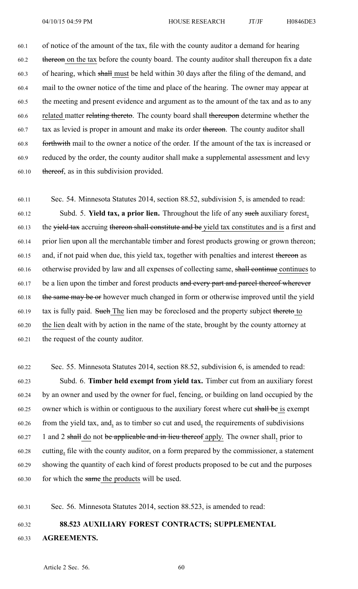60.1 of notice of the amount of the tax, file with the county auditor <sup>a</sup> demand for hearing 60.2 thereon on the tax before the county board. The county auditor shall thereupon fix <sup>a</sup> date 60.3 of hearing, which shall must be held within 30 days after the filing of the demand, and 60.4 mail to the owner notice of the time and place of the hearing. The owner may appear at 60.5 the meeting and presen<sup>t</sup> evidence and argumen<sup>t</sup> as to the amount of the tax and as to any 60.6 related matter relating thereto. The county board shall thereupon determine whether the 60.7 tax as levied is proper in amount and make its order thereon. The county auditor shall 60.8 forthwith mail to the owner <sup>a</sup> notice of the order. If the amount of the tax is increased or 60.9 reduced by the order, the county auditor shall make <sup>a</sup> supplemental assessment and levy 60.10 thereof, as in this subdivision provided.

60.11 Sec. 54. Minnesota Statutes 2014, section 88.52, subdivision 5, is amended to read: 60.12 Subd. 5. **Yield tax, <sup>a</sup> prior lien.** Throughout the life of any such auxiliary forest, 60.13 the yield tax accruing thereon shall constitute and be yield tax constitutes and is a first and 60.14 prior lien upon all the merchantable timber and forest products growing or grown thereon; 60.15 and, if not paid when due, this yield tax, together with penalties and interest thereon as 60.16 otherwise provided by law and all expenses of collecting same, shall continue continues to 60.17 be a lien upon the timber and forest products and every part and parcel thereof wherever 60.18 the same may be or however much changed in form or otherwise improved until the yield 60.19 tax is fully paid. Such The lien may be foreclosed and the property subject thereto to 60.20 the lien dealt with by action in the name of the state, brought by the county attorney at 60.21 the reques<sup>t</sup> of the county auditor.

60.22 Sec. 55. Minnesota Statutes 2014, section 88.52, subdivision 6, is amended to read: 60.23 Subd. 6. **Timber held exemp<sup>t</sup> from yield tax.** Timber cut from an auxiliary forest 60.24 by an owner and used by the owner for fuel, fencing, or building on land occupied by the 60.25 owner which is within or contiguous to the auxiliary forest where cut shall be is exempt 60.26 from the yield tax, and, as to timber so cut and used, the requirements of subdivisions 60.27 1 and 2 shall do not be applicable and in lieu thereof apply. The owner shall, prior to 60.28 cutting, file with the county auditor, on <sup>a</sup> form prepared by the commissioner, <sup>a</sup> statement 60.29 showing the quantity of each kind of forest products proposed to be cut and the purposes 60.30 for which the same the products will be used.

60.31 Sec. 56. Minnesota Statutes 2014, section 88.523, is amended to read:

# 60.32 **88.523 AUXILIARY FOREST CONTRACTS; SUPPLEMENTAL** 60.33 **AGREEMENTS.**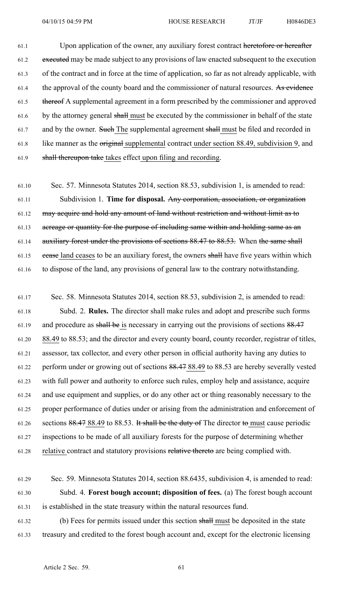61.1 Upon application of the owner, any auxiliary forest contract heretofore or hereafter 61.2 executed may be made subject to any provisions of law enacted subsequent to the execution 61.3 of the contract and in force at the time of application, so far as not already applicable, with 61.4 the approval of the county board and the commissioner of natural resources. As evidence 61.5 thereof A supplemental agreemen<sup>t</sup> in <sup>a</sup> form prescribed by the commissioner and approved 61.6 by the attorney general shall must be executed by the commissioner in behalf of the state 61.7 and by the owner. Such The supplemental agreement shall must be filed and recorded in 61.8 like manner as the original supplemental contract under section 88.49, subdivision 9, and 61.9 shall thereupon take takes effect upon filing and recording.

61.10 Sec. 57. Minnesota Statutes 2014, section 88.53, subdivision 1, is amended to read: 61.11 Subdivision 1. **Time for disposal.** Any corporation, association, or organization 61.12 may acquire and hold any amount of land without restriction and without limit as to 61.13 acreage or quantity for the purpose of including same within and holding same as an 61.14 auxiliary forest under the provisions of sections 88.47 to 88.53. When the same shall 61.15 cease land ceases to be an auxiliary forest, the owners shall have five years within which 61.16 to dispose of the land, any provisions of general law to the contrary notwithstanding.

61.17 Sec. 58. Minnesota Statutes 2014, section 88.53, subdivision 2, is amended to read: 61.18 Subd. 2. **Rules.** The director shall make rules and adopt and prescribe such forms 61.19 and procedure as shall be is necessary in carrying out the provisions of sections 88.47 61.20 88.49 to 88.53; and the director and every county board, county recorder, registrar of titles, 61.21 assessor, tax collector, and every other person in official authority having any duties to 61.22 perform under or growing out of sections 88.47 88.49 to 88.53 are hereby severally vested 61.23 with full power and authority to enforce such rules, employ help and assistance, acquire 61.24 and use equipment and supplies, or do any other act or thing reasonably necessary to the 61.25 proper performance of duties under or arising from the administration and enforcement of 61.26 sections 88.47 88.49 to 88.53. It shall be the duty of The director to must cause periodic 61.27 inspections to be made of all auxiliary forests for the purpose of determining whether 61.28 relative contract and statutory provisions relative thereto are being complied with.

61.29 Sec. 59. Minnesota Statutes 2014, section 88.6435, subdivision 4, is amended to read: 61.30 Subd. 4. **Forest bough account; disposition of fees.** (a) The forest bough account 61.31 is established in the state treasury within the natural resources fund.

61.32 (b) Fees for permits issued under this section shall must be deposited in the state 61.33 treasury and credited to the forest bough account and, excep<sup>t</sup> for the electronic licensing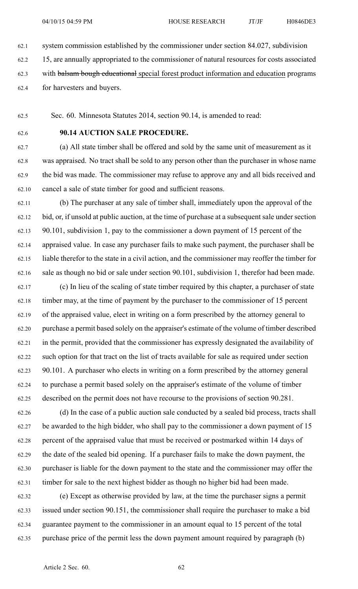62.1 system commission established by the commissioner under section 84.027, subdivision

62.2 15, are annually appropriated to the commissioner of natural resources for costs associated

62.3 with balsam bough educational special forest product information and education programs

62.4 for harvesters and buyers.

62.5 Sec. 60. Minnesota Statutes 2014, section 90.14, is amended to read:

### 62.6 **90.14 AUCTION SALE PROCEDURE.**

62.7 (a) All state timber shall be offered and sold by the same unit of measurement as it 62.8 was appraised. No tract shall be sold to any person other than the purchaser in whose name 62.9 the bid was made. The commissioner may refuse to approve any and all bids received and 62.10 cancel <sup>a</sup> sale of state timber for good and sufficient reasons.

62.11 (b) The purchaser at any sale of timber shall, immediately upon the approval of the 62.12 bid, or, if unsold at public auction, at the time of purchase at <sup>a</sup> subsequent sale under section 62.13 90.101, subdivision 1, pay to the commissioner <sup>a</sup> down paymen<sup>t</sup> of 15 percen<sup>t</sup> of the 62.14 appraised value. In case any purchaser fails to make such payment, the purchaser shall be 62.15 liable therefor to the state in <sup>a</sup> civil action, and the commissioner may reoffer the timber for 62.16 sale as though no bid or sale under section 90.101, subdivision 1, therefor had been made.

62.17 (c) In lieu of the scaling of state timber required by this chapter, <sup>a</sup> purchaser of state 62.18 timber may, at the time of paymen<sup>t</sup> by the purchaser to the commissioner of 15 percen<sup>t</sup> 62.19 of the appraised value, elect in writing on <sup>a</sup> form prescribed by the attorney general to 62.20 purchase <sup>a</sup> permit based solely on the appraiser's estimate of the volume of timber described 62.21 in the permit, provided that the commissioner has expressly designated the availability of 62.22 such option for that tract on the list of tracts available for sale as required under section 62.23 90.101. A purchaser who elects in writing on <sup>a</sup> form prescribed by the attorney general 62.24 to purchase <sup>a</sup> permit based solely on the appraiser's estimate of the volume of timber 62.25 described on the permit does not have recourse to the provisions of section 90.281.

62.26 (d) In the case of <sup>a</sup> public auction sale conducted by <sup>a</sup> sealed bid process, tracts shall 62.27 be awarded to the high bidder, who shall pay to the commissioner <sup>a</sup> down paymen<sup>t</sup> of 15 62.28 percen<sup>t</sup> of the appraised value that must be received or postmarked within 14 days of 62.29 the date of the sealed bid opening. If <sup>a</sup> purchaser fails to make the down payment, the 62.30 purchaser is liable for the down paymen<sup>t</sup> to the state and the commissioner may offer the 62.31 timber for sale to the next highest bidder as though no higher bid had been made.

62.32 (e) Except as otherwise provided by law, at the time the purchaser signs <sup>a</sup> permit 62.33 issued under section 90.151, the commissioner shall require the purchaser to make <sup>a</sup> bid 62.34 guarantee paymen<sup>t</sup> to the commissioner in an amount equal to 15 percen<sup>t</sup> of the total 62.35 purchase price of the permit less the down paymen<sup>t</sup> amount required by paragraph (b)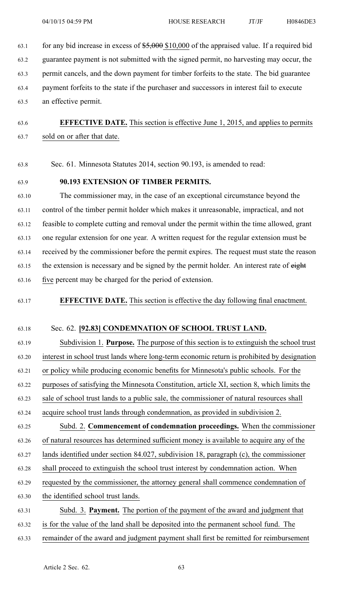63.1 for any bid increase in excess of \$5,000 \$10,000 of the appraised value. If a required bid

63.2 guarantee paymen<sup>t</sup> is not submitted with the signed permit, no harvesting may occur, the

63.3 permit cancels, and the down paymen<sup>t</sup> for timber forfeits to the state. The bid guarantee

63.4 paymen<sup>t</sup> forfeits to the state if the purchaser and successors in interest fail to execute

63.5 an effective permit.

63.6 **EFFECTIVE DATE.** This section is effective June 1, 2015, and applies to permits 63.7 sold on or after that date.

63.8 Sec. 61. Minnesota Statutes 2014, section 90.193, is amended to read:

#### 63.9 **90.193 EXTENSION OF TIMBER PERMITS.**

63.10 The commissioner may, in the case of an exceptional circumstance beyond the 63.11 control of the timber permit holder which makes it unreasonable, impractical, and not 63.12 feasible to complete cutting and removal under the permit within the time allowed, gran<sup>t</sup> 63.13 one regular extension for one year. A written reques<sup>t</sup> for the regular extension must be 63.14 received by the commissioner before the permit expires. The reques<sup>t</sup> must state the reason 63.15 the extension is necessary and be signed by the permit holder. An interest rate of eight 63.16 five percen<sup>t</sup> may be charged for the period of extension.

63.17 **EFFECTIVE DATE.** This section is effective the day following final enactment.

#### 63.18 Sec. 62. **[92.83] CONDEMNATION OF SCHOOL TRUST LAND.**

63.19 Subdivision 1. **Purpose.** The purpose of this section is to extinguish the school trust

63.20 interest in school trust lands where long-term economic return is prohibited by designation

63.21 or policy while producing economic benefits for Minnesota's public schools. For the

63.22 purposes of satisfying the Minnesota Constitution, article XI, section 8, which limits the

63.23 sale of school trust lands to <sup>a</sup> public sale, the commissioner of natural resources shall

63.24 acquire school trust lands through condemnation, as provided in subdivision 2.

63.25 Subd. 2. **Commencement of condemnation proceedings.** When the commissioner 63.26 of natural resources has determined sufficient money is available to acquire any of the 63.27 lands identified under section 84.027, subdivision 18, paragraph (c), the commissioner

63.28 shall proceed to extinguish the school trust interest by condemnation action. When

63.29 requested by the commissioner, the attorney general shall commence condemnation of

63.30 the identified school trust lands.

63.31 Subd. 3. **Payment.** The portion of the paymen<sup>t</sup> of the award and judgment that 63.32 is for the value of the land shall be deposited into the permanen<sup>t</sup> school fund. The 63.33 remainder of the award and judgment paymen<sup>t</sup> shall first be remitted for reimbursement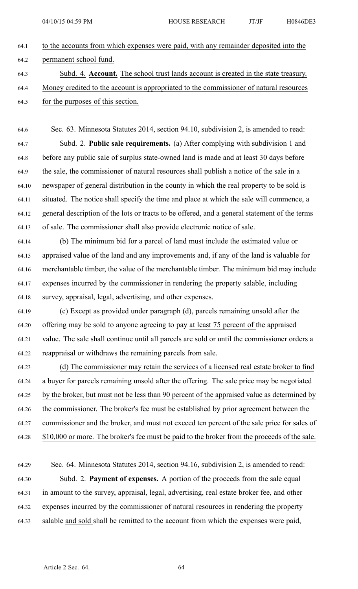| 64.1 | to the accounts from which expenses were paid, with any remainder deposited into the   |
|------|----------------------------------------------------------------------------------------|
| 64.2 | permanent school fund.                                                                 |
| 64.3 | Subd. 4. Account. The school trust lands account is created in the state treasury.     |
| 64.4 | Money credited to the account is appropriated to the commissioner of natural resources |
| 64.5 | for the purposes of this section.                                                      |
|      |                                                                                        |
| 64.6 | Sec. 63. Minnesota Statutes 2014, section 94.10, subdivision 2, is amended to read:    |
| 64.7 | Subd. 2. <b>Public sale requirements.</b> (a) After complying with subdivision 1 and   |
| 64.8 | before any public sale of surplus state-owned land is made and at least 30 days before |

64.9 the sale, the commissioner of natural resources shall publish <sup>a</sup> notice of the sale in <sup>a</sup> 64.10 newspaper of general distribution in the county in which the real property to be sold is 64.11 situated. The notice shall specify the time and place at which the sale will commence, <sup>a</sup> 64.12 general description of the lots or tracts to be offered, and <sup>a</sup> general statement of the terms 64.13 of sale. The commissioner shall also provide electronic notice of sale.

64.14 (b) The minimum bid for <sup>a</sup> parcel of land must include the estimated value or 64.15 appraised value of the land and any improvements and, if any of the land is valuable for 64.16 merchantable timber, the value of the merchantable timber. The minimum bid may include 64.17 expenses incurred by the commissioner in rendering the property salable, including 64.18 survey, appraisal, legal, advertising, and other expenses.

64.19 (c) Except as provided under paragraph (d), parcels remaining unsold after the 64.20 offering may be sold to anyone agreeing to pay at least 75 percen<sup>t</sup> of the appraised 64.21 value. The sale shall continue until all parcels are sold or until the commissioner orders <sup>a</sup> 64.22 reappraisal or withdraws the remaining parcels from sale.

64.23 (d) The commissioner may retain the services of <sup>a</sup> licensed real estate broker to find 64.24 <sup>a</sup> buyer for parcels remaining unsold after the offering. The sale price may be negotiated 64.25 by the broker, but must not be less than 90 percen<sup>t</sup> of the appraised value as determined by 64.26 the commissioner. The broker's fee must be established by prior agreemen<sup>t</sup> between the 64.27 commissioner and the broker, and must not exceed ten percen<sup>t</sup> of the sale price for sales of 64.28 \$10,000 or more. The broker's fee must be paid to the broker from the proceeds of the sale.

64.29 Sec. 64. Minnesota Statutes 2014, section 94.16, subdivision 2, is amended to read: 64.30 Subd. 2. **Payment of expenses.** A portion of the proceeds from the sale equal 64.31 in amount to the survey, appraisal, legal, advertising, real estate broker fee, and other 64.32 expenses incurred by the commissioner of natural resources in rendering the property 64.33 salable and sold shall be remitted to the account from which the expenses were paid,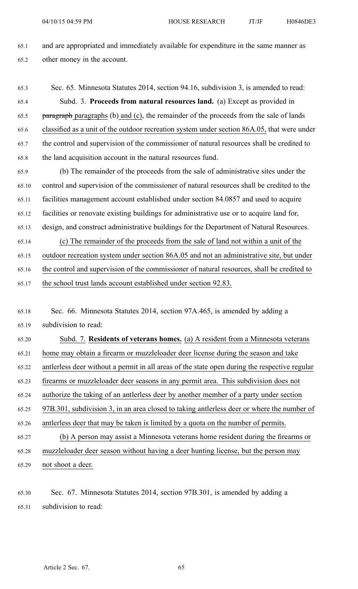65.1 and are appropriated and immediately available for expenditure in the same manner as 65.2 other money in the account.

- 65.3 Sec. 65. Minnesota Statutes 2014, section 94.16, subdivision 3, is amended to read: 65.4 Subd. 3. **Proceeds from natural resources land.** (a) Except as provided in 65.5 paragraph paragraphs (b) and (c), the remainder of the proceeds from the sale of lands 65.6 classified as <sup>a</sup> unit of the outdoor recreation system under section 86A.05, that were under 65.7 the control and supervision of the commissioner of natural resources shall be credited to 65.8 the land acquisition account in the natural resources fund.
- 65.9 (b) The remainder of the proceeds from the sale of administrative sites under the 65.10 control and supervision of the commissioner of natural resources shall be credited to the 65.11 facilities managemen<sup>t</sup> account established under section 84.0857 and used to acquire 65.12 facilities or renovate existing buildings for administrative use or to acquire land for, 65.13 design, and construct administrative buildings for the Department of Natural Resources. 65.14 (c) The remainder of the proceeds from the sale of land not within <sup>a</sup> unit of the 65.15 outdoor recreation system under section 86A.05 and not an administrative site, but under
- 65.16 the control and supervision of the commissioner of natural resources, shall be credited to 65.17 the school trust lands account established under section 92.83.
- 65.18 Sec. 66. Minnesota Statutes 2014, section 97A.465, is amended by adding <sup>a</sup> 65.19 subdivision to read:

65.20 Subd. 7. **Residents of veterans homes.** (a) A resident from <sup>a</sup> Minnesota veterans 65.21 home may obtain <sup>a</sup> firearm or muzzleloader deer license during the season and take 65.22 antlerless deer without <sup>a</sup> permit in all areas of the state open during the respective regular 65.23 firearms or muzzleloader deer seasons in any permit area. This subdivision does not 65.24 authorize the taking of an antlerless deer by another member of <sup>a</sup> party under section 65.25 97B.301, subdivision 3, in an area closed to taking antlerless deer or where the number of 65.26 antlerless deer that may be taken is limited by <sup>a</sup> quota on the number of permits. 65.27 (b) A person may assist <sup>a</sup> Minnesota veterans home resident during the firearms or 65.28 muzzleloader deer season without having <sup>a</sup> deer hunting license, but the person may 65.29 not shoot <sup>a</sup> deer.

65.30 Sec. 67. Minnesota Statutes 2014, section 97B.301, is amended by adding <sup>a</sup> 65.31 subdivision to read: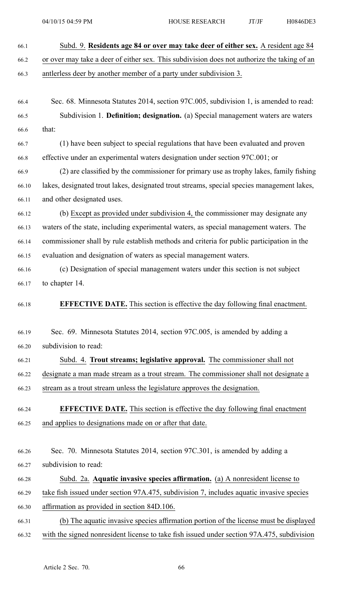66.1 Subd. 9. **Residents age 84 or over may take deer of either sex.** A resident age 84 66.2 or over may take <sup>a</sup> deer of either sex. This subdivision does not authorize the taking of an 66.3 antlerless deer by another member of <sup>a</sup> party under subdivision 3. 66.4 Sec. 68. Minnesota Statutes 2014, section 97C.005, subdivision 1, is amended to read: 66.5 Subdivision 1. **Definition; designation.** (a) Special managemen<sup>t</sup> waters are waters 66.6 that: 66.7 (1) have been subject to special regulations that have been evaluated and proven 66.8 effective under an experimental waters designation under section 97C.001; or 66.9 (2) are classified by the commissioner for primary use as trophy lakes, family fishing 66.10 lakes, designated trout lakes, designated trout streams, special species managemen<sup>t</sup> lakes, 66.11 and other designated uses. 66.12 (b) Except as provided under subdivision 4, the commissioner may designate any 66.13 waters of the state, including experimental waters, as special managemen<sup>t</sup> waters. The 66.14 commissioner shall by rule establish methods and criteria for public participation in the 66.15 evaluation and designation of waters as special managemen<sup>t</sup> waters. 66.16 (c) Designation of special managemen<sup>t</sup> waters under this section is not subject 66.17 to chapter 14. 66.18 **EFFECTIVE DATE.** This section is effective the day following final enactment. 66.19 Sec. 69. Minnesota Statutes 2014, section 97C.005, is amended by adding <sup>a</sup> 66.20 subdivision to read: 66.21 Subd. 4. **Trout streams; legislative approval.** The commissioner shall not 66.22 designate <sup>a</sup> man made stream as <sup>a</sup> trout stream. The commissioner shall not designate <sup>a</sup> 66.23 stream as <sup>a</sup> trout stream unless the legislature approves the designation. 66.24 **EFFECTIVE DATE.** This section is effective the day following final enactment 66.25 and applies to designations made on or after that date. 66.26 Sec. 70. Minnesota Statutes 2014, section 97C.301, is amended by adding <sup>a</sup> 66.27 subdivision to read: 66.28 Subd. 2a. **Aquatic invasive species affirmation.** (a) A nonresident license to 66.29 take fish issued under section 97A.475, subdivision 7, includes aquatic invasive species 66.30 affirmation as provided in section 84D.106. 66.31 (b) The aquatic invasive species affirmation portion of the license must be displayed 66.32 with the signed nonresident license to take fish issued under section 97A.475, subdivision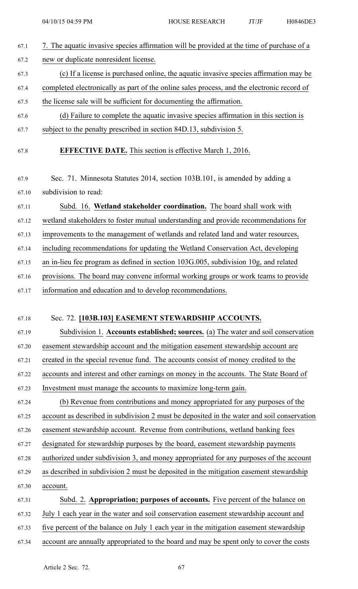67.1 7. The aquatic invasive species affirmation will be provided at the time of purchase of <sup>a</sup> 67.2 new or duplicate nonresident license. 67.3 (c) If <sup>a</sup> license is purchased online, the aquatic invasive species affirmation may be 67.4 completed electronically as par<sup>t</sup> of the online sales process, and the electronic record of 67.5 the license sale will be sufficient for documenting the affirmation. 67.6 (d) Failure to complete the aquatic invasive species affirmation in this section is 67.7 subject to the penalty prescribed in section 84D.13, subdivision 5. 67.8 **EFFECTIVE DATE.** This section is effective March 1, 2016. 67.9 Sec. 71. Minnesota Statutes 2014, section 103B.101, is amended by adding <sup>a</sup> 67.10 subdivision to read: 67.11 Subd. 16. **Wetland stakeholder coordination.** The board shall work with 67.12 wetland stakeholders to foster mutual understanding and provide recommendations for 67.13 improvements to the managemen<sup>t</sup> of wetlands and related land and water resources, 67.14 including recommendations for updating the Wetland Conservation Act, developing 67.15 an in-lieu fee program as defined in section 103G.005, subdivision 10g, and related 67.16 provisions. The board may convene informal working groups or work teams to provide 67.17 information and education and to develop recommendations. 67.18 Sec. 72. **[103B.103] EASEMENT STEWARDSHIP ACCOUNTS.** 67.19 Subdivision 1. **Accounts established; sources.** (a) The water and soil conservation 67.20 easement stewardship account and the mitigation easement stewardship account are 67.21 created in the special revenue fund. The accounts consist of money credited to the 67.22 accounts and interest and other earnings on money in the accounts. The State Board of 67.23 Investment must manage the accounts to maximize long-term gain. 67.24 (b) Revenue from contributions and money appropriated for any purposes of the 67.25 account as described in subdivision 2 must be deposited in the water and soil conservation 67.26 easement stewardship account. Revenue from contributions, wetland banking fees 67.27 designated for stewardship purposes by the board, easement stewardship payments 67.28 authorized under subdivision 3, and money appropriated for any purposes of the account 67.29 as described in subdivision 2 must be deposited in the mitigation easement stewardship 67.30 account. 67.31 Subd. 2. **Appropriation; purposes of accounts.** Five percen<sup>t</sup> of the balance on 67.32 July 1 each year in the water and soil conservation easement stewardship account and 67.33 five percen<sup>t</sup> of the balance on July 1 each year in the mitigation easement stewardship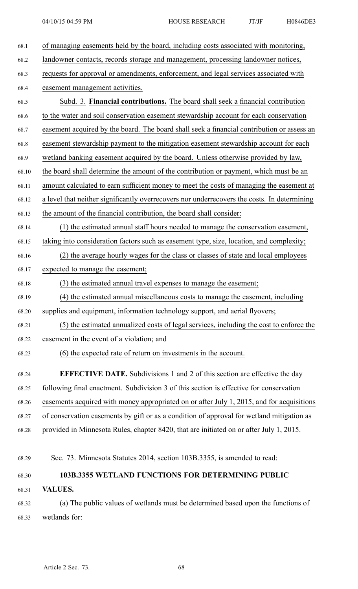| 68.1  | of managing easements held by the board, including costs associated with monitoring,        |
|-------|---------------------------------------------------------------------------------------------|
| 68.2  | landowner contacts, records storage and management, processing landowner notices,           |
| 68.3  | requests for approval or amendments, enforcement, and legal services associated with        |
| 68.4  | easement management activities.                                                             |
| 68.5  | Subd. 3. Financial contributions. The board shall seek a financial contribution             |
| 68.6  | to the water and soil conservation easement stewardship account for each conservation       |
| 68.7  | easement acquired by the board. The board shall seek a financial contribution or assess an  |
| 68.8  | easement stewardship payment to the mitigation easement stewardship account for each        |
| 68.9  | wetland banking easement acquired by the board. Unless otherwise provided by law,           |
| 68.10 | the board shall determine the amount of the contribution or payment, which must be an       |
| 68.11 | amount calculated to earn sufficient money to meet the costs of managing the easement at    |
| 68.12 | a level that neither significantly overrecovers nor underrecovers the costs. In determining |
| 68.13 | the amount of the financial contribution, the board shall consider:                         |
| 68.14 | (1) the estimated annual staff hours needed to manage the conservation easement,            |
| 68.15 | taking into consideration factors such as easement type, size, location, and complexity;    |
| 68.16 | (2) the average hourly wages for the class or classes of state and local employees          |
| 68.17 | expected to manage the easement;                                                            |
| 68.18 | (3) the estimated annual travel expenses to manage the easement;                            |
| 68.19 | (4) the estimated annual miscellaneous costs to manage the easement, including              |
| 68.20 | supplies and equipment, information technology support, and aerial flyovers;                |
| 68.21 | (5) the estimated annualized costs of legal services, including the cost to enforce the     |
| 68.22 | easement in the event of a violation; and                                                   |
| 68.23 | (6) the expected rate of return on investments in the account.                              |
|       |                                                                                             |
| 68.24 | <b>EFFECTIVE DATE.</b> Subdivisions 1 and 2 of this section are effective the day           |
| 68.25 | following final enactment. Subdivision 3 of this section is effective for conservation      |
| 68.26 | easements acquired with money appropriated on or after July 1, 2015, and for acquisitions   |
| 68.27 | of conservation easements by gift or as a condition of approval for wetland mitigation as   |
| 68.28 | provided in Minnesota Rules, chapter 8420, that are initiated on or after July 1, 2015.     |
|       |                                                                                             |
| 68.29 | Sec. 73. Minnesota Statutes 2014, section 103B.3355, is amended to read:                    |
| 68.30 | <b>103B.3355 WETLAND FUNCTIONS FOR DETERMINING PUBLIC</b>                                   |
| 68.31 | <b>VALUES.</b>                                                                              |

68.32 (a) The public values of wetlands must be determined based upon the functions of 68.33 wetlands for: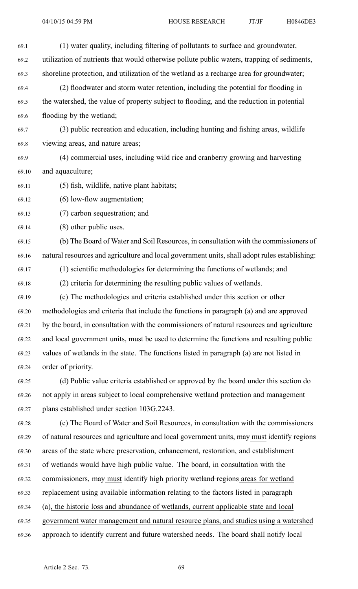| 69.1  | (1) water quality, including filtering of pollutants to surface and groundwater,              |
|-------|-----------------------------------------------------------------------------------------------|
| 69.2  | utilization of nutrients that would otherwise pollute public waters, trapping of sediments,   |
| 69.3  | shoreline protection, and utilization of the wetland as a recharge area for groundwater;      |
| 69.4  | (2) floodwater and storm water retention, including the potential for flooding in             |
| 69.5  | the watershed, the value of property subject to flooding, and the reduction in potential      |
| 69.6  | flooding by the wetland;                                                                      |
| 69.7  | (3) public recreation and education, including hunting and fishing areas, wildlife            |
| 69.8  | viewing areas, and nature areas;                                                              |
| 69.9  | (4) commercial uses, including wild rice and cranberry growing and harvesting                 |
| 69.10 | and aquaculture;                                                                              |
| 69.11 | (5) fish, wildlife, native plant habitats;                                                    |
| 69.12 | (6) low-flow augmentation;                                                                    |
| 69.13 | (7) carbon sequestration; and                                                                 |
| 69.14 | (8) other public uses.                                                                        |
| 69.15 | (b) The Board of Water and Soil Resources, in consultation with the commissioners of          |
| 69.16 | natural resources and agriculture and local government units, shall adopt rules establishing: |
| 69.17 | (1) scientific methodologies for determining the functions of wetlands; and                   |
| 69.18 | (2) criteria for determining the resulting public values of wetlands.                         |
| 69.19 | (c) The methodologies and criteria established under this section or other                    |
| 69.20 | methodologies and criteria that include the functions in paragraph (a) and are approved       |
| 69.21 | by the board, in consultation with the commissioners of natural resources and agriculture     |
| 69.22 | and local government units, must be used to determine the functions and resulting public      |
| 69.23 | values of wetlands in the state. The functions listed in paragraph (a) are not listed in      |
| 69.24 | order of priority.                                                                            |
| 69.25 | (d) Public value criteria established or approved by the board under this section do          |
| 69.26 | not apply in areas subject to local comprehensive wetland protection and management           |
| 69.27 | plans established under section 103G.2243.                                                    |
| 69.28 | (e) The Board of Water and Soil Resources, in consultation with the commissioners             |
| 69.29 | of natural resources and agriculture and local government units, may must identify regions    |
| 69.30 | areas of the state where preservation, enhancement, restoration, and establishment            |
| 69.31 | of wetlands would have high public value. The board, in consultation with the                 |
| 69.32 | commissioners, may must identify high priority wetland regions areas for wetland              |
| 69.33 | replacement using available information relating to the factors listed in paragraph           |
| 69.34 | (a), the historic loss and abundance of wetlands, current applicable state and local          |
| 69.35 | government water management and natural resource plans, and studies using a watershed         |

69.36 approach to identify current and future watershed needs. The board shall notify local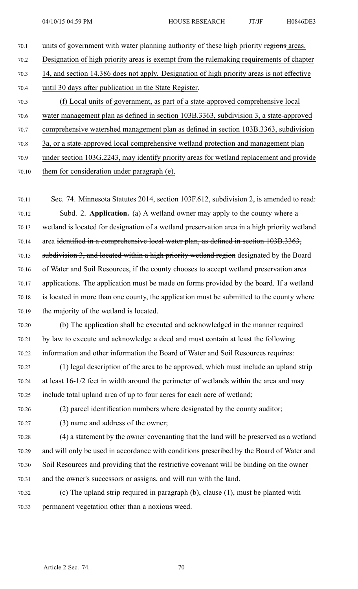- 70.1 units of government with water planning authority of these high priority regions areas. 70.2 Designation of high priority areas is exemp<sup>t</sup> from the rulemaking requirements of chapter 70.3 14, and section 14.386 does not apply. Designation of high priority areas is not effective 70.4 until 30 days after publication in the State Register. 70.5 (f) Local units of government, as par<sup>t</sup> of <sup>a</sup> state-approved comprehensive local 70.6 water managemen<sup>t</sup> plan as defined in section 103B.3363, subdivision 3, <sup>a</sup> state-approved 70.7 comprehensive watershed managemen<sup>t</sup> plan as defined in section 103B.3363, subdivision 70.8 3a, or <sup>a</sup> state-approved local comprehensive wetland protection and managemen<sup>t</sup> plan
- 70.9 under section 103G.2243, may identify priority areas for wetland replacement and provide
- 70.10 them for consideration under paragraph (e).

70.11 Sec. 74. Minnesota Statutes 2014, section 103F.612, subdivision 2, is amended to read: 70.12 Subd. 2. **Application.** (a) A wetland owner may apply to the county where <sup>a</sup> 70.13 wetland is located for designation of <sup>a</sup> wetland preservation area in <sup>a</sup> high priority wetland 70.14 area identified in <sup>a</sup> comprehensive local water plan, as defined in section 103B.3363, 70.15 subdivision 3, and located within <sup>a</sup> high priority wetland region designated by the Board 70.16 of Water and Soil Resources, if the county chooses to accep<sup>t</sup> wetland preservation area 70.17 applications. The application must be made on forms provided by the board. If <sup>a</sup> wetland 70.18 is located in more than one county, the application must be submitted to the county where 70.19 the majority of the wetland is located.

70.20 (b) The application shall be executed and acknowledged in the manner required 70.21 by law to execute and acknowledge <sup>a</sup> deed and must contain at least the following 70.22 information and other information the Board of Water and Soil Resources requires:

70.23 (1) legal description of the area to be approved, which must include an upland strip 70.24 at least 16-1/2 feet in width around the perimeter of wetlands within the area and may 70.25 include total upland area of up to four acres for each acre of wetland;

- 70.26 (2) parcel identification numbers where designated by the county auditor;
- 70.27 (3) name and address of the owner;

70.28 (4) <sup>a</sup> statement by the owner covenanting that the land will be preserved as <sup>a</sup> wetland 70.29 and will only be used in accordance with conditions prescribed by the Board of Water and 70.30 Soil Resources and providing that the restrictive covenant will be binding on the owner 70.31 and the owner's successors or assigns, and will run with the land.

70.32 (c) The upland strip required in paragraph (b), clause (1), must be planted with 70.33 permanen<sup>t</sup> vegetation other than <sup>a</sup> noxious weed.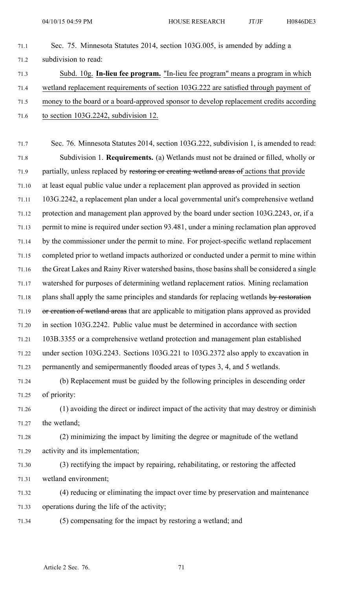- 71.1 Sec. 75. Minnesota Statutes 2014, section 103G.005, is amended by adding <sup>a</sup> 71.2 subdivision to read: 71.3 Subd. 10g. **In-lieu fee program.** "In-lieu fee program" means <sup>a</sup> program in which
- 71.4 wetland replacement requirements of section 103G.222 are satisfied through paymen<sup>t</sup> of
- 71.5 money to the board or <sup>a</sup> board-approved sponsor to develop replacement credits according
- 71.6 to section 103G.2242, subdivision 12.

71.7 Sec. 76. Minnesota Statutes 2014, section 103G.222, subdivision 1, is amended to read: 71.8 Subdivision 1. **Requirements.** (a) Wetlands must not be drained or filled, wholly or 71.9 partially, unless replaced by restoring or creating wetland areas of actions that provide 71.10 at least equal public value under <sup>a</sup> replacement plan approved as provided in section 71.11 103G.2242, <sup>a</sup> replacement plan under <sup>a</sup> local governmental unit's comprehensive wetland 71.12 protection and managemen<sup>t</sup> plan approved by the board under section 103G.2243, or, if <sup>a</sup> 71.13 permit to mine is required under section 93.481, under <sup>a</sup> mining reclamation plan approved 71.14 by the commissioner under the permit to mine. For project-specific wetland replacement 71.15 completed prior to wetland impacts authorized or conducted under <sup>a</sup> permit to mine within 71.16 the Great Lakes and Rainy River watershed basins, those basins shall be considered <sup>a</sup> single 71.17 watershed for purposes of determining wetland replacement ratios. Mining reclamation 71.18 plans shall apply the same principles and standards for replacing wetlands by restoration 71.19 or creation of wetland areas that are applicable to mitigation plans approved as provided 71.20 in section 103G.2242. Public value must be determined in accordance with section 71.21 103B.3355 or <sup>a</sup> comprehensive wetland protection and managemen<sup>t</sup> plan established 71.22 under section 103G.2243. Sections 103G.221 to 103G.2372 also apply to excavation in 71.23 permanently and semipermanently flooded areas of types 3, 4, and 5 wetlands.

71.24 (b) Replacement must be guided by the following principles in descending order 71.25 of priority:

71.26 (1) avoiding the direct or indirect impact of the activity that may destroy or diminish 71.27 the wetland;

71.28 (2) minimizing the impact by limiting the degree or magnitude of the wetland 71.29 activity and its implementation;

71.30 (3) rectifying the impact by repairing, rehabilitating, or restoring the affected 71.31 wetland environment;

71.32 (4) reducing or eliminating the impact over time by preservation and maintenance 71.33 operations during the life of the activity;

71.34 (5) compensating for the impact by restoring <sup>a</sup> wetland; and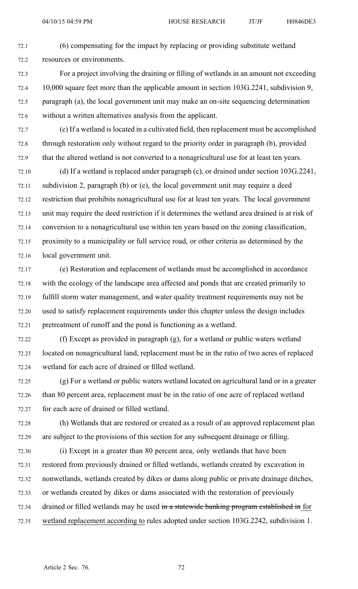- 72.1 (6) compensating for the impact by replacing or providing substitute wetland 72.2 resources or environments.
- 72.3 For <sup>a</sup> project involving the draining or filling of wetlands in an amount not exceeding 72.4 10,000 square feet more than the applicable amount in section 103G.2241, subdivision 9, 72.5 paragraph (a), the local governmen<sup>t</sup> unit may make an on-site sequencing determination 72.6 without <sup>a</sup> written alternatives analysis from the applicant.
- 72.7 (c) If <sup>a</sup> wetland islocated in <sup>a</sup> cultivated field, then replacement must be accomplished 72.8 through restoration only without regard to the priority order in paragraph (b), provided 72.9 that the altered wetland is not converted to <sup>a</sup> nonagricultural use for at least ten years.
- 72.10 (d) If <sup>a</sup> wetland is replaced under paragraph (c), or drained under section 103G.2241, 72.11 subdivision 2, paragraph (b) or (e), the local governmen<sup>t</sup> unit may require <sup>a</sup> deed 72.12 restriction that prohibits nonagricultural use for at least ten years. The local governmen<sup>t</sup> 72.13 unit may require the deed restriction if it determines the wetland area drained is at risk of 72.14 conversion to <sup>a</sup> nonagricultural use within ten years based on the zoning classification, 72.15 proximity to <sup>a</sup> municipality or full service road, or other criteria as determined by the 72.16 local governmen<sup>t</sup> unit.
- 72.17 (e) Restoration and replacement of wetlands must be accomplished in accordance 72.18 with the ecology of the landscape area affected and ponds that are created primarily to 72.19 fulfill storm water management, and water quality treatment requirements may not be 72.20 used to satisfy replacement requirements under this chapter unless the design includes 72.21 pretreatment of runoff and the pond is functioning as <sup>a</sup> wetland.
- 72.22 (f) Except as provided in paragraph (g), for <sup>a</sup> wetland or public waters wetland 72.23 located on nonagricultural land, replacement must be in the ratio of two acres of replaced 72.24 wetland for each acre of drained or filled wetland.
- 72.25 (g) For <sup>a</sup> wetland or public waters wetland located on agricultural land or in <sup>a</sup> greater 72.26 than 80 percen<sup>t</sup> area, replacement must be in the ratio of one acre of replaced wetland 72.27 for each acre of drained or filled wetland.
- 72.28 (h) Wetlands that are restored or created as <sup>a</sup> result of an approved replacement plan 72.29 are subject to the provisions of this section for any subsequent drainage or filling.
- 72.30 (i) Except in <sup>a</sup> greater than 80 percen<sup>t</sup> area, only wetlands that have been 72.31 restored from previously drained or filled wetlands, wetlands created by excavation in 72.32 nonwetlands, wetlands created by dikes or dams along public or private drainage ditches, 72.33 or wetlands created by dikes or dams associated with the restoration of previously 72.34 drained or filled wetlands may be used in a statewide banking program established in for 72.35 wetland replacement according to rules adopted under section 103G.2242, subdivision 1.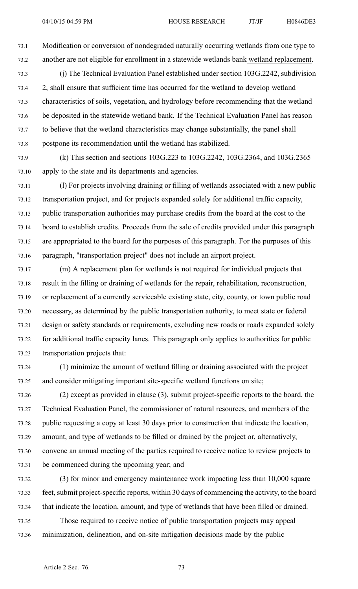73.1 Modification or conversion of nondegraded naturally occurring wetlands from one type to 73.2 another are not eligible for enrollment in <sup>a</sup> statewide wetlands bank wetland replacement.

- 73.3 (j) The Technical Evaluation Panel established under section 103G.2242, subdivision 73.4 2, shall ensure that sufficient time has occurred for the wetland to develop wetland 73.5 characteristics of soils, vegetation, and hydrology before recommending that the wetland 73.6 be deposited in the statewide wetland bank. If the Technical Evaluation Panel has reason 73.7 to believe that the wetland characteristics may change substantially, the panel shall 73.8 postpone its recommendation until the wetland has stabilized.
- 73.9 (k) This section and sections 103G.223 to 103G.2242, 103G.2364, and 103G.2365 73.10 apply to the state and its departments and agencies.
- 73.11 (l) For projects involving draining or filling of wetlands associated with <sup>a</sup> new public 73.12 transportation project, and for projects expanded solely for additional traffic capacity, 73.13 public transportation authorities may purchase credits from the board at the cost to the 73.14 board to establish credits. Proceeds from the sale of credits provided under this paragraph 73.15 are appropriated to the board for the purposes of this paragraph. For the purposes of this 73.16 paragraph, "transportation project" does not include an airport project.
- 73.17 (m) A replacement plan for wetlands is not required for individual projects that 73.18 result in the filling or draining of wetlands for the repair, rehabilitation, reconstruction, 73.19 or replacement of <sup>a</sup> currently serviceable existing state, city, county, or town public road 73.20 necessary, as determined by the public transportation authority, to meet state or federal 73.21 design or safety standards or requirements, excluding new roads or roads expanded solely 73.22 for additional traffic capacity lanes. This paragraph only applies to authorities for public 73.23 transportation projects that:
- 73.24 (1) minimize the amount of wetland filling or draining associated with the project 73.25 and consider mitigating important site-specific wetland functions on site;
- 73.26 (2) excep<sup>t</sup> as provided in clause (3), submit project-specific reports to the board, the 73.27 Technical Evaluation Panel, the commissioner of natural resources, and members of the 73.28 public requesting <sup>a</sup> copy at least 30 days prior to construction that indicate the location, 73.29 amount, and type of wetlands to be filled or drained by the project or, alternatively, 73.30 convene an annual meeting of the parties required to receive notice to review projects to 73.31 be commenced during the upcoming year; and
- 73.32 (3) for minor and emergency maintenance work impacting less than 10,000 square 73.33 feet, submit project-specific reports, within 30 days of commencing the activity, to the board 73.34 that indicate the location, amount, and type of wetlands that have been filled or drained.
- 73.35 Those required to receive notice of public transportation projects may appeal 73.36 minimization, delineation, and on-site mitigation decisions made by the public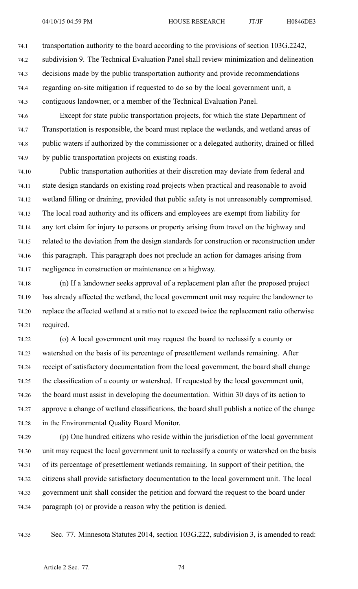74.1 transportation authority to the board according to the provisions of section 103G.2242,

74.2 subdivision 9. The Technical Evaluation Panel shall review minimization and delineation

74.3 decisions made by the public transportation authority and provide recommendations

74.4 regarding on-site mitigation if requested to do so by the local governmen<sup>t</sup> unit, <sup>a</sup>

74.5 contiguous landowner, or <sup>a</sup> member of the Technical Evaluation Panel.

74.6 Except for state public transportation projects, for which the state Department of 74.7 Transportation is responsible, the board must replace the wetlands, and wetland areas of 74.8 public waters if authorized by the commissioner or <sup>a</sup> delegated authority, drained or filled 74.9 by public transportation projects on existing roads.

74.10 Public transportation authorities at their discretion may deviate from federal and 74.11 state design standards on existing road projects when practical and reasonable to avoid 74.12 wetland filling or draining, provided that public safety is not unreasonably compromised. 74.13 The local road authority and its officers and employees are exemp<sup>t</sup> from liability for 74.14 any tort claim for injury to persons or property arising from travel on the highway and 74.15 related to the deviation from the design standards for construction or reconstruction under 74.16 this paragraph. This paragraph does not preclude an action for damages arising from 74.17 negligence in construction or maintenance on <sup>a</sup> highway.

74.18 (n) If <sup>a</sup> landowner seeks approval of <sup>a</sup> replacement plan after the proposed project 74.19 has already affected the wetland, the local governmen<sup>t</sup> unit may require the landowner to 74.20 replace the affected wetland at <sup>a</sup> ratio not to exceed twice the replacement ratio otherwise 74.21 required.

74.22 (o) A local governmen<sup>t</sup> unit may reques<sup>t</sup> the board to reclassify <sup>a</sup> county or 74.23 watershed on the basis of its percentage of presettlement wetlands remaining. After 74.24 receipt of satisfactory documentation from the local government, the board shall change 74.25 the classification of <sup>a</sup> county or watershed. If requested by the local governmen<sup>t</sup> unit, 74.26 the board must assist in developing the documentation. Within 30 days of its action to 74.27 approve <sup>a</sup> change of wetland classifications, the board shall publish <sup>a</sup> notice of the change 74.28 in the Environmental Quality Board Monitor.

74.29 (p) One hundred citizens who reside within the jurisdiction of the local governmen<sup>t</sup> 74.30 unit may reques<sup>t</sup> the local governmen<sup>t</sup> unit to reclassify <sup>a</sup> county or watershed on the basis 74.31 of its percentage of presettlement wetlands remaining. In suppor<sup>t</sup> of their petition, the 74.32 citizens shall provide satisfactory documentation to the local governmen<sup>t</sup> unit. The local 74.33 governmen<sup>t</sup> unit shall consider the petition and forward the reques<sup>t</sup> to the board under 74.34 paragraph (o) or provide <sup>a</sup> reason why the petition is denied.

74.35 Sec. 77. Minnesota Statutes 2014, section 103G.222, subdivision 3, is amended to read: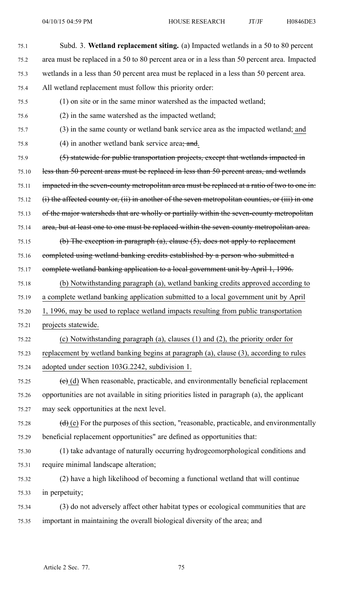| 75.1  | Subd. 3. Wetland replacement siting. (a) Impacted wetlands in a 50 to 80 percent                      |
|-------|-------------------------------------------------------------------------------------------------------|
| 75.2  | area must be replaced in a 50 to 80 percent area or in a less than 50 percent area. Impacted          |
| 75.3  | wetlands in a less than 50 percent area must be replaced in a less than 50 percent area.              |
| 75.4  | All wetland replacement must follow this priority order:                                              |
| 75.5  | (1) on site or in the same minor watershed as the impacted wetland;                                   |
| 75.6  | (2) in the same watershed as the impacted wetland;                                                    |
| 75.7  | (3) in the same county or wetland bank service area as the impacted wetland; and                      |
| 75.8  | $(4)$ in another wetland bank service area; and.                                                      |
| 75.9  | (5) statewide for public transportation projects, except that wetlands impacted in                    |
| 75.10 | less than 50 percent areas must be replaced in less than 50 percent areas, and wetlands               |
| 75.11 | impacted in the seven-county metropolitan area must be replaced at a ratio of two to one in:          |
| 75.12 | $(i)$ the affected county or, $(ii)$ in another of the seven metropolitan counties, or $(iii)$ in one |
| 75.13 | of the major watersheds that are wholly or partially within the seven-county metropolitan             |
| 75.14 | area, but at least one to one must be replaced within the seven-county metropolitan area.             |
| 75.15 | (b) The exception in paragraph $(a)$ , clause $(5)$ , does not apply to replacement                   |
| 75.16 | completed using wetland banking eredits established by a person who submitted a                       |
| 75.17 | complete wetland banking application to a local government unit by April 1, 1996.                     |
| 75.18 | (b) Notwithstanding paragraph (a), wetland banking credits approved according to                      |
| 75.19 | a complete wetland banking application submitted to a local government unit by April                  |
| 75.20 | 1, 1996, may be used to replace wetland impacts resulting from public transportation                  |
| 75.21 | projects statewide.                                                                                   |
| 75.22 | (c) Notwithstanding paragraph (a), clauses $(1)$ and $(2)$ , the priority order for                   |
| 75.23 | replacement by wetland banking begins at paragraph (a), clause (3), according to rules                |
| 75.24 | adopted under section 103G.2242, subdivision 1.                                                       |
| 75.25 | $(e)$ (d) When reasonable, practicable, and environmentally beneficial replacement                    |
| 75.26 | opportunities are not available in siting priorities listed in paragraph (a), the applicant           |
| 75.27 | may seek opportunities at the next level.                                                             |
| 75.28 | $(d)$ (e) For the purposes of this section, "reasonable, practicable, and environmentally             |
| 75.29 | beneficial replacement opportunities" are defined as opportunities that:                              |
| 75.30 | (1) take advantage of naturally occurring hydrogeomorphological conditions and                        |
| 75.31 | require minimal landscape alteration;                                                                 |
| 75.32 | (2) have a high likelihood of becoming a functional wetland that will continue                        |
| 75.33 | in perpetuity;                                                                                        |
| 75.34 | (3) do not adversely affect other habitat types or ecological communities that are                    |
| 75.35 | important in maintaining the overall biological diversity of the area; and                            |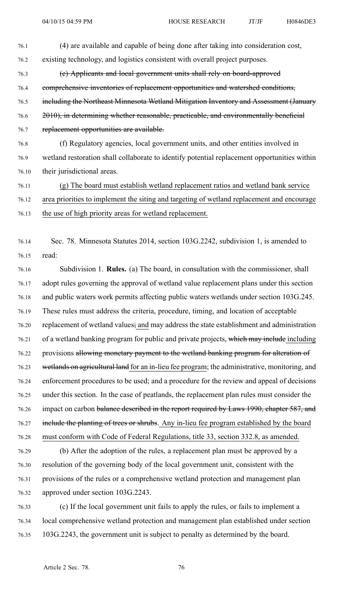| 76.1  | (4) are available and capable of being done after taking into consideration cost,             |
|-------|-----------------------------------------------------------------------------------------------|
| 76.2  | existing technology, and logistics consistent with overall project purposes.                  |
| 76.3  | (e) Applicants and local government units shall rely on board-approved                        |
| 76.4  | comprehensive inventories of replacement opportunities and watershed conditions,              |
| 76.5  | including the Northeast Minnesota Wetland Mitigation Inventory and Assessment (January        |
| 76.6  | 2010), in determining whether reasonable, practicable, and environmentally beneficial         |
| 76.7  | replacement opportunities are available.                                                      |
| 76.8  | (f) Regulatory agencies, local government units, and other entities involved in               |
| 76.9  | wetland restoration shall collaborate to identify potential replacement opportunities within  |
| 76.10 | their jurisdictional areas.                                                                   |
| 76.11 | (g) The board must establish wetland replacement ratios and wetland bank service              |
| 76.12 | area priorities to implement the siting and targeting of wetland replacement and encourage    |
| 76.13 | the use of high priority areas for wetland replacement.                                       |
|       |                                                                                               |
| 76.14 | Sec. 78. Minnesota Statutes 2014, section 103G.2242, subdivision 1, is amended to             |
| 76.15 | read:                                                                                         |
| 76.16 | Subdivision 1. <b>Rules.</b> (a) The board, in consultation with the commissioner, shall      |
| 76.17 | adopt rules governing the approval of wetland value replacement plans under this section      |
| 76.18 | and public waters work permits affecting public waters wetlands under section 103G.245.       |
| 76.19 | These rules must address the criteria, procedure, timing, and location of acceptable          |
| 76.20 | replacement of wetland values; and may address the state establishment and administration     |
| 76.21 | of a wetland banking program for public and private projects, which may include including     |
| 76.22 | provisions allowing monetary payment to the wetland banking program for alteration of         |
| 76.23 | wetlands on agricultural land for an in-lieu fee program; the administrative, monitoring, and |
| 76.24 | enforcement procedures to be used; and a procedure for the review and appeal of decisions     |
| 76.25 | under this section. In the case of peatlands, the replacement plan rules must consider the    |
| 76.26 | impact on carbon balance described in the report required by Laws 1990, chapter 587, and      |
| 76.27 | include the planting of trees or shrubs. Any in-lieu fee program established by the board     |
| 76.28 | must conform with Code of Federal Regulations, title 33, section 332.8, as amended.           |
| 76.29 | (b) After the adoption of the rules, a replacement plan must be approved by a                 |
| 76.30 | resolution of the governing body of the local government unit, consistent with the            |
| 76.31 | provisions of the rules or a comprehensive wetland protection and management plan             |
| 76.32 | approved under section 103G.2243.                                                             |

76.33 (c) If the local governmen<sup>t</sup> unit fails to apply the rules, or fails to implement <sup>a</sup> 76.34 local comprehensive wetland protection and managemen<sup>t</sup> plan established under section 76.35 103G.2243, the governmen<sup>t</sup> unit is subject to penalty as determined by the board.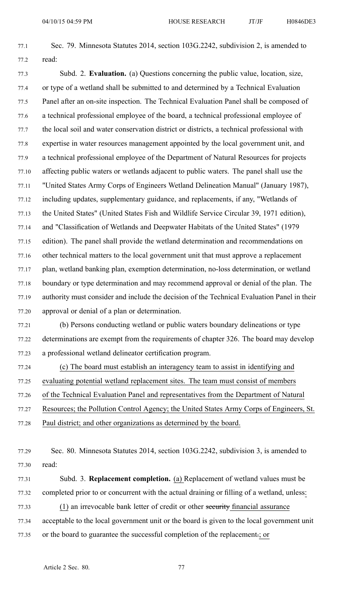77.1 Sec. 79. Minnesota Statutes 2014, section 103G.2242, subdivision 2, is amended to 77.2 read:

77.3 Subd. 2. **Evaluation.** (a) Questions concerning the public value, location, size, 77.4 or type of <sup>a</sup> wetland shall be submitted to and determined by <sup>a</sup> Technical Evaluation 77.5 Panel after an on-site inspection. The Technical Evaluation Panel shall be composed of 77.6 <sup>a</sup> technical professional employee of the board, <sup>a</sup> technical professional employee of 77.7 the local soil and water conservation district or districts, <sup>a</sup> technical professional with 77.8 expertise in water resources managemen<sup>t</sup> appointed by the local governmen<sup>t</sup> unit, and 77.9 <sup>a</sup> technical professional employee of the Department of Natural Resources for projects 77.10 affecting public waters or wetlands adjacent to public waters. The panel shall use the 77.11 "United States Army Corps of Engineers Wetland Delineation Manual" (January 1987), 77.12 including updates, supplementary guidance, and replacements, if any, "Wetlands of 77.13 the United States" (United States Fish and Wildlife Service Circular 39, 1971 edition), 77.14 and "Classification of Wetlands and Deepwater Habitats of the United States" (1979 77.15 edition). The panel shall provide the wetland determination and recommendations on 77.16 other technical matters to the local governmen<sup>t</sup> unit that must approve <sup>a</sup> replacement 77.17 plan, wetland banking plan, exemption determination, no-loss determination, or wetland 77.18 boundary or type determination and may recommend approval or denial of the plan. The 77.19 authority must consider and include the decision of the Technical Evaluation Panel in their 77.20 approval or denial of <sup>a</sup> plan or determination.

77.21 (b) Persons conducting wetland or public waters boundary delineations or type 77.22 determinations are exemp<sup>t</sup> from the requirements of chapter 326. The board may develop 77.23 <sup>a</sup> professional wetland delineator certification program.

77.24 (c) The board must establish an interagency team to assist in identifying and

77.25 evaluating potential wetland replacement sites. The team must consist of members

77.26 of the Technical Evaluation Panel and representatives from the Department of Natural

77.27 Resources; the Pollution Control Agency; the United States Army Corps of Engineers, St.

77.28 Paul district; and other organizations as determined by the board.

77.29 Sec. 80. Minnesota Statutes 2014, section 103G.2242, subdivision 3, is amended to 77.30 read:

77.31 Subd. 3. **Replacement completion.** (a) Replacement of wetland values must be 77.32 completed prior to or concurrent with the actual draining or filling of <sup>a</sup> wetland, unless:

77.33 (1) an irrevocable bank letter of credit or other security financial assurance

77.34 acceptable to the local governmen<sup>t</sup> unit or the board is given to the local governmen<sup>t</sup> unit 77.35 or the board to guarantee the successful completion of the replacement.; or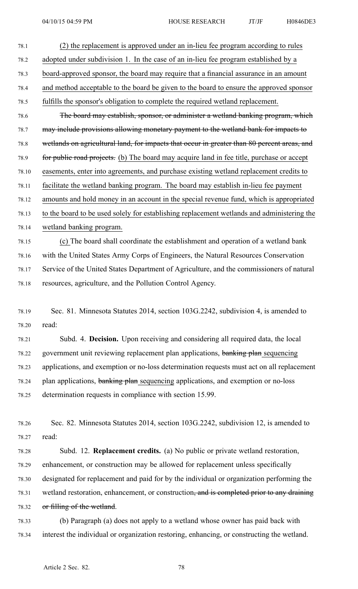78.1 (2) the replacement is approved under an in-lieu fee program according to rules 78.2 adopted under subdivision 1. In the case of an in-lieu fee program established by <sup>a</sup> 78.3 board-approved sponsor, the board may require that <sup>a</sup> financial assurance in an amount 78.4 and method acceptable to the board be given to the board to ensure the approved sponsor 78.5 fulfills the sponsor's obligation to complete the required wetland replacement. 78.6 The board may establish, sponsor, or administer <sup>a</sup> wetland banking program, which 78.7 may include provisions allowing monetary paymen<sup>t</sup> to the wetland bank for impacts to 78.8 wetlands on agricultural land, for impacts that occur in greater than 80 percen<sup>t</sup> areas, and 78.9 for public road projects. (b) The board may acquire land in fee title, purchase or accep<sup>t</sup> 78.10 easements, enter into agreements, and purchase existing wetland replacement credits to 78.11 facilitate the wetland banking program. The board may establish in-lieu fee paymen<sup>t</sup> 78.12 amounts and hold money in an account in the special revenue fund, which is appropriated 78.13 to the board to be used solely for establishing replacement wetlands and administering the 78.14 wetland banking program. 78.15 (c) The board shall coordinate the establishment and operation of <sup>a</sup> wetland bank 78.16 with the United States Army Corps of Engineers, the Natural Resources Conservation 78.17 Service of the United States Department of Agriculture, and the commissioners of natural 78.18 resources, agriculture, and the Pollution Control Agency. 78.19 Sec. 81. Minnesota Statutes 2014, section 103G.2242, subdivision 4, is amended to 78.20 read: 78.21 Subd. 4. **Decision.** Upon receiving and considering all required data, the local 78.22 government unit reviewing replacement plan applications, banking plan sequencing 78.23 applications, and exemption or no-loss determination requests must act on all replacement 78.24 plan applications, banking plan sequencing applications, and exemption or no-loss 78.25 determination requests in compliance with section 15.99. 78.26 Sec. 82. Minnesota Statutes 2014, section 103G.2242, subdivision 12, is amended to 78.27 read: 78.28 Subd. 12. **Replacement credits.** (a) No public or private wetland restoration, 78.29 enhancement, or construction may be allowed for replacement unless specifically 78.30 designated for replacement and paid for by the individual or organization performing the 78.31 wetland restoration, enhancement, or construction<del>, and is completed prior to any draining</del>

78.32 or filling of the wetland.

78.33 (b) Paragraph (a) does not apply to <sup>a</sup> wetland whose owner has paid back with 78.34 interest the individual or organization restoring, enhancing, or constructing the wetland.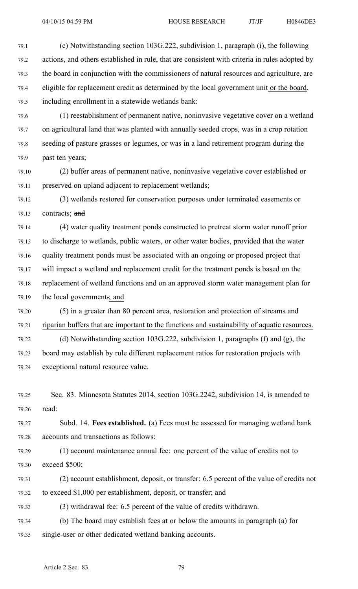79.1 (c) Notwithstanding section 103G.222, subdivision 1, paragraph (i), the following 79.2 actions, and others established in rule, that are consistent with criteria in rules adopted by 79.3 the board in conjunction with the commissioners of natural resources and agriculture, are 79.4 eligible for replacement credit as determined by the local governmen<sup>t</sup> unit or the board, 79.5 including enrollment in <sup>a</sup> statewide wetlands bank:

79.6 (1) reestablishment of permanen<sup>t</sup> native, noninvasive vegetative cover on <sup>a</sup> wetland 79.7 on agricultural land that was planted with annually seeded crops, was in <sup>a</sup> crop rotation 79.8 seeding of pasture grasses or legumes, or was in <sup>a</sup> land retirement program during the 79.9 past ten years;

79.10 (2) buffer areas of permanen<sup>t</sup> native, noninvasive vegetative cover established or 79.11 preserved on upland adjacent to replacement wetlands;

79.12 (3) wetlands restored for conservation purposes under terminated easements or 79.13 contracts; and

79.14 (4) water quality treatment ponds constructed to pretreat storm water runoff prior 79.15 to discharge to wetlands, public waters, or other water bodies, provided that the water 79.16 quality treatment ponds must be associated with an ongoing or proposed project that 79.17 will impact <sup>a</sup> wetland and replacement credit for the treatment ponds is based on the 79.18 replacement of wetland functions and on an approved storm water managemen<sup>t</sup> plan for 79.19 the local government.; and

79.20 (5) in <sup>a</sup> greater than 80 percen<sup>t</sup> area, restoration and protection of streams and 79.21 riparian buffers that are important to the functions and sustainability of aquatic resources. 79.22 (d) Notwithstanding section 103G.222, subdivision 1, paragraphs (f) and (g), the

79.23 board may establish by rule different replacement ratios for restoration projects with 79.24 exceptional natural resource value.

79.25 Sec. 83. Minnesota Statutes 2014, section 103G.2242, subdivision 14, is amended to 79.26 read:

79.27 Subd. 14. **Fees established.** (a) Fees must be assessed for managing wetland bank 79.28 accounts and transactions as follows:

79.29 (1) account maintenance annual fee: one percen<sup>t</sup> of the value of credits not to 79.30 exceed \$500;

79.31 (2) account establishment, deposit, or transfer: 6.5 percen<sup>t</sup> of the value of credits not 79.32 to exceed \$1,000 per establishment, deposit, or transfer; and

79.33 (3) withdrawal fee: 6.5 percen<sup>t</sup> of the value of credits withdrawn.

79.34 (b) The board may establish fees at or below the amounts in paragraph (a) for 79.35 single-user or other dedicated wetland banking accounts.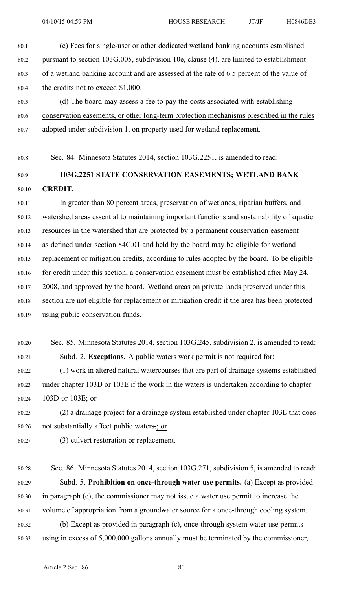- 80.1 (c) Fees for single-user or other dedicated wetland banking accounts established 80.2 pursuan<sup>t</sup> to section 103G.005, subdivision 10e, clause (4), are limited to establishment 80.3 of <sup>a</sup> wetland banking account and are assessed at the rate of 6.5 percen<sup>t</sup> of the value of 80.4 the credits not to exceed \$1,000.
- 80.5 (d) The board may assess <sup>a</sup> fee to pay the costs associated with establishing 80.6 conservation easements, or other long-term protection mechanisms prescribed in the rules
- 80.7 adopted under subdivision 1, on property used for wetland replacement.
- 80.8 Sec. 84. Minnesota Statutes 2014, section 103G.2251, is amended to read:

## 80.9 **103G.2251 STATE CONSERVATION EASEMENTS; WETLAND BANK** 80.10 **CREDIT.**

80.11 In greater than 80 percen<sup>t</sup> areas, preservation of wetlands, riparian buffers, and 80.12 watershed areas essential to maintaining important functions and sustainability of aquatic 80.13 resources in the watershed that are protected by <sup>a</sup> permanen<sup>t</sup> conservation easement 80.14 as defined under section 84C.01 and held by the board may be eligible for wetland 80.15 replacement or mitigation credits, according to rules adopted by the board. To be eligible 80.16 for credit under this section, a conservation easement must be established after May 24, 80.17 2008, and approved by the board. Wetland areas on private lands preserved under this 80.18 section are not eligible for replacement or mitigation credit if the area has been protected 80.19 using public conservation funds.

80.20 Sec. 85. Minnesota Statutes 2014, section 103G.245, subdivision 2, is amended to read: 80.21 Subd. 2. **Exceptions.** A public waters work permit is not required for:

80.22 (1) work in altered natural watercourses that are par<sup>t</sup> of drainage systems established 80.23 under chapter 103D or 103E if the work in the waters is undertaken according to chapter 80.24 103D or 103E;  $\theta$ 

80.25 (2) <sup>a</sup> drainage project for <sup>a</sup> drainage system established under chapter 103E that does 80.26 not substantially affect public waters.; or

- 80.27 (3) culvert restoration or replacement.
- 80.28 Sec. 86. Minnesota Statutes 2014, section 103G.271, subdivision 5, is amended to read: 80.29 Subd. 5. **Prohibition on once-through water use permits.** (a) Except as provided 80.30 in paragraph (c), the commissioner may not issue <sup>a</sup> water use permit to increase the 80.31 volume of appropriation from <sup>a</sup> groundwater source for <sup>a</sup> once-through cooling system. 80.32 (b) Except as provided in paragraph (c), once-through system water use permits 80.33 using in excess of 5,000,000 gallons annually must be terminated by the commissioner,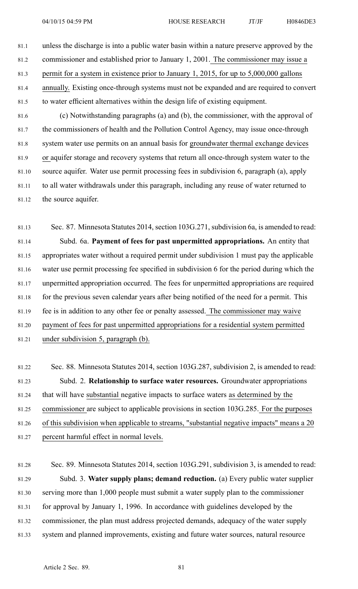- 81.1 unless the discharge is into <sup>a</sup> public water basin within <sup>a</sup> nature preserve approved by the 81.2 commissioner and established prior to January 1, 2001. The commissioner may issue <sup>a</sup> 81.3 permit for <sup>a</sup> system in existence prior to January 1, 2015, for up to 5,000,000 gallons 81.4 annually. Existing once-through systems must not be expanded and are required to convert 81.5 to water efficient alternatives within the design life of existing equipment. 81.6 (c) Notwithstanding paragraphs (a) and (b), the commissioner, with the approval of 81.7 the commissioners of health and the Pollution Control Agency, may issue once-through 81.8 system water use permits on an annual basis for groundwater thermal exchange devices 81.9 or aquifer storage and recovery systems that return all once-through system water to the 81.10 source aquifer. Water use permit processing fees in subdivision 6, paragraph (a), apply 81.11 to all water withdrawals under this paragraph, including any reuse of water returned to
- 81.12 the source aquifer.

81.13 Sec. 87. Minnesota Statutes 2014, section 103G.271, subdivision 6a, is amended to read: 81.14 Subd. 6a. **Payment of fees for pas<sup>t</sup> unpermitted appropriations.** An entity that 81.15 appropriates water without <sup>a</sup> required permit under subdivision 1 must pay the applicable 81.16 water use permit processing fee specified in subdivision 6 for the period during which the 81.17 unpermitted appropriation occurred. The fees for unpermitted appropriations are required 81.18 for the previous seven calendar years after being notified of the need for a permit. This 81.19 fee is in addition to any other fee or penalty assessed. The commissioner may waive 81.20 paymen<sup>t</sup> of fees for pas<sup>t</sup> unpermitted appropriations for <sup>a</sup> residential system permitted 81.21 under subdivision 5, paragraph (b).

81.22 Sec. 88. Minnesota Statutes 2014, section 103G.287, subdivision 2, is amended to read: 81.23 Subd. 2. **Relationship to surface water resources.** Groundwater appropriations 81.24 that will have substantial negative impacts to surface waters as determined by the 81.25 commissioner are subject to applicable provisions in section 103G.285. For the purposes 81.26 of this subdivision when applicable to streams, "substantial negative impacts" means <sup>a</sup> 20 81.27 percen<sup>t</sup> harmful effect in normal levels.

81.28 Sec. 89. Minnesota Statutes 2014, section 103G.291, subdivision 3, is amended to read: 81.29 Subd. 3. **Water supply plans; demand reduction.** (a) Every public water supplier 81.30 serving more than 1,000 people must submit <sup>a</sup> water supply plan to the commissioner 81.31 for approval by January 1, 1996. In accordance with guidelines developed by the 81.32 commissioner, the plan must address projected demands, adequacy of the water supply 81.33 system and planned improvements, existing and future water sources, natural resource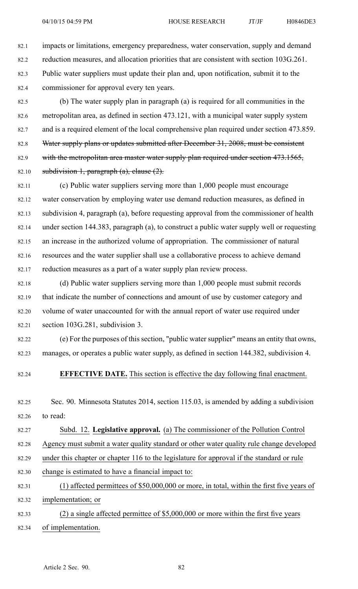82.1 impacts or limitations, emergency preparedness, water conservation, supply and demand 82.2 reduction measures, and allocation priorities that are consistent with section 103G.261. 82.3 Public water suppliers must update their plan and, upon notification, submit it to the 82.4 commissioner for approval every ten years.

82.5 (b) The water supply plan in paragraph (a) is required for all communities in the 82.6 metropolitan area, as defined in section 473.121, with <sup>a</sup> municipal water supply system 82.7 and is <sup>a</sup> required element of the local comprehensive plan required under section 473.859. 82.8 Water supply plans or updates submitted after December 31, 2008, must be consistent 82.9 with the metropolitan area master water supply plan required under section 473.1565, 82.10 subdivision 1, paragraph  $(a)$ , clause  $(2)$ .

82.11 (c) Public water suppliers serving more than 1,000 people must encourage 82.12 water conservation by employing water use demand reduction measures, as defined in 82.13 subdivision 4, paragraph (a), before requesting approval from the commissioner of health 82.14 under section 144.383, paragraph (a), to construct <sup>a</sup> public water supply well or requesting 82.15 an increase in the authorized volume of appropriation. The commissioner of natural 82.16 resources and the water supplier shall use <sup>a</sup> collaborative process to achieve demand 82.17 reduction measures as <sup>a</sup> par<sup>t</sup> of <sup>a</sup> water supply plan review process.

82.18 (d) Public water suppliers serving more than 1,000 people must submit records 82.19 that indicate the number of connections and amount of use by customer category and 82.20 volume of water unaccounted for with the annual repor<sup>t</sup> of water use required under 82.21 section 103G.281, subdivision 3.

82.22 (e) For the purposes of this section, "public water supplier" means an entity that owns, 82.23 manages, or operates <sup>a</sup> public water supply, as defined in section 144.382, subdivision 4.

#### 82.24 **EFFECTIVE DATE.** This section is effective the day following final enactment.

82.25 Sec. 90. Minnesota Statutes 2014, section 115.03, is amended by adding <sup>a</sup> subdivision 82.26 to read:

82.27 Subd. 12. **Legislative approval.** (a) The commissioner of the Pollution Control

82.28 Agency must submit <sup>a</sup> water quality standard or other water quality rule change developed

82.29 under this chapter or chapter 116 to the legislature for approval if the standard or rule

- 82.30 change is estimated to have <sup>a</sup> financial impact to:
- 82.31 (1) affected permittees of \$50,000,000 or more, in total, within the first five years of 82.32 implementation; or
- 82.33 (2) <sup>a</sup> single affected permittee of \$5,000,000 or more within the first five years 82.34 of implementation.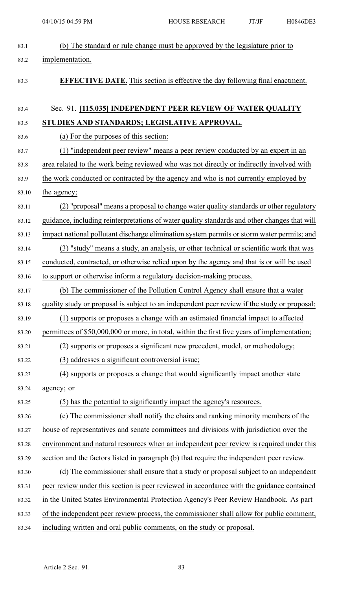| 83.1  | (b) The standard or rule change must be approved by the legislature prior to                 |
|-------|----------------------------------------------------------------------------------------------|
| 83.2  | implementation.                                                                              |
| 83.3  | <b>EFFECTIVE DATE.</b> This section is effective the day following final enactment.          |
| 83.4  | Sec. 91. [115.035] INDEPENDENT PEER REVIEW OF WATER QUALITY                                  |
| 83.5  | STUDIES AND STANDARDS; LEGISLATIVE APPROVAL.                                                 |
| 83.6  | (a) For the purposes of this section:                                                        |
| 83.7  | (1) "independent peer review" means a peer review conducted by an expert in an               |
| 83.8  | area related to the work being reviewed who was not directly or indirectly involved with     |
| 83.9  | the work conducted or contracted by the agency and who is not currently employed by          |
| 83.10 | the agency;                                                                                  |
| 83.11 | (2) "proposal" means a proposal to change water quality standards or other regulatory        |
| 83.12 | guidance, including reinterpretations of water quality standards and other changes that will |
| 83.13 | impact national pollutant discharge elimination system permits or storm water permits; and   |
| 83.14 | (3) "study" means a study, an analysis, or other technical or scientific work that was       |
| 83.15 | conducted, contracted, or otherwise relied upon by the agency and that is or will be used    |
| 83.16 | to support or otherwise inform a regulatory decision-making process.                         |
| 83.17 | The commissioner of the Pollution Control Agency shall ensure that a water                   |
| 83.18 | quality study or proposal is subject to an independent peer review if the study or proposal: |
| 83.19 | (1) supports or proposes a change with an estimated financial impact to affected             |
| 83.20 | permittees of \$50,000,000 or more, in total, within the first five years of implementation; |
| 83.21 | (2) supports or proposes a significant new precedent, model, or methodology;                 |
| 83.22 | (3) addresses a significant controversial issue;                                             |
| 83.23 | (4) supports or proposes a change that would significantly impact another state              |
| 83.24 | agency; or                                                                                   |
| 83.25 | (5) has the potential to significantly impact the agency's resources.                        |
| 83.26 | (c) The commissioner shall notify the chairs and ranking minority members of the             |
| 83.27 | house of representatives and senate committees and divisions with jurisdiction over the      |
| 83.28 | environment and natural resources when an independent peer review is required under this     |
| 83.29 | section and the factors listed in paragraph (b) that require the independent peer review.    |
| 83.30 | (d) The commissioner shall ensure that a study or proposal subject to an independent         |
| 83.31 | peer review under this section is peer reviewed in accordance with the guidance contained    |
| 83.32 | in the United States Environmental Protection Agency's Peer Review Handbook. As part         |
| 83.33 | of the independent peer review process, the commissioner shall allow for public comment,     |
| 83.34 | including written and oral public comments, on the study or proposal.                        |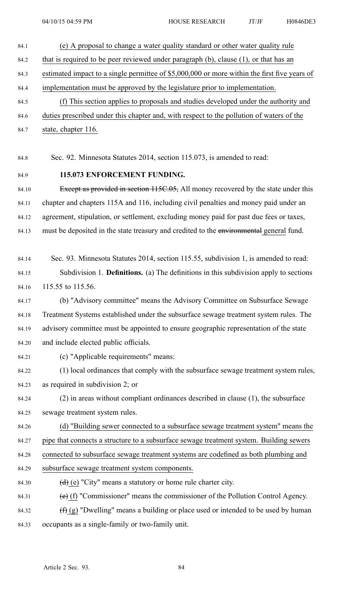- 84.1 (e) A proposal to change <sup>a</sup> water quality standard or other water quality rule 84.2 that is required to be peer reviewed under paragraph (b), clause (1), or that has an 84.3 estimated impact to <sup>a</sup> single permittee of \$5,000,000 or more within the first five years of 84.4 implementation must be approved by the legislature prior to implementation. 84.5 (f) This section applies to proposals and studies developed under the authority and 84.6 duties prescribed under this chapter and, with respec<sup>t</sup> to the pollution of waters of the 84.7 state, chapter 116.
- 84.8 Sec. 92. Minnesota Statutes 2014, section 115.073, is amended to read:

#### 84.9 **115.073 ENFORCEMENT FUNDING.**

84.10 Except as provided in section 115C.05, All money recovered by the state under this 84.11 chapter and chapters 115A and 116, including civil penalties and money paid under an 84.12 agreement, stipulation, or settlement, excluding money paid for pas<sup>t</sup> due fees or taxes, 84.13 must be deposited in the state treasury and credited to the environmental general fund.

- 84.14 Sec. 93. Minnesota Statutes 2014, section 115.55, subdivision 1, is amended to read: 84.15 Subdivision 1. **Definitions.** (a) The definitions in this subdivision apply to sections 84.16 115.55 to 115.56.
- 84.17 (b) "Advisory committee" means the Advisory Committee on Subsurface Sewage 84.18 Treatment Systems established under the subsurface sewage treatment system rules. The 84.19 advisory committee must be appointed to ensure geographic representation of the state 84.20 and include elected public officials.
- 

84.21 (c) "Applicable requirements" means:

- 84.22 (1) local ordinances that comply with the subsurface sewage treatment system rules, 84.23 as required in subdivision 2; or
- 84.24 (2) in areas without compliant ordinances described in clause (1), the subsurface 84.25 sewage treatment system rules.
- 84.26 (d) "Building sewer connected to <sup>a</sup> subsurface sewage treatment system" means the
- 84.27 pipe that connects <sup>a</sup> structure to <sup>a</sup> subsurface sewage treatment system. Building sewers
- 84.28 connected to subsurface sewage treatment systems are codefined as both plumbing and
- 84.29 subsurface sewage treatment system components.
- 84.30 **(d) (e)** "City" means a statutory or home rule charter city.
- 84.31 (e) (f) "Commissioner" means the commissioner of the Pollution Control Agency.
- 84.32  $(f)$  (g) "Dwelling" means a building or place used or intended to be used by human 84.33 occupants as <sup>a</sup> single-family or two-family unit.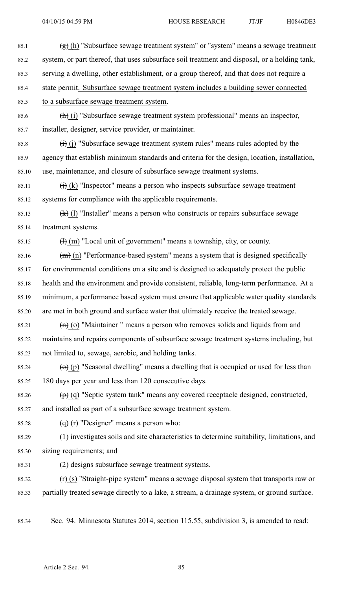- 85.1  $(g)$  (h) "Subsurface sewage treatment system" or "system" means a sewage treatment 85.2 system, or par<sup>t</sup> thereof, that uses subsurface soil treatment and disposal, or <sup>a</sup> holding tank, 85.3 serving <sup>a</sup> dwelling, other establishment, or <sup>a</sup> group thereof, and that does not require <sup>a</sup> 85.4 state permit. Subsurface sewage treatment system includes <sup>a</sup> building sewer connected 85.5 to <sup>a</sup> subsurface sewage treatment system. 85.6 (h) (i) "Subsurface sewage treatment system professional" means an inspector, 85.7 installer, designer, service provider, or maintainer. 85.8 (i) (j) "Subsurface sewage treatment system rules" means rules adopted by the 85.9 agency that establish minimum standards and criteria for the design, location, installation, 85.10 use, maintenance, and closure of subsurface sewage treatment systems. 85.11  $\qquad$  (i) (k) "Inspector" means a person who inspects subsurface sewage treatment 85.12 systems for compliance with the applicable requirements. 85.13  $(k)$  (l) "Installer" means a person who constructs or repairs subsurface sewage 85.14 treatment systems. 85.15  $\text{(H)}$  (m) "Local unit of government" means a township, city, or county. 85.16  $(m)$  (n) "Performance-based system" means a system that is designed specifically 85.17 for environmental conditions on <sup>a</sup> site and is designed to adequately protect the public 85.18 health and the environment and provide consistent, reliable, long-term performance. At <sup>a</sup> 85.19 minimum, <sup>a</sup> performance based system must ensure that applicable water quality standards 85.20 are met in both ground and surface water that ultimately receive the treated sewage. 85.21  $(n)$  (o) "Maintainer " means a person who removes solids and liquids from and 85.22 maintains and repairs components of subsurface sewage treatment systems including, but 85.23 not limited to, sewage, aerobic, and holding tanks. 85.24 (o) (p) "Seasonal dwelling" means a dwelling that is occupied or used for less than 85.25 180 days per year and less than 120 consecutive days. 85.26  $\left(\mathbf{p}\right)$  (q) "Septic system tank" means any covered receptacle designed, constructed, 85.27 and installed as par<sup>t</sup> of <sup>a</sup> subsurface sewage treatment system. 85.28  $\left(\frac{d}{d}\right)$  (r) "Designer" means a person who: 85.29 (1) investigates soils and site characteristics to determine suitability, limitations, and 85.30 sizing requirements; and
	- 85.31 (2) designs subsurface sewage treatment systems.
- 85.32  $(r)(s)$  "Straight-pipe system" means a sewage disposal system that transports raw or 85.33 partially treated sewage directly to <sup>a</sup> lake, <sup>a</sup> stream, <sup>a</sup> drainage system, or ground surface.
- 85.34 Sec. 94. Minnesota Statutes 2014, section 115.55, subdivision 3, is amended to read: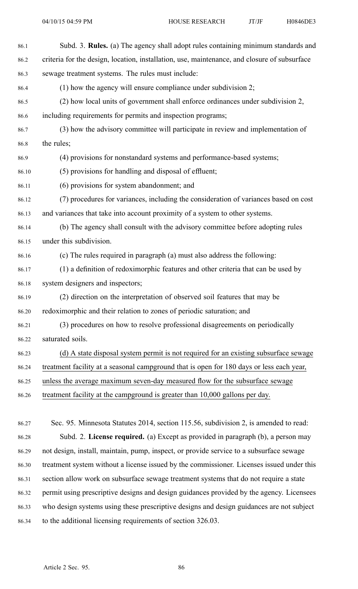| 86.1  | Subd. 3. Rules. (a) The agency shall adopt rules containing minimum standards and            |
|-------|----------------------------------------------------------------------------------------------|
| 86.2  | criteria for the design, location, installation, use, maintenance, and closure of subsurface |
| 86.3  | sewage treatment systems. The rules must include:                                            |
| 86.4  | $(1)$ how the agency will ensure compliance under subdivision 2;                             |
| 86.5  | (2) how local units of government shall enforce ordinances under subdivision 2,              |
| 86.6  | including requirements for permits and inspection programs;                                  |
| 86.7  | (3) how the advisory committee will participate in review and implementation of              |
| 86.8  | the rules;                                                                                   |
| 86.9  | (4) provisions for nonstandard systems and performance-based systems;                        |
| 86.10 | (5) provisions for handling and disposal of effluent;                                        |
| 86.11 | (6) provisions for system abandonment; and                                                   |
| 86.12 | (7) procedures for variances, including the consideration of variances based on cost         |
| 86.13 | and variances that take into account proximity of a system to other systems.                 |
| 86.14 | (b) The agency shall consult with the advisory committee before adopting rules               |
| 86.15 | under this subdivision.                                                                      |
| 86.16 | (c) The rules required in paragraph (a) must also address the following:                     |
| 86.17 | (1) a definition of redoximorphic features and other criteria that can be used by            |
| 86.18 | system designers and inspectors;                                                             |
| 86.19 | (2) direction on the interpretation of observed soil features that may be                    |
| 86.20 | redoximorphic and their relation to zones of periodic saturation; and                        |
| 86.21 | (3) procedures on how to resolve professional disagreements on periodically                  |
| 86.22 | saturated soils.                                                                             |
| 86.23 | (d) A state disposal system permit is not required for an existing subsurface sewage         |
| 86.24 | treatment facility at a seasonal campground that is open for 180 days or less each year,     |
| 86.25 | unless the average maximum seven-day measured flow for the subsurface sewage                 |
| 86.26 | treatment facility at the campground is greater than 10,000 gallons per day.                 |
|       |                                                                                              |
| 86.27 | Sec. 95. Minnesota Statutes 2014, section 115.56, subdivision 2, is amended to read:         |
| 86.28 | Subd. 2. License required. (a) Except as provided in paragraph (b), a person may             |

86.29 not design, install, maintain, pump, inspect, or provide service to <sup>a</sup> subsurface sewage 86.30 treatment system without <sup>a</sup> license issued by the commissioner. Licenses issued under this 86.31 section allow work on subsurface sewage treatment systems that do not require <sup>a</sup> state 86.32 permit using prescriptive designs and design guidances provided by the agency. Licensees 86.33 who design systems using these prescriptive designs and design guidances are not subject 86.34 to the additional licensing requirements of section 326.03.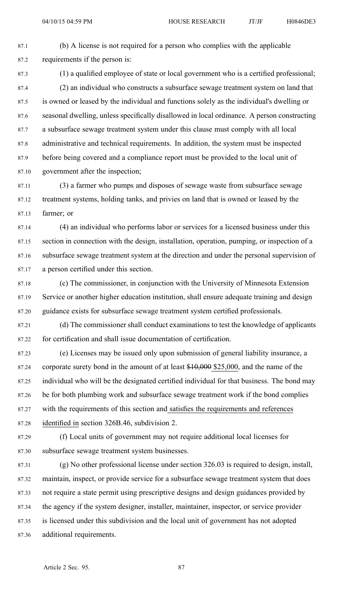87.1 (b) A license is not required for <sup>a</sup> person who complies with the applicable 87.2 requirements if the person is:

87.3 (1) <sup>a</sup> qualified employee of state or local governmen<sup>t</sup> who is <sup>a</sup> certified professional; 87.4 (2) an individual who constructs <sup>a</sup> subsurface sewage treatment system on land that 87.5 is owned or leased by the individual and functions solely as the individual's dwelling or 87.6 seasonal dwelling, unless specifically disallowed in local ordinance. A person constructing 87.7 <sup>a</sup> subsurface sewage treatment system under this clause must comply with all local 87.8 administrative and technical requirements. In addition, the system must be inspected 87.9 before being covered and <sup>a</sup> compliance repor<sup>t</sup> must be provided to the local unit of 87.10 governmen<sup>t</sup> after the inspection;

87.11 (3) <sup>a</sup> farmer who pumps and disposes of sewage waste from subsurface sewage 87.12 treatment systems, holding tanks, and privies on land that is owned or leased by the 87.13 farmer; or

87.14 (4) an individual who performs labor or services for <sup>a</sup> licensed business under this 87.15 section in connection with the design, installation, operation, pumping, or inspection of <sup>a</sup> 87.16 subsurface sewage treatment system at the direction and under the personal supervision of 87.17 <sup>a</sup> person certified under this section.

87.18 (c) The commissioner, in conjunction with the University of Minnesota Extension 87.19 Service or another higher education institution, shall ensure adequate training and design 87.20 guidance exists for subsurface sewage treatment system certified professionals.

87.21 (d) The commissioner shall conduct examinations to test the knowledge of applicants 87.22 for certification and shall issue documentation of certification.

87.23 (e) Licenses may be issued only upon submission of general liability insurance, <sup>a</sup> 87.24 corporate surety bond in the amount of at least \$10,000 \$25,000, and the name of the 87.25 individual who will be the designated certified individual for that business. The bond may 87.26 be for both plumbing work and subsurface sewage treatment work if the bond complies 87.27 with the requirements of this section and satisfies the requirements and references 87.28 identified in section 326B.46, subdivision 2.

87.29 (f) Local units of governmen<sup>t</sup> may not require additional local licenses for 87.30 subsurface sewage treatment system businesses.

87.31 (g) No other professional license under section 326.03 is required to design, install, 87.32 maintain, inspect, or provide service for <sup>a</sup> subsurface sewage treatment system that does 87.33 not require <sup>a</sup> state permit using prescriptive designs and design guidances provided by 87.34 the agency if the system designer, installer, maintainer, inspector, or service provider 87.35 is licensed under this subdivision and the local unit of governmen<sup>t</sup> has not adopted 87.36 additional requirements.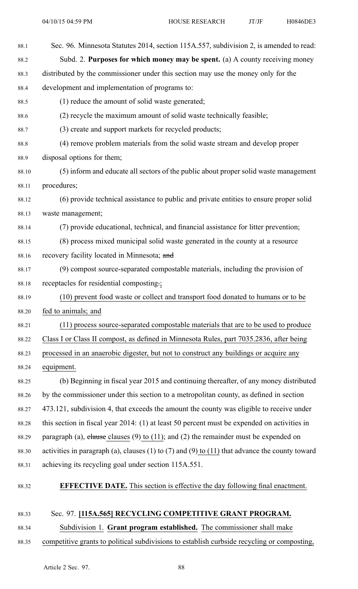| 88.1  | Sec. 96. Minnesota Statutes 2014, section 115A.557, subdivision 2, is amended to read:         |
|-------|------------------------------------------------------------------------------------------------|
| 88.2  | Subd. 2. Purposes for which money may be spent. (a) A county receiving money                   |
| 88.3  | distributed by the commissioner under this section may use the money only for the              |
| 88.4  | development and implementation of programs to:                                                 |
| 88.5  | (1) reduce the amount of solid waste generated;                                                |
| 88.6  | (2) recycle the maximum amount of solid waste technically feasible;                            |
| 88.7  | (3) create and support markets for recycled products;                                          |
| 88.8  | (4) remove problem materials from the solid waste stream and develop proper                    |
| 88.9  | disposal options for them;                                                                     |
| 88.10 | (5) inform and educate all sectors of the public about proper solid waste management           |
| 88.11 | procedures;                                                                                    |
| 88.12 | (6) provide technical assistance to public and private entities to ensure proper solid         |
| 88.13 | waste management;                                                                              |
| 88.14 | (7) provide educational, technical, and financial assistance for litter prevention;            |
| 88.15 | (8) process mixed municipal solid waste generated in the county at a resource                  |
| 88.16 | recovery facility located in Minnesota; and                                                    |
| 88.17 | (9) compost source-separated compostable materials, including the provision of                 |
| 88.18 | receptacles for residential composting.;                                                       |
| 88.19 | (10) prevent food waste or collect and transport food donated to humans or to be               |
| 88.20 | fed to animals; and                                                                            |
| 88.21 | (11) process source-separated compostable materials that are to be used to produce             |
| 88.22 | Class I or Class II compost, as defined in Minnesota Rules, part 7035.2836, after being        |
| 88.23 | processed in an anaerobic digester, but not to construct any buildings or acquire any          |
| 88.24 | equipment.                                                                                     |
| 88.25 | (b) Beginning in fiscal year 2015 and continuing thereafter, of any money distributed          |
| 88.26 | by the commissioner under this section to a metropolitan county, as defined in section         |
| 88.27 | 473.121, subdivision 4, that exceeds the amount the county was eligible to receive under       |
| 88.28 | this section in fiscal year 2014: (1) at least 50 percent must be expended on activities in    |
| 88.29 | paragraph (a), elause clauses (9) to (11); and (2) the remainder must be expended on           |
| 88.30 | activities in paragraph (a), clauses (1) to (7) and (9) to (11) that advance the county toward |
| 88.31 | achieving its recycling goal under section 115A.551.                                           |
| 88.32 | <b>EFFECTIVE DATE.</b> This section is effective the day following final enactment.            |
| 88.33 | Sec. 97. [115A.565] RECYCLING COMPETITIVE GRANT PROGRAM.                                       |

88.34 Subdivision 1. **Grant program established.** The commissioner shall make

88.35 competitive grants to political subdivisions to establish curbside recycling or composting,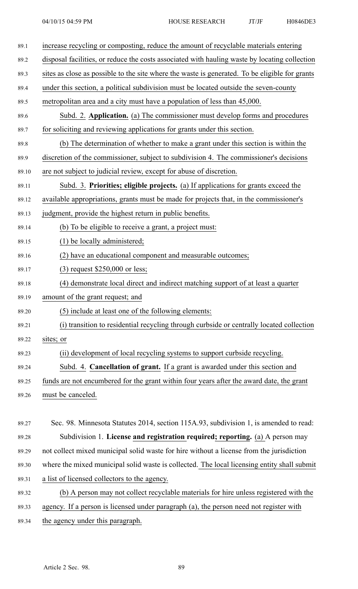| 89.1  | increase recycling or composting, reduce the amount of recyclable materials entering           |
|-------|------------------------------------------------------------------------------------------------|
| 89.2  | disposal facilities, or reduce the costs associated with hauling waste by locating collection  |
| 89.3  | sites as close as possible to the site where the waste is generated. To be eligible for grants |
| 89.4  | under this section, a political subdivision must be located outside the seven-county           |
| 89.5  | metropolitan area and a city must have a population of less than 45,000.                       |
| 89.6  | Subd. 2. Application. (a) The commissioner must develop forms and procedures                   |
| 89.7  | for soliciting and reviewing applications for grants under this section.                       |
| 89.8  | (b) The determination of whether to make a grant under this section is within the              |
| 89.9  | discretion of the commissioner, subject to subdivision 4. The commissioner's decisions         |
| 89.10 | are not subject to judicial review, except for abuse of discretion.                            |
| 89.11 | Subd. 3. Priorities; eligible projects. (a) If applications for grants exceed the              |
| 89.12 | available appropriations, grants must be made for projects that, in the commissioner's         |
| 89.13 | judgment, provide the highest return in public benefits.                                       |
| 89.14 | (b) To be eligible to receive a grant, a project must:                                         |
| 89.15 | $(1)$ be locally administered;                                                                 |
| 89.16 | (2) have an educational component and measurable outcomes;                                     |
| 89.17 | $(3)$ request \$250,000 or less;                                                               |
| 89.18 | (4) demonstrate local direct and indirect matching support of at least a quarter               |
| 89.19 | amount of the grant request; and                                                               |
| 89.20 | (5) include at least one of the following elements:                                            |
| 89.21 | (i) transition to residential recycling through curbside or centrally located collection       |
| 89.22 | sites; or                                                                                      |
| 89.23 | (ii) development of local recycling systems to support curbside recycling.                     |
| 89.24 | Subd. 4. Cancellation of grant. If a grant is awarded under this section and                   |
| 89.25 | funds are not encumbered for the grant within four years after the award date, the grant       |
| 89.26 | must be canceled.                                                                              |
|       |                                                                                                |
| 89.27 | Sec. 98. Minnesota Statutes 2014, section 115A.93, subdivision 1, is amended to read:          |
| 89.28 | Subdivision 1. License and registration required; reporting. (a) A person may                  |
| 89.29 | not collect mixed municipal solid waste for hire without a license from the jurisdiction       |
| 89.30 | where the mixed municipal solid waste is collected. The local licensing entity shall submit    |
| 89.31 | a list of licensed collectors to the agency.                                                   |
| 89.32 | (b) A person may not collect recyclable materials for hire unless registered with the          |
| 89.33 | agency. If a person is licensed under paragraph (a), the person need not register with         |
| 89.34 | the agency under this paragraph.                                                               |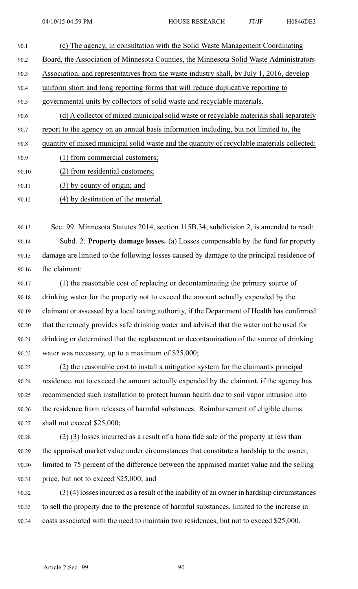- 90.1 (c) The agency, in consultation with the Solid Waste Management Coordinating 90.2 Board, the Association of Minnesota Counties, the Minnesota Solid Waste Administrators 90.3 Association, and representatives from the waste industry shall, by July 1, 2016, develop 90.4 uniform short and long reporting forms that will reduce duplicative reporting to 90.5 governmental units by collectors of solid waste and recyclable materials. 90.6 (d) A collector of mixed municipal solid waste or recyclable materials shall separately 90.7 repor<sup>t</sup> to the agency on an annual basis information including, but not limited to, the 90.8 quantity of mixed municipal solid waste and the quantity of recyclable materials collected: 90.9 (1) from commercial customers;
- 90.10 (2) from residential customers;
- 90.11 (3) by county of origin; and
- 90.12 (4) by destination of the material.

90.13 Sec. 99. Minnesota Statutes 2014, section 115B.34, subdivision 2, is amended to read: 90.14 Subd. 2. **Property damage losses.** (a) Losses compensable by the fund for property 90.15 damage are limited to the following losses caused by damage to the principal residence of 90.16 the claimant:

- 90.17 (1) the reasonable cost of replacing or decontaminating the primary source of 90.18 drinking water for the property not to exceed the amount actually expended by the 90.19 claimant or assessed by <sup>a</sup> local taxing authority, if the Department of Health has confirmed 90.20 that the remedy provides safe drinking water and advised that the water not be used for 90.21 drinking or determined that the replacement or decontamination of the source of drinking 90.22 water was necessary, up to <sup>a</sup> maximum of \$25,000;
- 90.23 (2) the reasonable cost to install <sup>a</sup> mitigation system for the claimant's principal 90.24 residence, not to exceed the amount actually expended by the claimant, if the agency has 90.25 recommended such installation to protect human health due to soil vapor intrusion into 90.26 the residence from releases of harmful substances. Reimbursement of eligible claims 90.27 shall not exceed \$25,000;
- 90.28  $(2)$  (3) losses incurred as a result of a bona fide sale of the property at less than 90.29 the appraised market value under circumstances that constitute <sup>a</sup> hardship to the owner, 90.30 limited to 75 percen<sup>t</sup> of the difference between the appraised market value and the selling 90.31 price, but not to exceed \$25,000; and
- 90.32  $(3)(4)$  losses incurred as a result of the inability of an owner in hardship circumstances 90.33 to sell the property due to the presence of harmful substances, limited to the increase in 90.34 costs associated with the need to maintain two residences, but not to exceed \$25,000.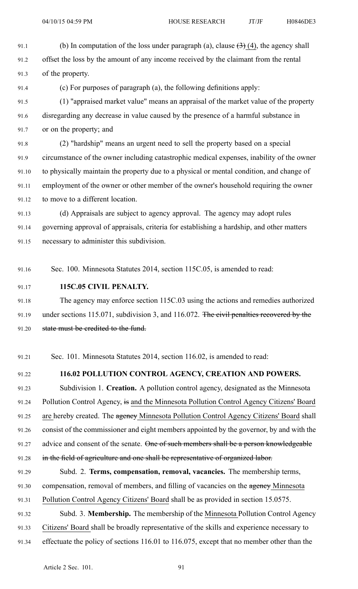91.1 (b) In computation of the loss under paragraph (a), clause  $(3)$  (4), the agency shall 91.2 offset the loss by the amount of any income received by the claimant from the rental 91.3 of the property.

91.4 (c) For purposes of paragraph (a), the following definitions apply:

91.5 (1) "appraised market value" means an appraisal of the market value of the property 91.6 disregarding any decrease in value caused by the presence of <sup>a</sup> harmful substance in 91.7 or on the property; and

91.8 (2) "hardship" means an urgen<sup>t</sup> need to sell the property based on <sup>a</sup> special 91.9 circumstance of the owner including catastrophic medical expenses, inability of the owner 91.10 to physically maintain the property due to <sup>a</sup> physical or mental condition, and change of 91.11 employment of the owner or other member of the owner's household requiring the owner 91.12 to move to <sup>a</sup> different location.

91.13 (d) Appraisals are subject to agency approval. The agency may adopt rules 91.14 governing approval of appraisals, criteria for establishing <sup>a</sup> hardship, and other matters 91.15 necessary to administer this subdivision.

- 91.16 Sec. 100. Minnesota Statutes 2014, section 115C.05, is amended to read:
- 91.17 **115C.05 CIVIL PENALTY.**

91.18 The agency may enforce section 115C.03 using the actions and remedies authorized 91.19 under sections 115.071, subdivision 3, and 116.072. The civil penalties recovered by the 91.20 state must be credited to the fund.

91.21 Sec. 101. Minnesota Statutes 2014, section 116.02, is amended to read:

### 91.22 **116.02 POLLUTION CONTROL AGENCY, CREATION AND POWERS.**

91.23 Subdivision 1. **Creation.** A pollution control agency, designated as the Minnesota 91.24 Pollution Control Agency, is and the Minnesota Pollution Control Agency Citizens' Board 91.25 are hereby created. The agency Minnesota Pollution Control Agency Citizens' Board shall 91.26 consist of the commissioner and eight members appointed by the governor, by and with the 91.27 advice and consent of the senate. One of such members shall be a person knowledgeable 91.28 in the field of agriculture and one shall be representative of organized labor.

91.29 Subd. 2. **Terms, compensation, removal, vacancies.** The membership terms, 91.30 compensation, removal of members, and filling of vacancies on the agency Minnesota

91.31 Pollution Control Agency Citizens' Board shall be as provided in section 15.0575.

- 91.32 Subd. 3. **Membership.** The membership of the Minnesota Pollution Control Agency
- 91.33 Citizens' Board shall be broadly representative of the skills and experience necessary to
- 91.34 effectuate the policy of sections 116.01 to 116.075, excep<sup>t</sup> that no member other than the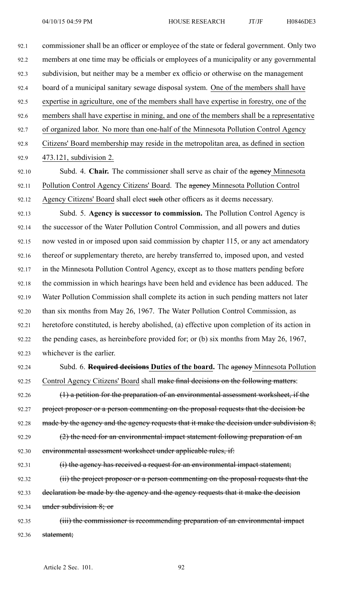92.1 commissioner shall be an officer or employee of the state or federal government. Only two 92.2 members at one time may be officials or employees of <sup>a</sup> municipality or any governmental 92.3 subdivision, but neither may be <sup>a</sup> member ex officio or otherwise on the managemen<sup>t</sup> 92.4 board of <sup>a</sup> municipal sanitary sewage disposal system. One of the members shall have 92.5 expertise in agriculture, one of the members shall have expertise in forestry, one of the 92.6 members shall have expertise in mining, and one of the members shall be <sup>a</sup> representative 92.7 of organized labor. No more than one-half of the Minnesota Pollution Control Agency 92.8 Citizens' Board membership may reside in the metropolitan area, as defined in section 92.9 473.121, subdivision 2. 92.10 Subd. 4. **Chair.** The commissioner shall serve as chair of the agency Minnesota

92.11 Pollution Control Agency Citizens' Board. The agency Minnesota Pollution Control 92.12 Agency Citizens' Board shall elect such other officers as it deems necessary.

92.13 Subd. 5. **Agency is successor to commission.** The Pollution Control Agency is 92.14 the successor of the Water Pollution Control Commission, and all powers and duties 92.15 now vested in or imposed upon said commission by chapter 115, or any act amendatory 92.16 thereof or supplementary thereto, are hereby transferred to, imposed upon, and vested 92.17 in the Minnesota Pollution Control Agency, excep<sup>t</sup> as to those matters pending before 92.18 the commission in which hearings have been held and evidence has been adduced. The 92.19 Water Pollution Commission shall complete its action in such pending matters not later 92.20 than six months from May 26, 1967. The Water Pollution Control Commission, as 92.21 heretofore constituted, is hereby abolished, (a) effective upon completion of its action in 92.22 the pending cases, as hereinbefore provided for; or (b) six months from May 26, 1967, 92.23 whichever is the earlier.

92.24 Subd. 6. **Required decisions Duties of the board.** The agency Minnesota Pollution 92.25 Control Agency Citizens' Board shall make final decisions on the following matters:

92.26 (1) a petition for the preparation of an environmental assessment worksheet, if the 92.27 project proposer or a person commenting on the proposal requests that the decision be 92.28 made by the agency and the agency requests that it make the decision under subdivision  $8$ ; 92.29  $(2)$  the need for an environmental impact statement following preparation of an

92.30 environmental assessment worksheet under applicable rules, if:

92.31 (i) the agency has received a request for an environmental impact statement;

92.32 (ii) the project proposer or a person commenting on the proposal requests that the 92.33 declaration be made by the agency and the agency requests that it make the decision 92.34 under subdivision 8; or

92.35 (iii) the commissioner is recommending preparation of an environmental impact 92.36 statement;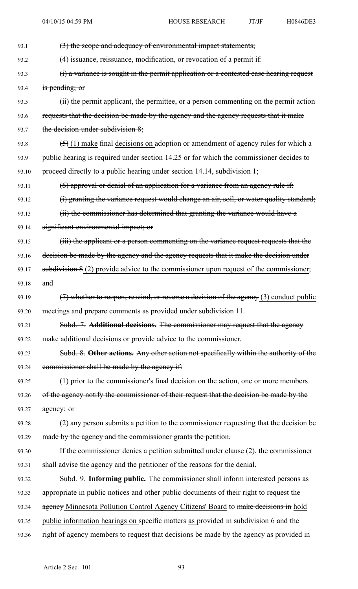| 93.1  | (3) the scope and adequacy of environmental impact statements;                             |
|-------|--------------------------------------------------------------------------------------------|
| 93.2  | (4) issuance, reissuance, modification, or revocation of a permit if:                      |
| 93.3  | (i) a variance is sought in the permit application or a contested case hearing request     |
| 93.4  | is pending; or                                                                             |
| 93.5  | (ii) the permit applicant, the permittee, or a person commenting on the permit action      |
| 93.6  | requests that the decision be made by the agency and the agency requests that it make      |
| 93.7  | the decision under subdivision 8;                                                          |
| 93.8  | $(5)$ (1) make final decisions on adoption or amendment of agency rules for which a        |
| 93.9  | public hearing is required under section 14.25 or for which the commissioner decides to    |
| 93.10 | proceed directly to a public hearing under section 14.14, subdivision 1;                   |
| 93.11 | $(6)$ approval or denial of an application for a variance from an agency rule if:          |
| 93.12 | (i) granting the variance request would change an air, soil, or water quality standard;    |
| 93.13 | (ii) the commissioner has determined that granting the variance would have a               |
| 93.14 | significant environmental impact; or                                                       |
| 93.15 | (iii) the applicant or a person commenting on the variance request requests that the       |
| 93.16 | decision be made by the agency and the agency requests that it make the decision under     |
| 93.17 | subdivision $8(2)$ provide advice to the commissioner upon request of the commissioner;    |
| 93.18 | and                                                                                        |
| 93.19 | $(7)$ whether to reopen, rescind, or reverse a decision of the agency $(3)$ conduct public |
| 93.20 | meetings and prepare comments as provided under subdivision 11.                            |
| 93.21 | Subd. 7. Additional decisions. The commissioner may request that the agency                |
| 93.22 | make additional decisions or provide advice to the commissioner.                           |
| 93.23 | Subd. 8. Other actions. Any other action not specifically within the authority of the      |
| 93.24 | commissioner shall be made by the agency if:                                               |
| 93.25 | (1) prior to the commissioner's final decision on the action, one or more members          |
| 93.26 | of the agency notify the commissioner of their request that the decision be made by the    |
| 93.27 | agency; or                                                                                 |
| 93.28 | (2) any person submits a petition to the commissioner requesting that the decision be      |
| 93.29 | made by the agency and the commissioner grants the petition.                               |
| 93.30 | If the commissioner denies a petition submitted under clause $(2)$ , the commissioner      |
| 93.31 | shall advise the agency and the petitioner of the reasons for the denial.                  |
| 93.32 | Subd. 9. Informing public. The commissioner shall inform interested persons as             |
| 93.33 | appropriate in public notices and other public documents of their right to request the     |
| 93.34 | agency Minnesota Pollution Control Agency Citizens' Board to make decisions in hold        |
| 93.35 | public information hearings on specific matters as provided in subdivision $6$ and the     |
| 93.36 | right of agency members to request that decisions be made by the agency as provided in     |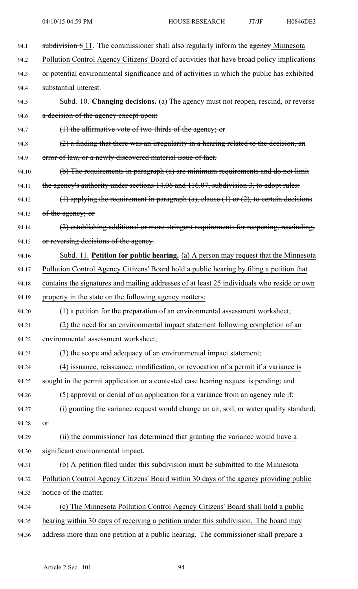| 94.1  | subdivision 8 11. The commissioner shall also regularly inform the agency Minnesota         |
|-------|---------------------------------------------------------------------------------------------|
| 94.2  | Pollution Control Agency Citizens' Board of activities that have broad policy implications  |
| 94.3  | or potential environmental significance and of activities in which the public has exhibited |
| 94.4  | substantial interest.                                                                       |
| 94.5  | Subd. 10. Changing decisions. (a) The agency must not reopen, rescind, or reverse           |
| 94.6  | a decision of the agency except upon:                                                       |
| 94.7  | $(1)$ the affirmative vote of two-thirds of the agency; or                                  |
| 94.8  | $(2)$ a finding that there was an irregularity in a hearing related to the decision, an     |
| 94.9  | error of law, or a newly discovered material issue of fact.                                 |
| 94.10 | (b) The requirements in paragraph (a) are minimum requirements and do not limit             |
| 94.11 | the agency's authority under sections 14.06 and 116.07, subdivision 3, to adopt rules:      |
| 94.12 | (1) applying the requirement in paragraph (a), clause $(1)$ or $(2)$ , to certain decisions |
| 94.13 | of the agency; or                                                                           |
| 94.14 | (2) establishing additional or more stringent requirements for reopening, rescinding,       |
| 94.15 | or reversing decisions of the agency.                                                       |
| 94.16 | Subd. 11. Petition for public hearing. (a) A person may request that the Minnesota          |
| 94.17 | Pollution Control Agency Citizens' Board hold a public hearing by filing a petition that    |
| 94.18 | contains the signatures and mailing addresses of at least 25 individuals who reside or own  |
| 94.19 | property in the state on the following agency matters:                                      |
| 94.20 | (1) a petition for the preparation of an environmental assessment worksheet;                |
| 94.21 | (2) the need for an environmental impact statement following completion of an               |
| 94.22 | environmental assessment worksheet;                                                         |
| 94.23 | (3) the scope and adequacy of an environmental impact statement;                            |
| 94.24 | (4) issuance, reissuance, modification, or revocation of a permit if a variance is          |
| 94.25 | sought in the permit application or a contested case hearing request is pending; and        |
| 94.26 | (5) approval or denial of an application for a variance from an agency rule if:             |
| 94.27 | (i) granting the variance request would change an air, soil, or water quality standard;     |
| 94.28 | or                                                                                          |
| 94.29 | (ii) the commissioner has determined that granting the variance would have a                |
| 94.30 | significant environmental impact.                                                           |
| 94.31 | (b) A petition filed under this subdivision must be submitted to the Minnesota              |
| 94.32 | Pollution Control Agency Citizens' Board within 30 days of the agency providing public      |
| 94.33 | notice of the matter.                                                                       |
| 94.34 | (c) The Minnesota Pollution Control Agency Citizens' Board shall hold a public              |
| 94.35 | hearing within 30 days of receiving a petition under this subdivision. The board may        |
| 94.36 | address more than one petition at a public hearing. The commissioner shall prepare a        |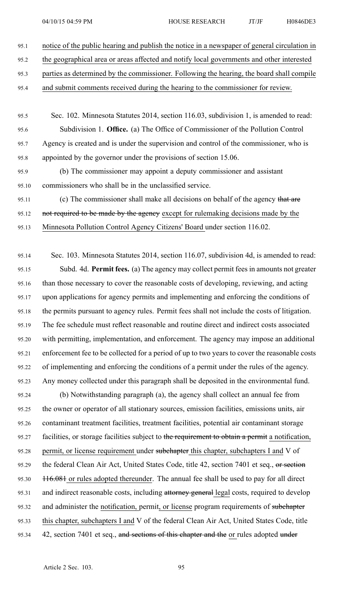95.1 notice of the public hearing and publish the notice in <sup>a</sup> newspaper of general circulation in

95.2 the geographical area or areas affected and notify local governments and other interested

95.3 parties as determined by the commissioner. Following the hearing, the board shall compile

- 95.4 and submit comments received during the hearing to the commissioner for review.
- 95.5 Sec. 102. Minnesota Statutes 2014, section 116.03, subdivision 1, is amended to read: 95.6 Subdivision 1. **Office.** (a) The Office of Commissioner of the Pollution Control 95.7 Agency is created and is under the supervision and control of the commissioner, who is 95.8 appointed by the governor under the provisions of section 15.06.
- 95.9 (b) The commissioner may appoint <sup>a</sup> deputy commissioner and assistant 95.10 commissioners who shall be in the unclassified service.
- 95.11 (c) The commissioner shall make all decisions on behalf of the agency that are
- 95.12 not required to be made by the agency except for rulemaking decisions made by the
- 95.13 Minnesota Pollution Control Agency Citizens' Board under section 116.02.

95.14 Sec. 103. Minnesota Statutes 2014, section 116.07, subdivision 4d, is amended to read: 95.15 Subd. 4d. **Permit fees.** (a) The agency may collect permit fees in amounts not greater 95.16 than those necessary to cover the reasonable costs of developing, reviewing, and acting 95.17 upon applications for agency permits and implementing and enforcing the conditions of 95.18 the permits pursuan<sup>t</sup> to agency rules. Permit fees shall not include the costs of litigation. 95.19 The fee schedule must reflect reasonable and routine direct and indirect costs associated 95.20 with permitting, implementation, and enforcement. The agency may impose an additional 95.21 enforcement fee to be collected for <sup>a</sup> period of up to two years to cover the reasonable costs 95.22 of implementing and enforcing the conditions of <sup>a</sup> permit under the rules of the agency. 95.23 Any money collected under this paragraph shall be deposited in the environmental fund.

95.24 (b) Notwithstanding paragraph (a), the agency shall collect an annual fee from 95.25 the owner or operator of all stationary sources, emission facilities, emissions units, air 95.26 contaminant treatment facilities, treatment facilities, potential air contaminant storage 95.27 facilities, or storage facilities subject to the requirement to obtain a permit a notification, 95.28 permit, or license requirement under subchapter this chapter, subchapters I and V of 95.29 the federal Clean Air Act, United States Code, title 42, section 7401 et seq., or section 95.30 116.081 or rules adopted thereunder. The annual fee shall be used to pay for all direct 95.31 and indirect reasonable costs, including attorney general legal costs, required to develop 95.32 and administer the notification, permit, or license program requirements of subchapter 95.33 this chapter, subchapters I and V of the federal Clean Air Act, United States Code, title 95.34 42, section 7401 et seq., and sections of this chapter and the or rules adopted under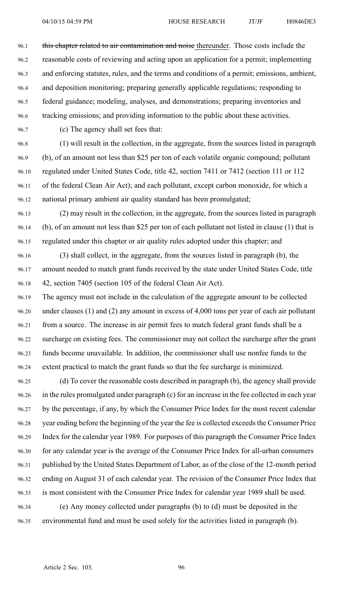96.1 this chapter related to air contamination and noise thereunder. Those costs include the 96.2 reasonable costs of reviewing and acting upon an application for <sup>a</sup> permit; implementing 96.3 and enforcing statutes, rules, and the terms and conditions of <sup>a</sup> permit; emissions, ambient, 96.4 and deposition monitoring; preparing generally applicable regulations; responding to 96.5 federal guidance; modeling, analyses, and demonstrations; preparing inventories and 96.6 tracking emissions; and providing information to the public about these activities.

96.7 (c) The agency shall set fees that:

96.8 (1) will result in the collection, in the aggregate, from the sources listed in paragraph 96.9 (b), of an amount not less than \$25 per ton of each volatile organic compound; pollutant 96.10 regulated under United States Code, title 42, section 7411 or 7412 (section 111 or 112 96.11 of the federal Clean Air Act); and each pollutant, excep<sup>t</sup> carbon monoxide, for which <sup>a</sup> 96.12 national primary ambient air quality standard has been promulgated;

96.13 (2) may result in the collection, in the aggregate, from the sources listed in paragraph 96.14 (b), of an amount not less than \$25 per ton of each pollutant not listed in clause (1) that is 96.15 regulated under this chapter or air quality rules adopted under this chapter; and

96.16 (3) shall collect, in the aggregate, from the sources listed in paragraph (b), the 96.17 amount needed to match gran<sup>t</sup> funds received by the state under United States Code, title 96.18 42, section 7405 (section 105 of the federal Clean Air Act).

96.19 The agency must not include in the calculation of the aggregate amount to be collected 96.20 under clauses (1) and (2) any amount in excess of 4,000 tons per year of each air pollutant 96.21 from <sup>a</sup> source. The increase in air permit fees to match federal gran<sup>t</sup> funds shall be <sup>a</sup> 96.22 surcharge on existing fees. The commissioner may not collect the surcharge after the gran<sup>t</sup> 96.23 funds become unavailable. In addition, the commissioner shall use nonfee funds to the 96.24 extent practical to match the gran<sup>t</sup> funds so that the fee surcharge is minimized.

96.25 (d) To cover the reasonable costs described in paragraph (b), the agency shall provide 96.26 in the rules promulgated under paragraph (c) for an increase in the fee collected in each year 96.27 by the percentage, if any, by which the Consumer Price Index for the most recent calendar 96.28 year ending before the beginning of the year the fee is collected exceeds the Consumer Price 96.29 Index for the calendar year 1989. For purposes of this paragraph the Consumer Price Index 96.30 for any calendar year is the average of the Consumer Price Index for all-urban consumers 96.31 published by the United States Department of Labor, as of the close of the 12-month period 96.32 ending on August 31 of each calendar year. The revision of the Consumer Price Index that 96.33 is most consistent with the Consumer Price Index for calendar year 1989 shall be used. 96.34 (e) Any money collected under paragraphs (b) to (d) must be deposited in the

96.35 environmental fund and must be used solely for the activities listed in paragraph (b).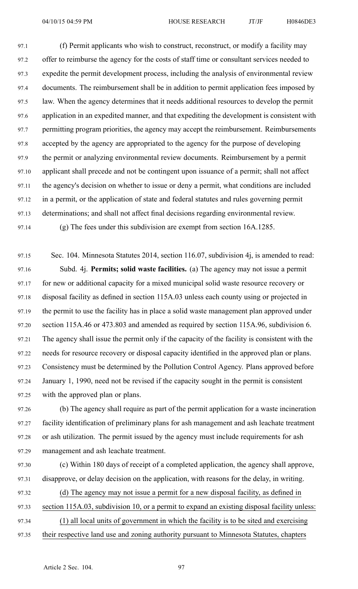97.1 (f) Permit applicants who wish to construct, reconstruct, or modify <sup>a</sup> facility may 97.2 offer to reimburse the agency for the costs of staff time or consultant services needed to 97.3 expedite the permit development process, including the analysis of environmental review 97.4 documents. The reimbursement shall be in addition to permit application fees imposed by 97.5 law. When the agency determines that it needs additional resources to develop the permit 97.6 application in an expedited manner, and that expediting the development is consistent with 97.7 permitting program priorities, the agency may accep<sup>t</sup> the reimbursement. Reimbursements 97.8 accepted by the agency are appropriated to the agency for the purpose of developing 97.9 the permit or analyzing environmental review documents. Reimbursement by <sup>a</sup> permit 97.10 applicant shall precede and not be contingent upon issuance of <sup>a</sup> permit; shall not affect 97.11 the agency's decision on whether to issue or deny <sup>a</sup> permit, what conditions are included 97.12 in <sup>a</sup> permit, or the application of state and federal statutes and rules governing permit 97.13 determinations; and shall not affect final decisions regarding environmental review. 97.14 (g) The fees under this subdivision are exemp<sup>t</sup> from section 16A.1285.

97.15 Sec. 104. Minnesota Statutes 2014, section 116.07, subdivision 4j, is amended to read: 97.16 Subd. 4j. **Permits; solid waste facilities.** (a) The agency may not issue <sup>a</sup> permit 97.17 for new or additional capacity for <sup>a</sup> mixed municipal solid waste resource recovery or 97.18 disposal facility as defined in section 115A.03 unless each county using or projected in 97.19 the permit to use the facility has in place <sup>a</sup> solid waste managemen<sup>t</sup> plan approved under 97.20 section 115A.46 or 473.803 and amended as required by section 115A.96, subdivision 6. 97.21 The agency shall issue the permit only if the capacity of the facility is consistent with the 97.22 needs for resource recovery or disposal capacity identified in the approved plan or plans. 97.23 Consistency must be determined by the Pollution Control Agency. Plans approved before 97.24 January 1, 1990, need not be revised if the capacity sought in the permit is consistent 97.25 with the approved plan or plans.

97.26 (b) The agency shall require as par<sup>t</sup> of the permit application for <sup>a</sup> waste incineration 97.27 facility identification of preliminary plans for ash managemen<sup>t</sup> and ash leachate treatment 97.28 or ash utilization. The permit issued by the agency must include requirements for ash 97.29 managemen<sup>t</sup> and ash leachate treatment.

97.30 (c) Within 180 days of receipt of <sup>a</sup> completed application, the agency shall approve, 97.31 disapprove, or delay decision on the application, with reasons for the delay, in writing.

- 97.32 (d) The agency may not issue <sup>a</sup> permit for <sup>a</sup> new disposal facility, as defined in
- 97.33 section 115A.03, subdivision 10, or <sup>a</sup> permit to expand an existing disposal facility unless:
- 97.34 (1) all local units of governmen<sup>t</sup> in which the facility is to be sited and exercising
- 97.35 their respective land use and zoning authority pursuan<sup>t</sup> to Minnesota Statutes, chapters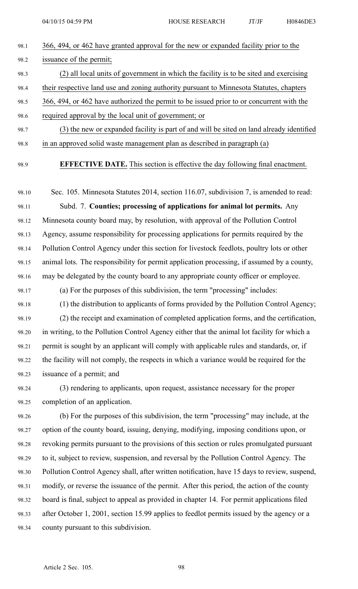- 98.1 366, 494, or 462 have granted approval for the new or expanded facility prior to the 98.2 issuance of the permit; 98.3 (2) all local units of governmen<sup>t</sup> in which the facility is to be sited and exercising
- 98.4 their respective land use and zoning authority pursuan<sup>t</sup> to Minnesota Statutes, chapters
- 98.5 366, 494, or 462 have authorized the permit to be issued prior to or concurrent with the
- 98.6 required approval by the local unit of government; or
- 98.7 (3) the new or expanded facility is par<sup>t</sup> of and will be sited on land already identified 98.8 in an approved solid waste managemen<sup>t</sup> plan as described in paragraph (a)
- 

98.9 **EFFECTIVE DATE.** This section is effective the day following final enactment.

- 98.10 Sec. 105. Minnesota Statutes 2014, section 116.07, subdivision 7, is amended to read: 98.11 Subd. 7. **Counties; processing of applications for animal lot permits.** Any 98.12 Minnesota county board may, by resolution, with approval of the Pollution Control 98.13 Agency, assume responsibility for processing applications for permits required by the 98.14 Pollution Control Agency under this section for livestock feedlots, poultry lots or other 98.15 animal lots. The responsibility for permit application processing, if assumed by <sup>a</sup> county, 98.16 may be delegated by the county board to any appropriate county officer or employee.
- 98.17 (a) For the purposes of this subdivision, the term "processing" includes:
- 98.18 (1) the distribution to applicants of forms provided by the Pollution Control Agency; 98.19 (2) the receipt and examination of completed application forms, and the certification, 98.20 in writing, to the Pollution Control Agency either that the animal lot facility for which <sup>a</sup> 98.21 permit is sought by an applicant will comply with applicable rules and standards, or, if 98.22 the facility will not comply, the respects in which <sup>a</sup> variance would be required for the 98.23 issuance of <sup>a</sup> permit; and
- 98.24 (3) rendering to applicants, upon request, assistance necessary for the proper 98.25 completion of an application.
- 98.26 (b) For the purposes of this subdivision, the term "processing" may include, at the 98.27 option of the county board, issuing, denying, modifying, imposing conditions upon, or 98.28 revoking permits pursuan<sup>t</sup> to the provisions of this section or rules promulgated pursuan<sup>t</sup> 98.29 to it, subject to review, suspension, and reversal by the Pollution Control Agency. The 98.30 Pollution Control Agency shall, after written notification, have 15 days to review, suspend, 98.31 modify, or reverse the issuance of the permit. After this period, the action of the county 98.32 board is final, subject to appeal as provided in chapter 14. For permit applications filed 98.33 after October 1, 2001, section 15.99 applies to feedlot permits issued by the agency or <sup>a</sup> 98.34 county pursuan<sup>t</sup> to this subdivision.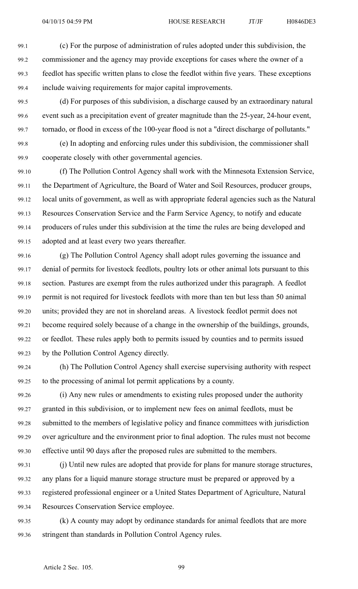99.1 (c) For the purpose of administration of rules adopted under this subdivision, the 99.2 commissioner and the agency may provide exceptions for cases where the owner of <sup>a</sup> 99.3 feedlot has specific written plans to close the feedlot within five years. These exceptions 99.4 include waiving requirements for major capital improvements.

99.5 (d) For purposes of this subdivision, <sup>a</sup> discharge caused by an extraordinary natural 99.6 event such as <sup>a</sup> precipitation event of greater magnitude than the 25-year, 24-hour event, 99.7 tornado, or flood in excess of the 100-year flood is not <sup>a</sup> "direct discharge of pollutants."

99.8 (e) In adopting and enforcing rules under this subdivision, the commissioner shall 99.9 cooperate closely with other governmental agencies.

99.10 (f) The Pollution Control Agency shall work with the Minnesota Extension Service, 99.11 the Department of Agriculture, the Board of Water and Soil Resources, producer groups, 99.12 local units of government, as well as with appropriate federal agencies such as the Natural 99.13 Resources Conservation Service and the Farm Service Agency, to notify and educate 99.14 producers of rules under this subdivision at the time the rules are being developed and 99.15 adopted and at least every two years thereafter.

99.16 (g) The Pollution Control Agency shall adopt rules governing the issuance and 99.17 denial of permits for livestock feedlots, poultry lots or other animal lots pursuan<sup>t</sup> to this 99.18 section. Pastures are exemp<sup>t</sup> from the rules authorized under this paragraph. A feedlot 99.19 permit is not required for livestock feedlots with more than ten but less than 50 animal 99.20 units; provided they are not in shoreland areas. A livestock feedlot permit does not 99.21 become required solely because of <sup>a</sup> change in the ownership of the buildings, grounds, 99.22 or feedlot. These rules apply both to permits issued by counties and to permits issued 99.23 by the Pollution Control Agency directly.

99.24 (h) The Pollution Control Agency shall exercise supervising authority with respec<sup>t</sup> 99.25 to the processing of animal lot permit applications by <sup>a</sup> county.

99.26 (i) Any new rules or amendments to existing rules proposed under the authority 99.27 granted in this subdivision, or to implement new fees on animal feedlots, must be 99.28 submitted to the members of legislative policy and finance committees with jurisdiction 99.29 over agriculture and the environment prior to final adoption. The rules must not become 99.30 effective until 90 days after the proposed rules are submitted to the members.

99.31 (j) Until new rules are adopted that provide for plans for manure storage structures, 99.32 any plans for <sup>a</sup> liquid manure storage structure must be prepared or approved by <sup>a</sup> 99.33 registered professional engineer or <sup>a</sup> United States Department of Agriculture, Natural 99.34 Resources Conservation Service employee.

99.35 (k) A county may adopt by ordinance standards for animal feedlots that are more 99.36 stringent than standards in Pollution Control Agency rules.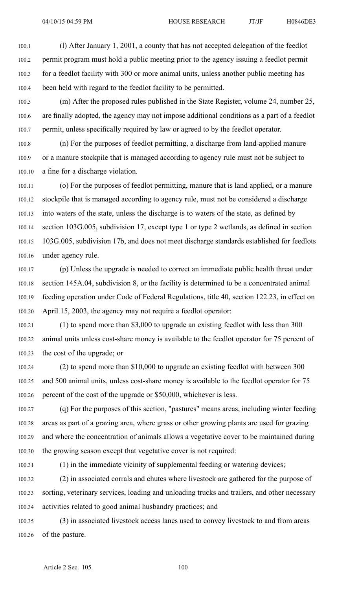100.1 (l) After January 1, 2001, <sup>a</sup> county that has not accepted delegation of the feedlot 100.2 permit program must hold <sup>a</sup> public meeting prior to the agency issuing <sup>a</sup> feedlot permit 100.3 for <sup>a</sup> feedlot facility with 300 or more animal units, unless another public meeting has 100.4 been held with regard to the feedlot facility to be permitted.

100.5 (m) After the proposed rules published in the State Register, volume 24, number 25, 100.6 are finally adopted, the agency may not impose additional conditions as <sup>a</sup> par<sup>t</sup> of <sup>a</sup> feedlot 100.7 permit, unless specifically required by law or agreed to by the feedlot operator.

100.8 (n) For the purposes of feedlot permitting, <sup>a</sup> discharge from land-applied manure 100.9 or <sup>a</sup> manure stockpile that is managed according to agency rule must not be subject to 100.10 <sup>a</sup> fine for <sup>a</sup> discharge violation.

100.11 (o) For the purposes of feedlot permitting, manure that is land applied, or <sup>a</sup> manure 100.12 stockpile that is managed according to agency rule, must not be considered <sup>a</sup> discharge 100.13 into waters of the state, unless the discharge is to waters of the state, as defined by 100.14 section 103G.005, subdivision 17, excep<sup>t</sup> type 1 or type 2 wetlands, as defined in section 100.15 103G.005, subdivision 17b, and does not meet discharge standards established for feedlots 100.16 under agency rule.

100.17 (p) Unless the upgrade is needed to correct an immediate public health threat under 100.18 section 145A.04, subdivision 8, or the facility is determined to be <sup>a</sup> concentrated animal 100.19 feeding operation under Code of Federal Regulations, title 40, section 122.23, in effect on 100.20 April 15, 2003, the agency may not require <sup>a</sup> feedlot operator:

100.21 (1) to spend more than \$3,000 to upgrade an existing feedlot with less than 300 100.22 animal units unless cost-share money is available to the feedlot operator for 75 percen<sup>t</sup> of 100.23 the cost of the upgrade; or

100.24 (2) to spend more than \$10,000 to upgrade an existing feedlot with between 300 100.25 and 500 animal units, unless cost-share money is available to the feedlot operator for 75 100.26 percen<sup>t</sup> of the cost of the upgrade or \$50,000, whichever is less.

100.27 (q) For the purposes of this section, "pastures" means areas, including winter feeding 100.28 areas as par<sup>t</sup> of <sup>a</sup> grazing area, where grass or other growing plants are used for grazing 100.29 and where the concentration of animals allows <sup>a</sup> vegetative cover to be maintained during 100.30 the growing season excep<sup>t</sup> that vegetative cover is not required:

100.31 (1) in the immediate vicinity of supplemental feeding or watering devices;

100.32 (2) in associated corrals and chutes where livestock are gathered for the purpose of 100.33 sorting, veterinary services, loading and unloading trucks and trailers, and other necessary 100.34 activities related to good animal husbandry practices; and

100.35 (3) in associated livestock access lanes used to convey livestock to and from areas 100.36 of the pasture.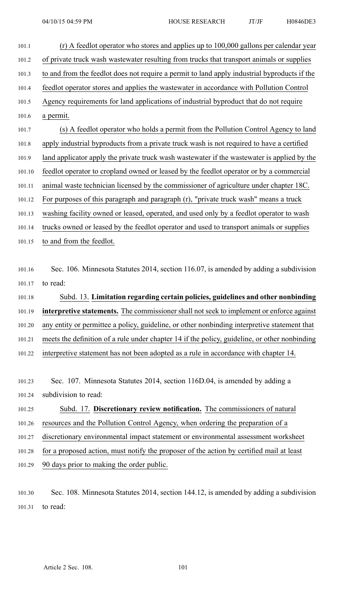| 101.1  | $(r)$ A feedlot operator who stores and applies up to 100,000 gallons per calendar year       |
|--------|-----------------------------------------------------------------------------------------------|
| 101.2  | of private truck wash wastewater resulting from trucks that transport animals or supplies     |
| 101.3  | to and from the feedlot does not require a permit to land apply industrial byproducts if the  |
| 101.4  | feedlot operator stores and applies the wastewater in accordance with Pollution Control       |
| 101.5  | Agency requirements for land applications of industrial byproduct that do not require         |
| 101.6  | a permit.                                                                                     |
| 101.7  | (s) A feedlot operator who holds a permit from the Pollution Control Agency to land           |
| 101.8  | apply industrial byproducts from a private truck wash is not required to have a certified     |
| 101.9  | land applicator apply the private truck wash wastewater if the wastewater is applied by the   |
| 101.10 | feedlot operator to cropland owned or leased by the feedlot operator or by a commercial       |
| 101.11 | animal waste technician licensed by the commissioner of agriculture under chapter 18C.        |
| 101.12 | For purposes of this paragraph and paragraph (r), "private truck wash" means a truck          |
| 101.13 | washing facility owned or leased, operated, and used only by a feedlot operator to wash       |
| 101.14 | trucks owned or leased by the feedlot operator and used to transport animals or supplies      |
| 101.15 | to and from the feedlot.                                                                      |
|        |                                                                                               |
| 101.16 | Sec. 106. Minnesota Statutes 2014, section 116.07, is amended by adding a subdivision         |
| 101.17 | to read:                                                                                      |
| 101.18 | Subd. 13. Limitation regarding certain policies, guidelines and other nonbinding              |
| 101.19 | interpretive statements. The commissioner shall not seek to implement or enforce against      |
| 101.20 | any entity or permittee a policy, guideline, or other nonbinding interpretive statement that  |
| 101.21 | meets the definition of a rule under chapter 14 if the policy, guideline, or other nonbinding |
| 101.22 | interpretive statement has not been adopted as a rule in accordance with chapter 14.          |
|        |                                                                                               |
| 101.23 | Sec. 107. Minnesota Statutes 2014, section 116D.04, is amended by adding a                    |
| 101.24 | subdivision to read:                                                                          |
| 101.25 | Subd. 17. Discretionary review notification. The commissioners of natural                     |
| 101.26 | resources and the Pollution Control Agency, when ordering the preparation of a                |
| 101.27 | discretionary environmental impact statement or environmental assessment worksheet            |
| 101.28 | for a proposed action, must notify the proposer of the action by certified mail at least      |
| 101.29 | 90 days prior to making the order public.                                                     |
|        |                                                                                               |
|        |                                                                                               |

101.30 Sec. 108. Minnesota Statutes 2014, section 144.12, is amended by adding <sup>a</sup> subdivision 101.31 to read: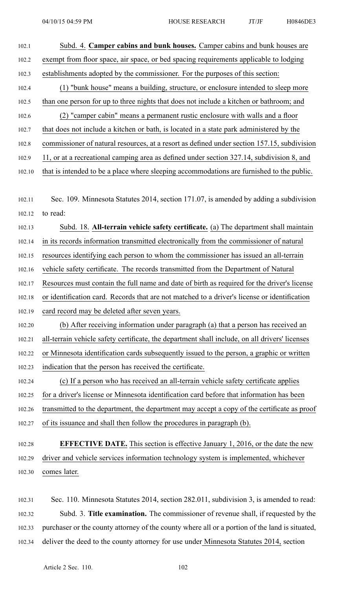| 102.1  | Subd. 4. Camper cabins and bunk houses. Camper cabins and bunk houses are                      |
|--------|------------------------------------------------------------------------------------------------|
| 102.2  | exempt from floor space, air space, or bed spacing requirements applicable to lodging          |
| 102.3  | establishments adopted by the commissioner. For the purposes of this section:                  |
| 102.4  | (1) "bunk house" means a building, structure, or enclosure intended to sleep more              |
| 102.5  | than one person for up to three nights that does not include a kitchen or bathroom; and        |
| 102.6  | (2) "camper cabin" means a permanent rustic enclosure with walls and a floor                   |
| 102.7  | that does not include a kitchen or bath, is located in a state park administered by the        |
| 102.8  | commissioner of natural resources, at a resort as defined under section 157.15, subdivision    |
| 102.9  | 11, or at a recreational camping area as defined under section 327.14, subdivision 8, and      |
| 102.10 | that is intended to be a place where sleeping accommodations are furnished to the public.      |
|        |                                                                                                |
| 102.11 | Sec. 109. Minnesota Statutes 2014, section 171.07, is amended by adding a subdivision          |
| 102.12 | to read:                                                                                       |
| 102.13 | Subd. 18. All-terrain vehicle safety certificate. (a) The department shall maintain            |
| 102.14 | in its records information transmitted electronically from the commissioner of natural         |
| 102.15 | resources identifying each person to whom the commissioner has issued an all-terrain           |
| 102.16 | vehicle safety certificate. The records transmitted from the Department of Natural             |
| 102.17 | Resources must contain the full name and date of birth as required for the driver's license    |
| 102.18 | or identification card. Records that are not matched to a driver's license or identification   |
| 102.19 | card record may be deleted after seven years.                                                  |
| 102.20 | (b) After receiving information under paragraph (a) that a person has received an              |
| 102.21 | all-terrain vehicle safety certificate, the department shall include, on all drivers' licenses |
| 102.22 | or Minnesota identification cards subsequently issued to the person, a graphic or written      |
| 102.23 | indication that the person has received the certificate.                                       |
| 102.24 | (c) If a person who has received an all-terrain vehicle safety certificate applies             |
| 102.25 | for a driver's license or Minnesota identification card before that information has been       |
| 102.26 | transmitted to the department, the department may accept a copy of the certificate as proof    |
| 102.27 | of its issuance and shall then follow the procedures in paragraph (b).                         |
|        |                                                                                                |
| 102.28 | <b>EFFECTIVE DATE.</b> This section is effective January 1, 2016, or the date the new          |
| 102.29 | driver and vehicle services information technology system is implemented, whichever            |
| 102.30 | comes later.                                                                                   |
|        |                                                                                                |

102.31 Sec. 110. Minnesota Statutes 2014, section 282.011, subdivision 3, is amended to read: 102.32 Subd. 3. **Title examination.** The commissioner of revenue shall, if requested by the 102.33 purchaser or the county attorney of the county where all or <sup>a</sup> portion of the land is situated, 102.34 deliver the deed to the county attorney for use under Minnesota Statutes 2014, section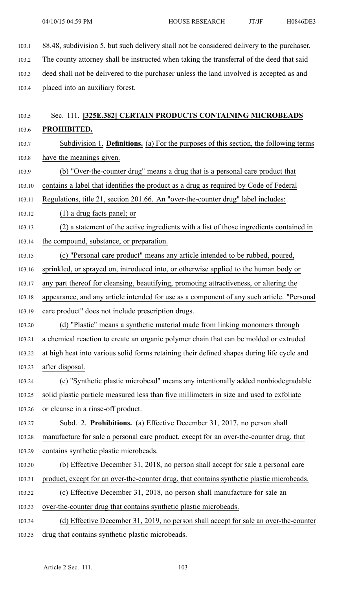103.1 88.48, subdivision 5, but such delivery shall not be considered delivery to the purchaser. 103.2 The county attorney shall be instructed when taking the transferral of the deed that said 103.3 deed shall not be delivered to the purchaser unless the land involved is accepted as and 103.4 placed into an auxiliary forest.

# 103.5 Sec. 111. **[325E.382] CERTAIN PRODUCTS CONTAINING MICROBEADS** 103.6 **PROHIBITED.**

- 103.7 Subdivision 1. **Definitions.** (a) For the purposes of this section, the following terms 103.8 have the meanings given.
- 103.9 (b) "Over-the-counter drug" means <sup>a</sup> drug that is <sup>a</sup> personal care product that

103.10 contains <sup>a</sup> label that identifies the product as <sup>a</sup> drug as required by Code of Federal

- 103.11 Regulations, title 21, section 201.66. An "over-the-counter drug" label includes:
- 103.12 (1) <sup>a</sup> drug facts panel; or
- 103.13 (2) <sup>a</sup> statement of the active ingredients with <sup>a</sup> list of those ingredients contained in
- 103.14 the compound, substance, or preparation.
- 103.15 (c) "Personal care product" means any article intended to be rubbed, poured,
- 103.16 sprinkled, or sprayed on, introduced into, or otherwise applied to the human body or
- 103.17 any par<sup>t</sup> thereof for cleansing, beautifying, promoting attractiveness, or altering the
- 103.18 appearance, and any article intended for use as <sup>a</sup> componen<sup>t</sup> of any such article. "Personal
- 103.19 care product" does not include prescription drugs.
- 103.20 (d) "Plastic" means <sup>a</sup> synthetic material made from linking monomers through
- 103.21 <sup>a</sup> chemical reaction to create an organic polymer chain that can be molded or extruded
- 103.22 at high heat into various solid forms retaining their defined shapes during life cycle and 103.23 after disposal.
- 103.24 (e) "Synthetic plastic microbead" means any intentionally added nonbiodegradable
- 103.25 solid plastic particle measured less than five millimeters in size and used to exfoliate
- 103.26 or cleanse in <sup>a</sup> rinse-off product.
- 103.27 Subd. 2. **Prohibitions.** (a) Effective December 31, 2017, no person shall 103.28 manufacture for sale <sup>a</sup> personal care product, excep<sup>t</sup> for an over-the-counter drug, that 103.29 contains synthetic plastic microbeads.
- 103.30 (b) Effective December 31, 2018, no person shall accep<sup>t</sup> for sale <sup>a</sup> personal care
- 103.31 product, excep<sup>t</sup> for an over-the-counter drug, that contains synthetic plastic microbeads.
- 103.32 (c) Effective December 31, 2018, no person shall manufacture for sale an
- 103.33 over-the-counter drug that contains synthetic plastic microbeads.
- 103.34 (d) Effective December 31, 2019, no person shall accep<sup>t</sup> for sale an over-the-counter 103.35 drug that contains synthetic plastic microbeads.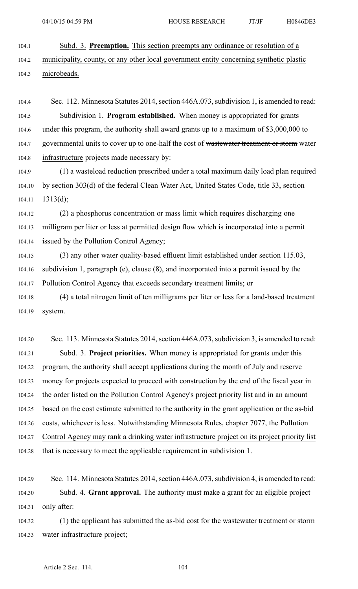104.1 Subd. 3. **Preemption.** This section preempts any ordinance or resolution of <sup>a</sup>

104.2 municipality, county, or any other local governmen<sup>t</sup> entity concerning synthetic plastic 104.3 microbeads.

104.4 Sec. 112. Minnesota Statutes 2014, section 446A.073, subdivision 1, is amended to read: 104.5 Subdivision 1. **Program established.** When money is appropriated for grants 104.6 under this program, the authority shall award grants up to <sup>a</sup> maximum of \$3,000,000 to 104.7 governmental units to cover up to one-half the cost of wastewater treatment or storm water 104.8 infrastructure projects made necessary by:

104.9 (1) <sup>a</sup> wasteload reduction prescribed under <sup>a</sup> total maximum daily load plan required 104.10 by section 303(d) of the federal Clean Water Act, United States Code, title 33, section  $104.11$  1313(d);

104.12 (2) <sup>a</sup> phosphorus concentration or mass limit which requires discharging one 104.13 milligram per liter or less at permitted design flow which is incorporated into <sup>a</sup> permit 104.14 issued by the Pollution Control Agency;

104.15 (3) any other water quality-based effluent limit established under section 115.03, 104.16 subdivision 1, paragraph (e), clause (8), and incorporated into <sup>a</sup> permit issued by the 104.17 Pollution Control Agency that exceeds secondary treatment limits; or

104.18 (4) <sup>a</sup> total nitrogen limit of ten milligrams per liter or less for <sup>a</sup> land-based treatment 104.19 system.

104.20 Sec. 113. Minnesota Statutes 2014, section 446A.073, subdivision 3, is amended to read: 104.21 Subd. 3. **Project priorities.** When money is appropriated for grants under this 104.22 program, the authority shall accep<sup>t</sup> applications during the month of July and reserve 104.23 money for projects expected to proceed with construction by the end of the fiscal year in 104.24 the order listed on the Pollution Control Agency's project priority list and in an amount 104.25 based on the cost estimate submitted to the authority in the gran<sup>t</sup> application or the as-bid 104.26 costs, whichever is less. Notwithstanding Minnesota Rules, chapter 7077, the Pollution 104.27 Control Agency may rank <sup>a</sup> drinking water infrastructure project on its project priority list 104.28 that is necessary to meet the applicable requirement in subdivision 1.

104.29 Sec. 114. Minnesota Statutes 2014, section 446A.073, subdivision 4, is amended to read: 104.30 Subd. 4. **Grant approval.** The authority must make <sup>a</sup> gran<sup>t</sup> for an eligible project 104.31 only after:

104.32 (1) the applicant has submitted the as-bid cost for the wastewater treatment or storm 104.33 water infrastructure project;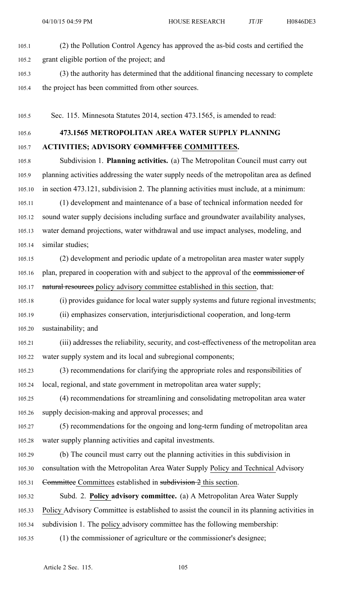105.1 (2) the Pollution Control Agency has approved the as-bid costs and certified the

105.2 gran<sup>t</sup> eligible portion of the project; and

105.3 (3) the authority has determined that the additional financing necessary to complete 105.4 the project has been committed from other sources.

105.5 Sec. 115. Minnesota Statutes 2014, section 473.1565, is amended to read:

105.6 **473.1565 METROPOLITAN AREA WATER SUPPLY PLANNING** 105.7 **ACTIVITIES; ADVISORY COMMITTEE COMMITTEES.**

105.8 Subdivision 1. **Planning activities.** (a) The Metropolitan Council must carry out 105.9 planning activities addressing the water supply needs of the metropolitan area as defined 105.10 in section 473.121, subdivision 2. The planning activities must include, at <sup>a</sup> minimum:

105.11 (1) development and maintenance of <sup>a</sup> base of technical information needed for 105.12 sound water supply decisions including surface and groundwater availability analyses, 105.13 water demand projections, water withdrawal and use impact analyses, modeling, and 105.14 similar studies;

105.15 (2) development and periodic update of <sup>a</sup> metropolitan area master water supply 105.16 plan, prepared in cooperation with and subject to the approval of the commissioner of 105.17 natural resources policy advisory committee established in this section, that:

105.18 (i) provides guidance for local water supply systems and future regional investments; 105.19 (ii) emphasizes conservation, interjurisdictional cooperation, and long-term 105.20 sustainability; and

105.21 (iii) addresses the reliability, security, and cost-effectiveness of the metropolitan area 105.22 water supply system and its local and subregional components;

105.23 (3) recommendations for clarifying the appropriate roles and responsibilities of 105.24 local, regional, and state governmen<sup>t</sup> in metropolitan area water supply;

105.25 (4) recommendations for streamlining and consolidating metropolitan area water 105.26 supply decision-making and approval processes; and

105.27 (5) recommendations for the ongoing and long-term funding of metropolitan area 105.28 water supply planning activities and capital investments.

105.29 (b) The council must carry out the planning activities in this subdivision in 105.30 consultation with the Metropolitan Area Water Supply Policy and Technical Advisory 105.31 Committee Committees established in subdivision 2 this section.

105.32 Subd. 2. **Policy advisory committee.** (a) A Metropolitan Area Water Supply 105.33 Policy Advisory Committee is established to assist the council in its planning activities in 105.34 subdivision 1. The policy advisory committee has the following membership:

105.35 (1) the commissioner of agriculture or the commissioner's designee;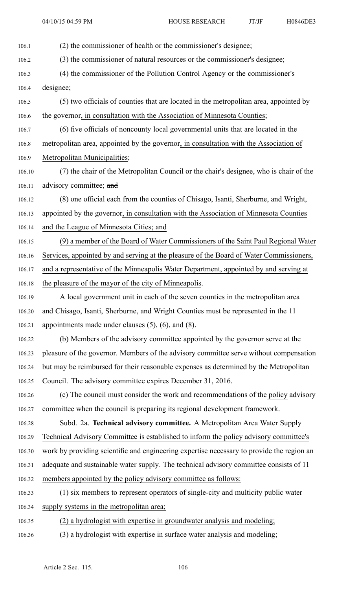106.1 (2) the commissioner of health or the commissioner's designee; 106.2 (3) the commissioner of natural resources or the commissioner's designee; 106.3 (4) the commissioner of the Pollution Control Agency or the commissioner's 106.4 designee; 106.5 (5) two officials of counties that are located in the metropolitan area, appointed by 106.6 the governor, in consultation with the Association of Minnesota Counties; 106.7 (6) five officials of noncounty local governmental units that are located in the 106.8 metropolitan area, appointed by the governor, in consultation with the Association of 106.9 Metropolitan Municipalities; 106.10 (7) the chair of the Metropolitan Council or the chair's designee, who is chair of the 106.11 advisory committee; and 106.12 (8) one official each from the counties of Chisago, Isanti, Sherburne, and Wright, 106.13 appointed by the governor, in consultation with the Association of Minnesota Counties 106.14 and the League of Minnesota Cities; and 106.15 (9) <sup>a</sup> member of the Board of Water Commissioners of the Saint Paul Regional Water 106.16 Services, appointed by and serving at the pleasure of the Board of Water Commissioners, 106.17 and <sup>a</sup> representative of the Minneapolis Water Department, appointed by and serving at 106.18 the pleasure of the mayor of the city of Minneapolis. 106.19 A local governmen<sup>t</sup> unit in each of the seven counties in the metropolitan area 106.20 and Chisago, Isanti, Sherburne, and Wright Counties must be represented in the 11 106.21 appointments made under clauses (5), (6), and (8). 106.22 (b) Members of the advisory committee appointed by the governor serve at the 106.23 pleasure of the governor. Members of the advisory committee serve without compensation 106.24 but may be reimbursed for their reasonable expenses as determined by the Metropolitan 106.25 Council. The advisory committee expires December 31, 2016. 106.26 (c) The council must consider the work and recommendations of the policy advisory 106.27 committee when the council is preparing its regional development framework. 106.28 Subd. 2a. **Technical advisory committee.** A Metropolitan Area Water Supply 106.29 Technical Advisory Committee is established to inform the policy advisory committee's 106.30 work by providing scientific and engineering expertise necessary to provide the region an 106.31 adequate and sustainable water supply. The technical advisory committee consists of 11 106.32 members appointed by the policy advisory committee as follows: 106.33 (1) six members to represen<sup>t</sup> operators of single-city and multicity public water 106.34 supply systems in the metropolitan area; 106.35 (2) <sup>a</sup> hydrologist with expertise in groundwater analysis and modeling; 106.36 (3) <sup>a</sup> hydrologist with expertise in surface water analysis and modeling;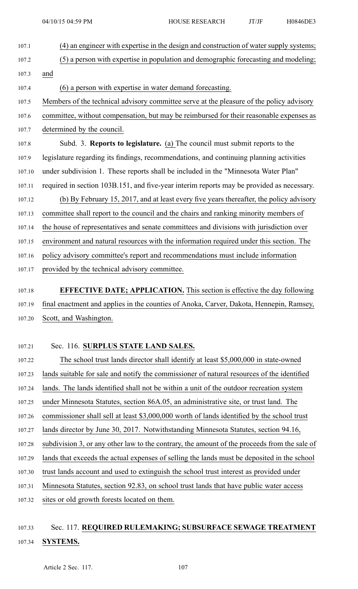- 107.1 (4) an engineer with expertise in the design and construction of water supply systems; 107.2 (5) <sup>a</sup> person with expertise in population and demographic forecasting and modeling; 107.3 and 107.4 (6) <sup>a</sup> person with expertise in water demand forecasting.
- 107.5 Members of the technical advisory committee serve at the pleasure of the policy advisory
- 107.6 committee, without compensation, but may be reimbursed for their reasonable expenses as 107.7 determined by the council.
- 107.8 Subd. 3. **Reports to legislature.** (a) The council must submit reports to the 107.9 legislature regarding its findings, recommendations, and continuing planning activities 107.10 under subdivision 1. These reports shall be included in the "Minnesota Water Plan" 107.11 required in section 103B.151, and five-year interim reports may be provided as necessary. 107.12 (b) By February 15, 2017, and at least every five years thereafter, the policy advisory 107.13 committee shall repor<sup>t</sup> to the council and the chairs and ranking minority members of 107.14 the house of representatives and senate committees and divisions with jurisdiction over 107.15 environment and natural resources with the information required under this section. The
- 107.16 policy advisory committee's repor<sup>t</sup> and recommendations must include information
- 107.17 provided by the technical advisory committee.

# 107.18 **EFFECTIVE DATE; APPLICATION.** This section is effective the day following 107.19 final enactment and applies in the counties of Anoka, Carver, Dakota, Hennepin, Ramsey, 107.20 Scott, and Washington.

### 107.21 Sec. 116. **SURPLUS STATE LAND SALES.**

107.22 The school trust lands director shall identify at least \$5,000,000 in state-owned 107.23 lands suitable for sale and notify the commissioner of natural resources of the identified 107.24 lands. The lands identified shall not be within <sup>a</sup> unit of the outdoor recreation system 107.25 under Minnesota Statutes, section 86A.05, an administrative site, or trust land. The 107.26 commissioner shall sell at least \$3,000,000 worth of lands identified by the school trust 107.27 lands director by June 30, 2017. Notwithstanding Minnesota Statutes, section 94.16, 107.28 subdivision 3, or any other law to the contrary, the amount of the proceeds from the sale of 107.29 lands that exceeds the actual expenses of selling the lands must be deposited in the school 107.30 trust lands account and used to extinguish the school trust interest as provided under 107.31 Minnesota Statutes, section 92.83, on school trust lands that have public water access 107.32 sites or old growth forests located on them.

# 107.33 Sec. 117. **REQUIRED RULEMAKING; SUBSURFACE SEWAGE TREATMENT** 107.34 **SYSTEMS.**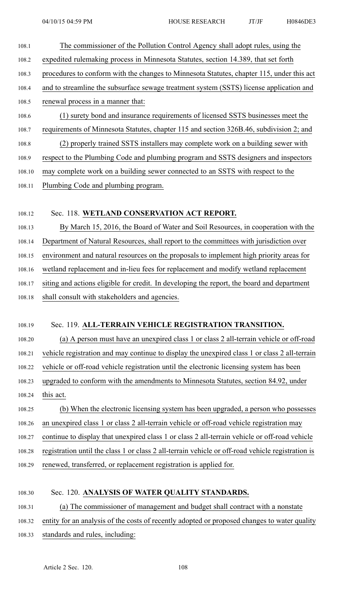| 108.1  | The commissioner of the Pollution Control Agency shall adopt rules, using the                 |
|--------|-----------------------------------------------------------------------------------------------|
| 108.2  | expedited rulemaking process in Minnesota Statutes, section 14.389, that set forth            |
| 108.3  | procedures to conform with the changes to Minnesota Statutes, chapter 115, under this act     |
| 108.4  | and to streamline the subsurface sewage treatment system (SSTS) license application and       |
| 108.5  | renewal process in a manner that:                                                             |
| 108.6  | (1) surety bond and insurance requirements of licensed SSTS businesses meet the               |
| 108.7  | requirements of Minnesota Statutes, chapter 115 and section 326B.46, subdivision 2; and       |
| 108.8  | (2) properly trained SSTS installers may complete work on a building sewer with               |
| 108.9  | respect to the Plumbing Code and plumbing program and SSTS designers and inspectors           |
| 108.10 | may complete work on a building sewer connected to an SSTS with respect to the                |
| 108.11 | Plumbing Code and plumbing program.                                                           |
|        |                                                                                               |
| 108.12 | Sec. 118. WETLAND CONSERVATION ACT REPORT.                                                    |
| 108.13 | By March 15, 2016, the Board of Water and Soil Resources, in cooperation with the             |
| 108.14 | Department of Natural Resources, shall report to the committees with jurisdiction over        |
| 108.15 | environment and natural resources on the proposals to implement high priority areas for       |
| 108.16 | wetland replacement and in-lieu fees for replacement and modify wetland replacement           |
| 108.17 | siting and actions eligible for credit. In developing the report, the board and department    |
| 108.18 | shall consult with stakeholders and agencies.                                                 |
|        |                                                                                               |
| 108.19 | Sec. 119. ALL-TERRAIN VEHICLE REGISTRATION TRANSITION.                                        |
| 108.20 | (a) A person must have an unexpired class 1 or class 2 all-terrain vehicle or off-road        |
| 108.21 | vehicle registration and may continue to display the unexpired class 1 or class 2 all-terrain |

108.22 vehicle or off-road vehicle registration until the electronic licensing system has been

108.23 upgraded to conform with the amendments to Minnesota Statutes, section 84.92, under 108.24 this act.

108.25 (b) When the electronic licensing system has been upgraded, <sup>a</sup> person who possesses 108.26 an unexpired class 1 or class 2 all-terrain vehicle or off-road vehicle registration may 108.27 continue to display that unexpired class 1 or class 2 all-terrain vehicle or off-road vehicle 108.28 registration until the class 1 or class 2 all-terrain vehicle or off-road vehicle registration is

108.29 renewed, transferred, or replacement registration is applied for.

### 108.30 Sec. 120. **ANALYSIS OF WATER QUALITY STANDARDS.**

108.31 (a) The commissioner of managemen<sup>t</sup> and budget shall contract with <sup>a</sup> nonstate

- 108.32 entity for an analysis of the costs of recently adopted or proposed changes to water quality
- 108.33 standards and rules, including: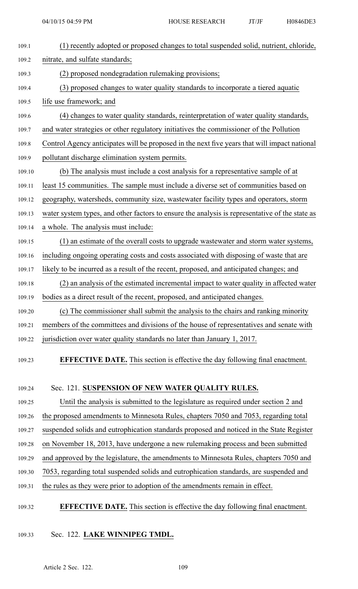| 109.1  | (1) recently adopted or proposed changes to total suspended solid, nutrient, chloride,         |
|--------|------------------------------------------------------------------------------------------------|
| 109.2  | nitrate, and sulfate standards;                                                                |
| 109.3  | (2) proposed nondegradation rulemaking provisions;                                             |
| 109.4  | (3) proposed changes to water quality standards to incorporate a tiered aquatic                |
| 109.5  | life use framework; and                                                                        |
| 109.6  | (4) changes to water quality standards, reinterpretation of water quality standards,           |
| 109.7  | and water strategies or other regulatory initiatives the commissioner of the Pollution         |
| 109.8  | Control Agency anticipates will be proposed in the next five years that will impact national   |
| 109.9  | pollutant discharge elimination system permits.                                                |
| 109.10 | (b) The analysis must include a cost analysis for a representative sample of at                |
| 109.11 | least 15 communities. The sample must include a diverse set of communities based on            |
| 109.12 | geography, watersheds, community size, wastewater facility types and operators, storm          |
| 109.13 | water system types, and other factors to ensure the analysis is representative of the state as |
| 109.14 | a whole. The analysis must include:                                                            |
| 109.15 | (1) an estimate of the overall costs to upgrade wastewater and storm water systems,            |
| 109.16 | including ongoing operating costs and costs associated with disposing of waste that are        |
| 109.17 | likely to be incurred as a result of the recent, proposed, and anticipated changes; and        |
| 109.18 | (2) an analysis of the estimated incremental impact to water quality in affected water         |
| 109.19 | bodies as a direct result of the recent, proposed, and anticipated changes.                    |
| 109.20 | (c) The commissioner shall submit the analysis to the chairs and ranking minority              |
| 109.21 | members of the committees and divisions of the house of representatives and senate with        |
| 109.22 | jurisdiction over water quality standards no later than January 1, 2017.                       |
| 109.23 | <b>EFFECTIVE DATE.</b> This section is effective the day following final enactment.            |
| 109.24 | Sec. 121. SUSPENSION OF NEW WATER QUALITY RULES.                                               |
| 109.25 | Until the analysis is submitted to the legislature as required under section 2 and             |
| 109.26 | the proposed amendments to Minnesota Rules, chapters 7050 and 7053, regarding total            |
| 109.27 | suspended solids and eutrophication standards proposed and noticed in the State Register       |
| 109.28 | on November 18, 2013, have undergone a new rulemaking process and been submitted               |
| 109.29 | and approved by the legislature, the amendments to Minnesota Rules, chapters 7050 and          |
| 109.30 | 7053, regarding total suspended solids and eutrophication standards, are suspended and         |

- 109.31 the rules as they were prior to adoption of the amendments remain in effect.
- 109.32 **EFFECTIVE DATE.** This section is effective the day following final enactment.
- 109.33 Sec. 122. **LAKE WINNIPEG TMDL.**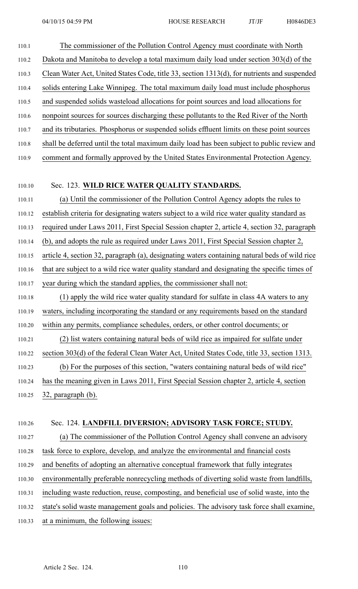110.1 The commissioner of the Pollution Control Agency must coordinate with North 110.2 Dakota and Manitoba to develop <sup>a</sup> total maximum daily load under section 303(d) of the 110.3 Clean Water Act, United States Code, title 33, section 1313(d), for nutrients and suspended 110.4 solids entering Lake Winnipeg. The total maximum daily load must include phosphorus 110.5 and suspended solids wasteload allocations for point sources and load allocations for 110.6 nonpoint sources for sources discharging these pollutants to the Red River of the North 110.7 and its tributaries. Phosphorus or suspended solids effluent limits on these point sources 110.8 shall be deferred until the total maximum daily load has been subject to public review and 110.9 comment and formally approved by the United States Environmental Protection Agency. 110.10 Sec. 123. **WILD RICE WATER QUALITY STANDARDS.** 110.11 (a) Until the commissioner of the Pollution Control Agency adopts the rules to 110.12 establish criteria for designating waters subject to <sup>a</sup> wild rice water quality standard as 110.13 required under Laws 2011, First Special Session chapter 2, article 4, section 32, paragraph 110.14 (b), and adopts the rule as required under Laws 2011, First Special Session chapter 2, 110.15 article 4, section 32, paragraph (a), designating waters containing natural beds of wild rice 110.16 that are subject to <sup>a</sup> wild rice water quality standard and designating the specific times of 110.17 year during which the standard applies, the commissioner shall not: 110.18 (1) apply the wild rice water quality standard for sulfate in class 4A waters to any 110.19 waters, including incorporating the standard or any requirements based on the standard 110.20 within any permits, compliance schedules, orders, or other control documents; or 110.21 (2) list waters containing natural beds of wild rice as impaired for sulfate under 110.22 section 303(d) of the federal Clean Water Act, United States Code, title 33, section 1313. 110.23 (b) For the purposes of this section, "waters containing natural beds of wild rice" 110.24 has the meaning given in Laws 2011, First Special Session chapter 2, article 4, section 110.25 32, paragraph (b).

#### 110.26 Sec. 124. **LANDFILL DIVERSION; ADVISORY TASK FORCE; STUDY.**

110.27 (a) The commissioner of the Pollution Control Agency shall convene an advisory 110.28 task force to explore, develop, and analyze the environmental and financial costs 110.29 and benefits of adopting an alternative conceptual framework that fully integrates

- 110.30 environmentally preferable nonrecycling methods of diverting solid waste from landfills,
- 110.31 including waste reduction, reuse, composting, and beneficial use of solid waste, into the
- 110.32 state's solid waste managemen<sup>t</sup> goals and policies. The advisory task force shall examine,
- 110.33 at <sup>a</sup> minimum, the following issues: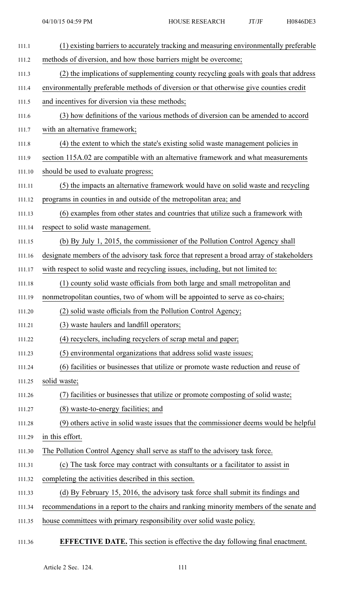| 111.1  | (1) existing barriers to accurately tracking and measuring environmentally preferable     |
|--------|-------------------------------------------------------------------------------------------|
| 111.2  | methods of diversion, and how those barriers might be overcome;                           |
| 111.3  | (2) the implications of supplementing county recycling goals with goals that address      |
| 111.4  | environmentally preferable methods of diversion or that otherwise give counties credit    |
| 111.5  | and incentives for diversion via these methods;                                           |
| 111.6  | (3) how definitions of the various methods of diversion can be amended to accord          |
| 111.7  | with an alternative framework;                                                            |
| 111.8  | (4) the extent to which the state's existing solid waste management policies in           |
| 111.9  | section 115A.02 are compatible with an alternative framework and what measurements        |
| 111.10 | should be used to evaluate progress;                                                      |
| 111.11 | (5) the impacts an alternative framework would have on solid waste and recycling          |
| 111.12 | programs in counties in and outside of the metropolitan area; and                         |
| 111.13 | (6) examples from other states and countries that utilize such a framework with           |
| 111.14 | respect to solid waste management.                                                        |
| 111.15 | (b) By July 1, 2015, the commissioner of the Pollution Control Agency shall               |
| 111.16 | designate members of the advisory task force that represent a broad array of stakeholders |
| 111.17 | with respect to solid waste and recycling issues, including, but not limited to:          |
| 111.18 | (1) county solid waste officials from both large and small metropolitan and               |
| 111.19 | nonmetropolitan counties, two of whom will be appointed to serve as co-chairs;            |
| 111.20 | (2) solid waste officials from the Pollution Control Agency;                              |
| 111.21 | (3) waste haulers and landfill operators;                                                 |
| 111.22 | (4) recyclers, including recyclers of scrap metal and paper;                              |
| 111.23 | (5) environmental organizations that address solid waste issues;                          |
| 111.24 | (6) facilities or businesses that utilize or promote waste reduction and reuse of         |
| 111.25 | solid waste;                                                                              |
| 111.26 | facilities or businesses that utilize or promote composting of solid waste;               |
| 111.27 | (8) waste-to-energy facilities; and                                                       |
| 111.28 | (9) others active in solid waste issues that the commissioner deems would be helpful      |
| 111.29 | in this effort.                                                                           |
| 111.30 | The Pollution Control Agency shall serve as staff to the advisory task force.             |
| 111.31 | (c) The task force may contract with consultants or a facilitator to assist in            |
| 111.32 | completing the activities described in this section.                                      |
| 111.33 | (d) By February 15, 2016, the advisory task force shall submit its findings and           |
| 111.34 | recommendations in a report to the chairs and ranking minority members of the senate and  |
| 111.35 | house committees with primary responsibility over solid waste policy.                     |
|        |                                                                                           |

## 111.36 **EFFECTIVE DATE.** This section is effective the day following final enactment.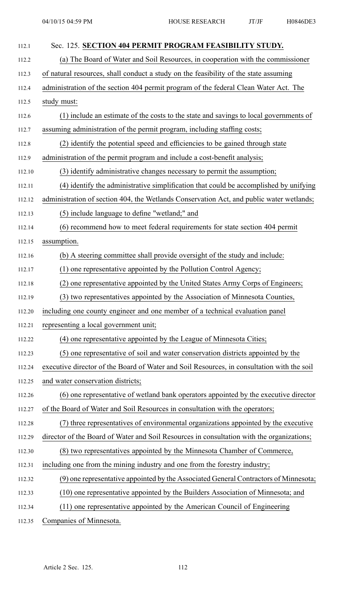| 112.1  | Sec. 125. SECTION 404 PERMIT PROGRAM FEASIBILITY STUDY.                                    |
|--------|--------------------------------------------------------------------------------------------|
| 112.2  | (a) The Board of Water and Soil Resources, in cooperation with the commissioner            |
| 112.3  | of natural resources, shall conduct a study on the feasibility of the state assuming       |
| 112.4  | administration of the section 404 permit program of the federal Clean Water Act. The       |
| 112.5  | study must:                                                                                |
| 112.6  | (1) include an estimate of the costs to the state and savings to local governments of      |
| 112.7  | assuming administration of the permit program, including staffing costs;                   |
| 112.8  | (2) identify the potential speed and efficiencies to be gained through state               |
| 112.9  | administration of the permit program and include a cost-benefit analysis;                  |
| 112.10 | (3) identify administrative changes necessary to permit the assumption;                    |
| 112.11 | (4) identify the administrative simplification that could be accomplished by unifying      |
| 112.12 | administration of section 404, the Wetlands Conservation Act, and public water wetlands;   |
| 112.13 | (5) include language to define "wetland;" and                                              |
| 112.14 | (6) recommend how to meet federal requirements for state section 404 permit                |
| 112.15 | assumption.                                                                                |
| 112.16 | (b) A steering committee shall provide oversight of the study and include:                 |
| 112.17 | (1) one representative appointed by the Pollution Control Agency;                          |
| 112.18 | one representative appointed by the United States Army Corps of Engineers;<br>(2)          |
| 112.19 | (3) two representatives appointed by the Association of Minnesota Counties,                |
| 112.20 | including one county engineer and one member of a technical evaluation panel               |
| 112.21 | representing a local government unit;                                                      |
| 112.22 | (4) one representative appointed by the League of Minnesota Cities;                        |
| 112.23 | (5) one representative of soil and water conservation districts appointed by the           |
| 112.24 | executive director of the Board of Water and Soil Resources, in consultation with the soil |
| 112.25 | and water conservation districts;                                                          |
| 112.26 | (6) one representative of wetland bank operators appointed by the executive director       |
| 112.27 | of the Board of Water and Soil Resources in consultation with the operators;               |
| 112.28 | (7) three representatives of environmental organizations appointed by the executive        |
| 112.29 | director of the Board of Water and Soil Resources in consultation with the organizations;  |
| 112.30 | (8) two representatives appointed by the Minnesota Chamber of Commerce,                    |
| 112.31 | including one from the mining industry and one from the forestry industry;                 |
| 112.32 | (9) one representative appointed by the Associated General Contractors of Minnesota;       |
| 112.33 | (10) one representative appointed by the Builders Association of Minnesota; and            |
| 112.34 | (11) one representative appointed by the American Council of Engineering                   |
| 112.35 | Companies of Minnesota.                                                                    |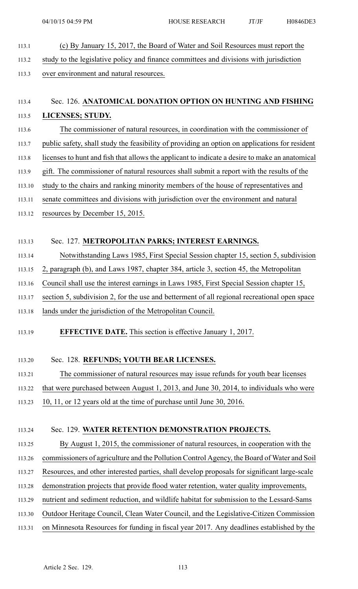113.1 (c) By January 15, 2017, the Board of Water and Soil Resources must repor<sup>t</sup> the 113.2 study to the legislative policy and finance committees and divisions with jurisdiction 113.3 over environment and natural resources.

# 113.4 Sec. 126. **ANATOMICAL DONATION OPTION ON HUNTING AND FISHING** 113.5 **LICENSES; STUDY.**

- 113.6 The commissioner of natural resources, in coordination with the commissioner of
- 113.7 public safety, shall study the feasibility of providing an option on applications for resident
- 113.8 licenses to hunt and fish that allows the applicant to indicate <sup>a</sup> desire to make an anatomical
- 113.9 gift. The commissioner of natural resources shall submit <sup>a</sup> repor<sup>t</sup> with the results of the
- 113.10 study to the chairs and ranking minority members of the house of representatives and
- 113.11 senate committees and divisions with jurisdiction over the environment and natural
- 113.12 resources by December 15, 2015.

## 113.13 Sec. 127. **METROPOLITAN PARKS; INTEREST EARNINGS.**

- 113.14 Notwithstanding Laws 1985, First Special Session chapter 15, section 5, subdivision
- 113.15 2, paragraph (b), and Laws 1987, chapter 384, article 3, section 45, the Metropolitan
- 113.16 Council shall use the interest earnings in Laws 1985, First Special Session chapter 15,
- 113.17 section 5, subdivision 2, for the use and betterment of all regional recreational open space
- 113.18 lands under the jurisdiction of the Metropolitan Council.

## 113.19 **EFFECTIVE DATE.** This section is effective January 1, 2017.

#### 113.20 Sec. 128. **REFUNDS; YOUTH BEAR LICENSES.**

- 113.21 The commissioner of natural resources may issue refunds for youth bear licenses
- 113.22 that were purchased between August 1, 2013, and June 30, 2014, to individuals who were
- 113.23 10, 11, or 12 years old at the time of purchase until June 30, 2016.

#### 113.24 Sec. 129. **WATER RETENTION DEMONSTRATION PROJECTS.**

- 113.25 By August 1, 2015, the commissioner of natural resources, in cooperation with the
- 113.26 commissioners of agriculture and the Pollution Control Agency, the Board of Water and Soil
- 113.27 Resources, and other interested parties, shall develop proposals for significant large-scale
- 113.28 demonstration projects that provide flood water retention, water quality improvements,
- 113.29 nutrient and sediment reduction, and wildlife habitat for submission to the Lessard-Sams
- 113.30 Outdoor Heritage Council, Clean Water Council, and the Legislative-Citizen Commission
- 113.31 on Minnesota Resources for funding in fiscal year 2017. Any deadlines established by the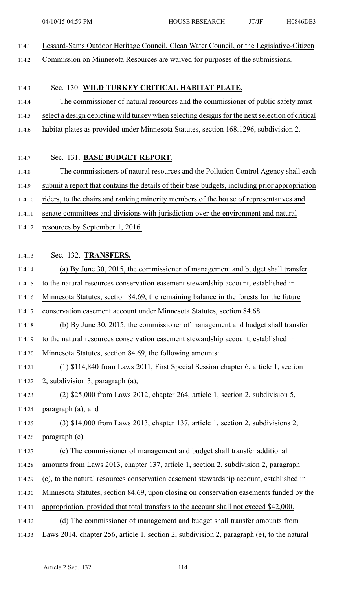- 114.1 Lessard-Sams Outdoor Heritage Council, Clean Water Council, or the Legislative-Citizen
- 114.2 Commission on Minnesota Resources are waived for purposes of the submissions.

#### 114.3 Sec. 130. **WILD TURKEY CRITICAL HABITAT PLATE.**

114.4 The commissioner of natural resources and the commissioner of public safety must

114.5 select <sup>a</sup> design depicting wild turkey when selecting designs for the next selection of critical

114.6 habitat plates as provided under Minnesota Statutes, section 168.1296, subdivision 2.

#### 114.7 Sec. 131. **BASE BUDGET REPORT.**

114.8 The commissioners of natural resources and the Pollution Control Agency shall each

114.9 submit <sup>a</sup> repor<sup>t</sup> that contains the details of their base budgets, including prior appropriation

114.10 riders, to the chairs and ranking minority members of the house of representatives and

114.11 senate committees and divisions with jurisdiction over the environment and natural

114.12 resources by September 1, 2016.

#### 114.13 Sec. 132. **TRANSFERS.**

- 114.14 (a) By June 30, 2015, the commissioner of managemen<sup>t</sup> and budget shall transfer
- 114.15 to the natural resources conservation easement stewardship account, established in
- 114.16 Minnesota Statutes, section 84.69, the remaining balance in the forests for the future

114.17 conservation easement account under Minnesota Statutes, section 84.68.

114.18 (b) By June 30, 2015, the commissioner of managemen<sup>t</sup> and budget shall transfer

114.19 to the natural resources conservation easement stewardship account, established in

- 114.20 Minnesota Statutes, section 84.69, the following amounts:
- 114.21 (1) \$114,840 from Laws 2011, First Special Session chapter 6, article 1, section

114.22 2, subdivision 3, paragraph (a);

114.23 (2) \$25,000 from Laws 2012, chapter 264, article 1, section 2, subdivision 5, 114.24 paragraph (a); and

114.25 (3) \$14,000 from Laws 2013, chapter 137, article 1, section 2, subdivisions 2, 114.26 paragraph (c).

- 114.27 (c) The commissioner of managemen<sup>t</sup> and budget shall transfer additional
- 114.28 amounts from Laws 2013, chapter 137, article 1, section 2, subdivision 2, paragraph
- 114.29 (c), to the natural resources conservation easement stewardship account, established in
- 114.30 Minnesota Statutes, section 84.69, upon closing on conservation easements funded by the
- 114.31 appropriation, provided that total transfers to the account shall not exceed \$42,000.
- 114.32 (d) The commissioner of managemen<sup>t</sup> and budget shall transfer amounts from
- 114.33 Laws 2014, chapter 256, article 1, section 2, subdivision 2, paragraph (e), to the natural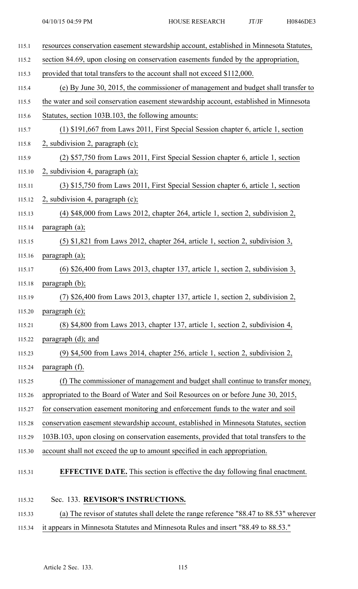| 115.1  | resources conservation easement stewardship account, established in Minnesota Statutes, |
|--------|-----------------------------------------------------------------------------------------|
| 115.2  | section 84.69, upon closing on conservation easements funded by the appropriation,      |
| 115.3  | provided that total transfers to the account shall not exceed \$112,000.                |
| 115.4  | (e) By June 30, 2015, the commissioner of management and budget shall transfer to       |
| 115.5  | the water and soil conservation easement stewardship account, established in Minnesota  |
| 115.6  | Statutes, section 103B.103, the following amounts:                                      |
| 115.7  | (1) \$191,667 from Laws 2011, First Special Session chapter 6, article 1, section       |
| 115.8  | 2, subdivision 2, paragraph $(c)$ ;                                                     |
| 115.9  | (2) \$57,750 from Laws 2011, First Special Session chapter 6, article 1, section        |
| 115.10 | 2, subdivision 4, paragraph $(a)$ ;                                                     |
| 115.11 | (3) \$15,750 from Laws 2011, First Special Session chapter 6, article 1, section        |
| 115.12 | $2$ , subdivision 4, paragraph (c);                                                     |
| 115.13 | $(4)$ \$48,000 from Laws 2012, chapter 264, article 1, section 2, subdivision 2,        |
| 115.14 | paragraph $(a)$ ;                                                                       |
| 115.15 | $(5)$ \$1,821 from Laws 2012, chapter 264, article 1, section 2, subdivision 3,         |
| 115.16 | paragraph $(a)$ ;                                                                       |
| 115.17 | $(6)$ \$26,400 from Laws 2013, chapter 137, article 1, section 2, subdivision 3,        |
| 115.18 | paragraph (b);                                                                          |
| 115.19 | $(7)$ \$26,400 from Laws 2013, chapter 137, article 1, section 2, subdivision 2,        |
| 115.20 | paragraph (e);                                                                          |
| 115.21 | (8) \$4,800 from Laws 2013, chapter 137, article 1, section 2, subdivision 4,           |
| 115.22 | paragraph $(d)$ ; and                                                                   |
| 115.23 | (9) \$4,500 from Laws 2014, chapter 256, article 1, section 2, subdivision 2,           |
| 115.24 | paragraph (f).                                                                          |
| 115.25 | (f) The commissioner of management and budget shall continue to transfer money,         |
| 115.26 | appropriated to the Board of Water and Soil Resources on or before June 30, 2015,       |
| 115.27 | for conservation easement monitoring and enforcement funds to the water and soil        |
| 115.28 | conservation easement stewardship account, established in Minnesota Statutes, section   |
| 115.29 | 103B.103, upon closing on conservation easements, provided that total transfers to the  |
| 115.30 | account shall not exceed the up to amount specified in each appropriation.              |
| 115.31 | <b>EFFECTIVE DATE.</b> This section is effective the day following final enactment.     |

# 115.33 (a) The revisor of statutes shall delete the range reference "88.47 to 88.53" wherever 115.34 it appears in Minnesota Statutes and Minnesota Rules and insert "88.49 to 88.53."

115.32 Sec. 133. **REVISOR'S INSTRUCTIONS.**